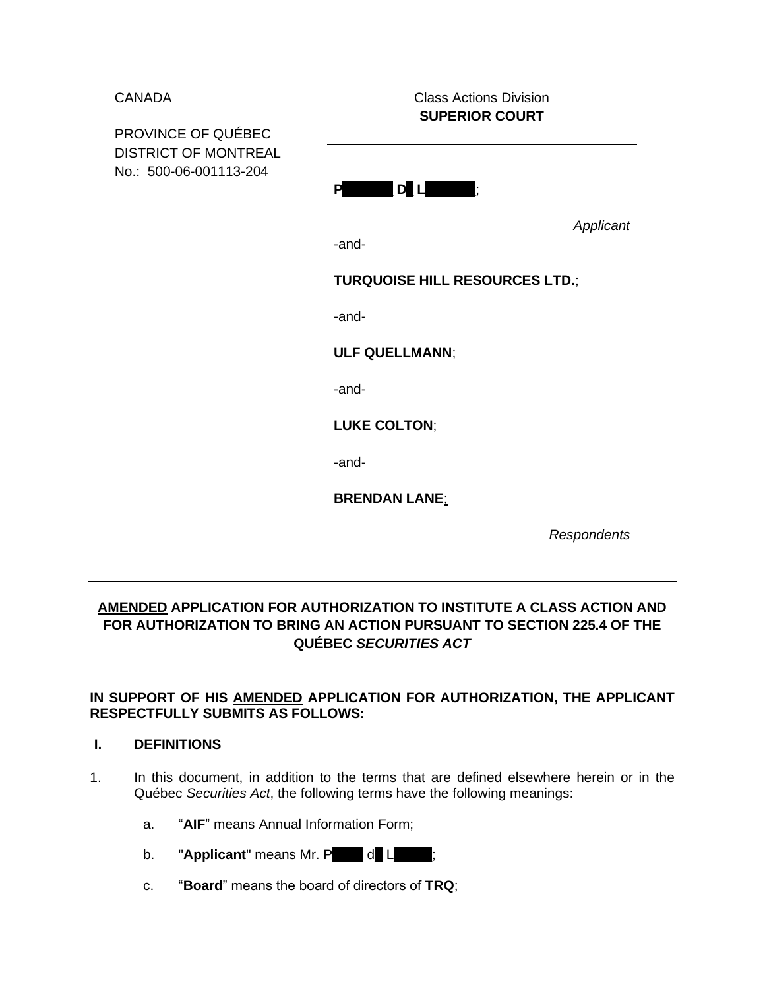CANADA Class Actions Division **SUPERIOR COURT** 

PROVINCE OF QUÉBEC DISTRICT OF MONTREAL No.: 500-06-001113-204

**P\_\_\_\_\_\_\_ D\_ L\_\_\_\_\_\_\_**;

*Applicant*

-and-

**TURQUOISE HILL RESOURCES LTD.**;

-and-

**ULF QUELLMANN**;

-and-

**LUKE COLTON**;

-and-

**BRENDAN LANE**;

*Respondents*

# **AMENDED APPLICATION FOR AUTHORIZATION TO INSTITUTE A CLASS ACTION AND FOR AUTHORIZATION TO BRING AN ACTION PURSUANT TO SECTION 225.4 OF THE QUÉBEC** *SECURITIES ACT*

# **IN SUPPORT OF HIS AMENDED APPLICATION FOR AUTHORIZATION, THE APPLICANT RESPECTFULLY SUBMITS AS FOLLOWS:**

## **I. DEFINITIONS**

- 1. In this document, in addition to the terms that are defined elsewhere herein or in the Québec *Securities Act*, the following terms have the following meanings:
	- a. "**AIF**" means Annual Information Form;
	- b. **"Applicant"** means Mr. P d L
	- c. "**Board**" means the board of directors of **TRQ**;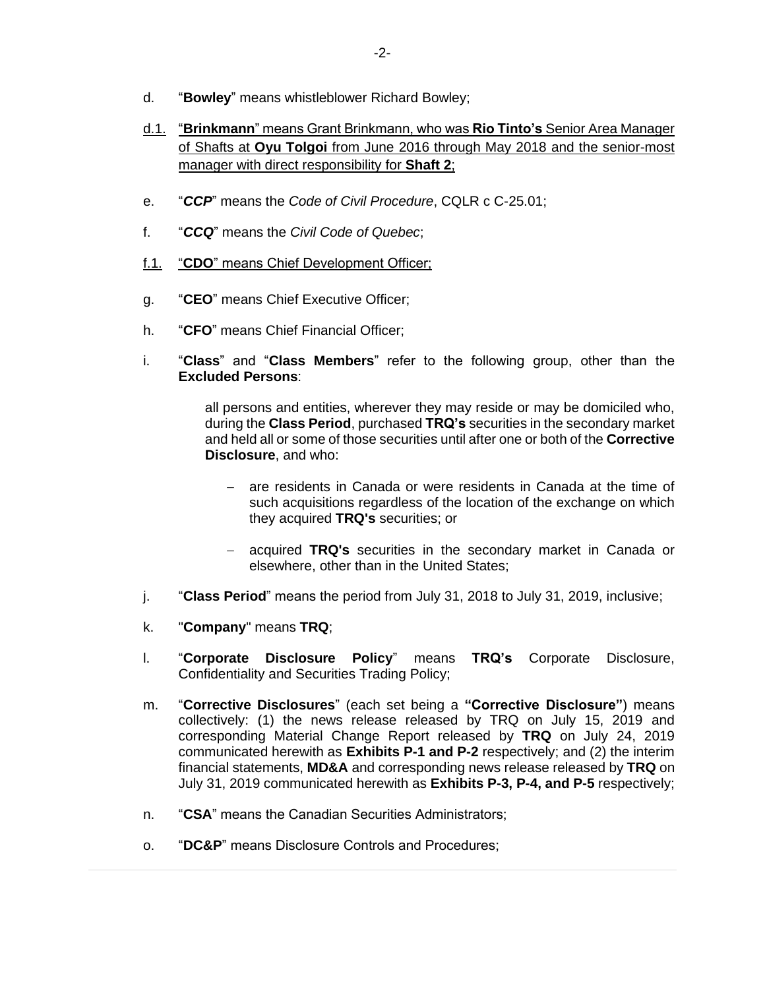- d. "**Bowley**" means whistleblower Richard Bowley;
- d.1. "**Brinkmann**" means Grant Brinkmann, who was **Rio Tinto's** Senior Area Manager of Shafts at **Oyu Tolgoi** from June 2016 through May 2018 and the senior-most manager with direct responsibility for **Shaft 2**;
- e. "*CCP*" means the *Code of Civil Procedure*, CQLR c C-25.01;
- f. "*CCQ*" means the *Civil Code of Quebec*;
- f.1. "**CDO**" means Chief Development Officer;
- g. "**CEO**" means Chief Executive Officer;
- h. "**CFO**" means Chief Financial Officer;
- i. "**Class**" and "**Class Members**" refer to the following group, other than the **Excluded Persons**:

all persons and entities, wherever they may reside or may be domiciled who, during the **Class Period**, purchased **TRQ's** securities in the secondary market and held all or some of those securities until after one or both of the **Corrective Disclosure**, and who:

- − are residents in Canada or were residents in Canada at the time of such acquisitions regardless of the location of the exchange on which they acquired **TRQ's** securities; or
- − acquired **TRQ's** securities in the secondary market in Canada or elsewhere, other than in the United States;
- j. "**Class Period**" means the period from July 31, 2018 to July 31, 2019, inclusive;
- k. "**Company**" means **TRQ**;
- l. "**Corporate Disclosure Policy**" means **TRQ's** Corporate Disclosure, Confidentiality and Securities Trading Policy;
- m. "**Corrective Disclosures**" (each set being a **"Corrective Disclosure"**) means collectively: (1) the news release released by TRQ on July 15, 2019 and corresponding Material Change Report released by **TRQ** on July 24, 2019 communicated herewith as **Exhibits P-1 and P-2** respectively; and (2) the interim financial statements, **MD&A** and corresponding news release released by **TRQ** on July 31, 2019 communicated herewith as **Exhibits P-3, P-4, and P-5** respectively;
- n. "**CSA**" means the Canadian Securities Administrators;
- o. "**DC&P**" means Disclosure Controls and Procedures;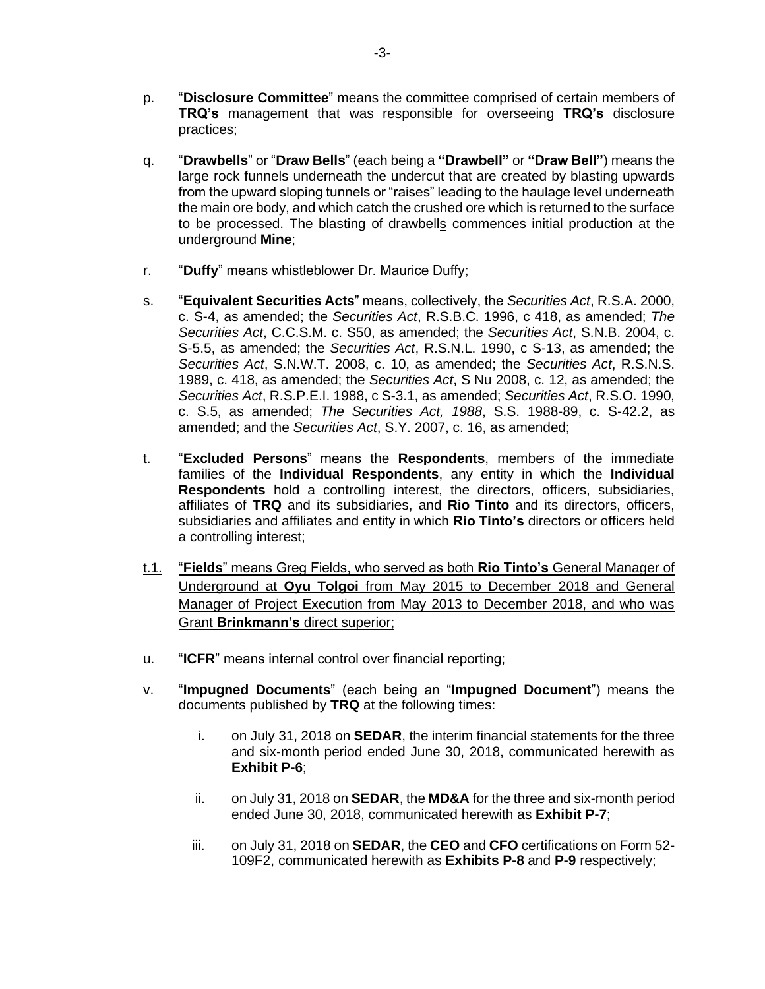- p. "**Disclosure Committee**" means the committee comprised of certain members of **TRQ's** management that was responsible for overseeing **TRQ's** disclosure practices;
- q. "**Drawbells**" or "**Draw Bells**" (each being a **"Drawbell"** or **"Draw Bell"**) means the large rock funnels underneath the undercut that are created by blasting upwards from the upward sloping tunnels or "raises" leading to the haulage level underneath the main ore body, and which catch the crushed ore which is returned to the surface to be processed. The blasting of drawbells commences initial production at the underground **Mine**;
- r. "**Duffy**" means whistleblower Dr. Maurice Duffy;
- s. "**Equivalent Securities Acts**" means, collectively, the *Securities Act*, R.S.A. 2000, c. S-4, as amended; the *Securities Act*, R.S.B.C. 1996, c 418, as amended; *The Securities Act*, C.C.S.M. c. S50, as amended; the *Securities Act*, S.N.B. 2004, c. S-5.5, as amended; the *Securities Act*, R.S.N.L. 1990, c S-13, as amended; the *Securities Act*, S.N.W.T. 2008, c. 10, as amended; the *Securities Act*, R.S.N.S. 1989, c. 418, as amended; the *Securities Act*, S Nu 2008, c. 12, as amended; the *Securities Act*, R.S.P.E.I. 1988, c S-3.1, as amended; *Securities Act*, R.S.O. 1990, c. S.5, as amended; *The Securities Act, 1988*, S.S. 1988-89, c. S-42.2, as amended; and the *Securities Act*, S.Y. 2007, c. 16, as amended;
- t. "**Excluded Persons**" means the **Respondents**, members of the immediate families of the **Individual Respondents**, any entity in which the **Individual Respondents** hold a controlling interest, the directors, officers, subsidiaries, affiliates of **TRQ** and its subsidiaries, and **Rio Tinto** and its directors, officers, subsidiaries and affiliates and entity in which **Rio Tinto's** directors or officers held a controlling interest;
- t.1. "**Fields**" means Greg Fields, who served as both **Rio Tinto's** General Manager of Underground at **Oyu Tolgoi** from May 2015 to December 2018 and General Manager of Project Execution from May 2013 to December 2018, and who was Grant **Brinkmann's** direct superior;
- u. "**ICFR**" means internal control over financial reporting;
- v. "**Impugned Documents**" (each being an "**Impugned Document**") means the documents published by **TRQ** at the following times:
	- i. on July 31, 2018 on **SEDAR**, the interim financial statements for the three and six-month period ended June 30, 2018, communicated herewith as **Exhibit P-6**;
	- ii. on July 31, 2018 on **SEDAR**, the **MD&A** for the three and six-month period ended June 30, 2018, communicated herewith as **Exhibit P-7**;
	- iii. on July 31, 2018 on **SEDAR**, the **CEO** and **CFO** certifications on Form 52- 109F2, communicated herewith as **Exhibits P-8** and **P-9** respectively;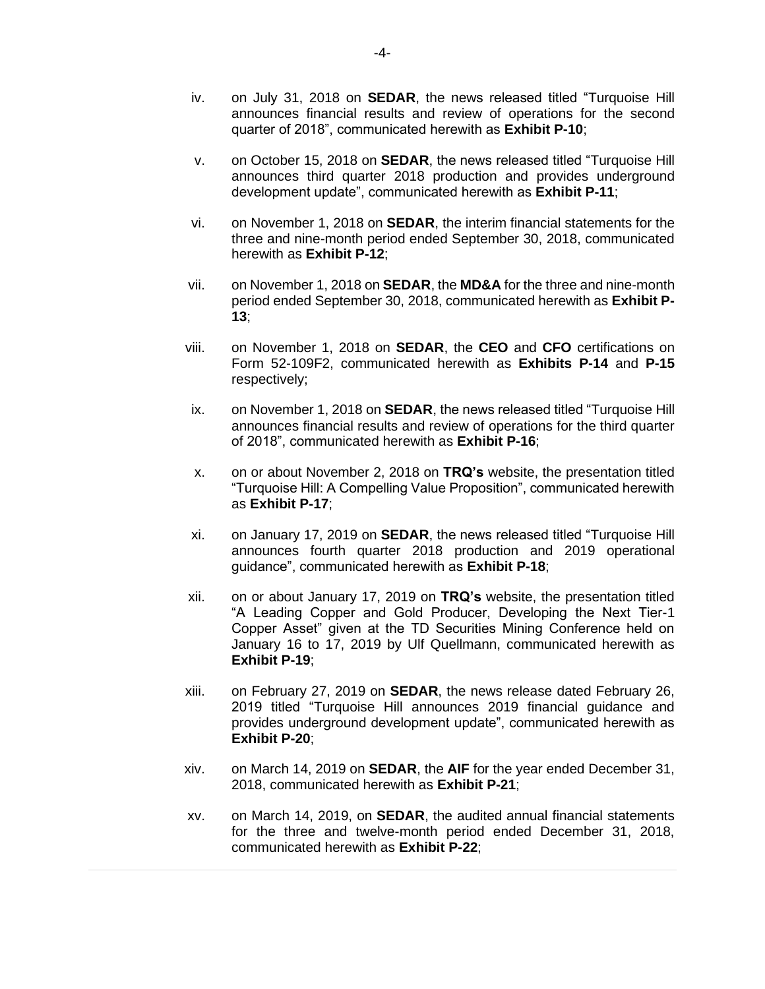- iv. on July 31, 2018 on **SEDAR**, the news released titled "Turquoise Hill announces financial results and review of operations for the second quarter of 2018", communicated herewith as **Exhibit P-10**;
- v. on October 15, 2018 on **SEDAR**, the news released titled "Turquoise Hill announces third quarter 2018 production and provides underground development update", communicated herewith as **Exhibit P-11**;
- vi. on November 1, 2018 on **SEDAR**, the interim financial statements for the three and nine-month period ended September 30, 2018, communicated herewith as **Exhibit P-12**;
- vii. on November 1, 2018 on **SEDAR**, the **MD&A** for the three and nine-month period ended September 30, 2018, communicated herewith as **Exhibit P-13**;
- viii. on November 1, 2018 on **SEDAR**, the **CEO** and **CFO** certifications on Form 52-109F2, communicated herewith as **Exhibits P-14** and **P-15** respectively;
- ix. on November 1, 2018 on **SEDAR**, the news released titled "Turquoise Hill announces financial results and review of operations for the third quarter of 2018", communicated herewith as **Exhibit P-16**;
- x. on or about November 2, 2018 on **TRQ's** website, the presentation titled "Turquoise Hill: A Compelling Value Proposition", communicated herewith as **Exhibit P-17**;
- xi. on January 17, 2019 on **SEDAR**, the news released titled "Turquoise Hill announces fourth quarter 2018 production and 2019 operational guidance", communicated herewith as **Exhibit P-18**;
- xii. on or about January 17, 2019 on **TRQ's** website, the presentation titled "A Leading Copper and Gold Producer, Developing the Next Tier-1 Copper Asset" given at the TD Securities Mining Conference held on January 16 to 17, 2019 by Ulf Quellmann, communicated herewith as **Exhibit P-19**;
- xiii. on February 27, 2019 on **SEDAR**, the news release dated February 26, 2019 titled "Turquoise Hill announces 2019 financial guidance and provides underground development update", communicated herewith as **Exhibit P-20**;
- xiv. on March 14, 2019 on **SEDAR**, the **AIF** for the year ended December 31, 2018, communicated herewith as **Exhibit P-21**;
- xv. on March 14, 2019, on **SEDAR**, the audited annual financial statements for the three and twelve-month period ended December 31, 2018, communicated herewith as **Exhibit P-22**;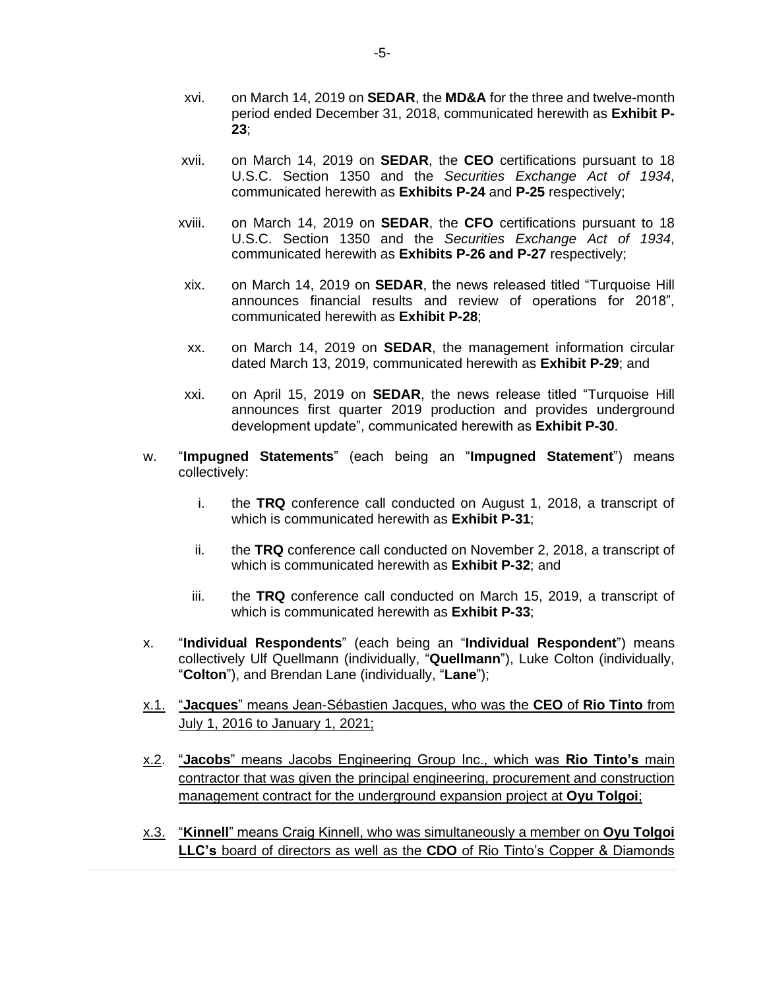- xvi. on March 14, 2019 on **SEDAR**, the **MD&A** for the three and twelve-month period ended December 31, 2018, communicated herewith as **Exhibit P-23**;
- xvii. on March 14, 2019 on **SEDAR**, the **CEO** certifications pursuant to 18 U.S.C. Section 1350 and the *Securities Exchange Act of 1934*, communicated herewith as **Exhibits P-24** and **P-25** respectively;
- xviii. on March 14, 2019 on **SEDAR**, the **CFO** certifications pursuant to 18 U.S.C. Section 1350 and the *Securities Exchange Act of 1934*, communicated herewith as **Exhibits P-26 and P-27** respectively;
- xix. on March 14, 2019 on **SEDAR**, the news released titled "Turquoise Hill announces financial results and review of operations for 2018", communicated herewith as **Exhibit P-28**;
- xx. on March 14, 2019 on **SEDAR**, the management information circular dated March 13, 2019, communicated herewith as **Exhibit P-29**; and
- xxi. on April 15, 2019 on **SEDAR**, the news release titled "Turquoise Hill announces first quarter 2019 production and provides underground development update", communicated herewith as **Exhibit P-30**.
- w. "**Impugned Statements**" (each being an "**Impugned Statement**") means collectively:
	- i. the **TRQ** conference call conducted on August 1, 2018, a transcript of which is communicated herewith as **Exhibit P-31**;
	- ii. the **TRQ** conference call conducted on November 2, 2018, a transcript of which is communicated herewith as **Exhibit P-32**; and
	- iii. the **TRQ** conference call conducted on March 15, 2019, a transcript of which is communicated herewith as **Exhibit P-33**;
- x. "**Individual Respondents**" (each being an "**Individual Respondent**") means collectively Ulf Quellmann (individually, "**Quellmann**"), Luke Colton (individually, "**Colton**"), and Brendan Lane (individually, "**Lane**");
- x.1. "**Jacques**" means Jean-Sébastien Jacques, who was the **CEO** of **Rio Tinto** from July 1, 2016 to January 1, 2021;
- x.2. "**Jacobs**" means Jacobs Engineering Group Inc., which was **Rio Tinto's** main contractor that was given the principal engineering, procurement and construction management contract for the underground expansion project at **Oyu Tolgoi**;
- x.3. "**Kinnell**" means Craig Kinnell, who was simultaneously a member on **Oyu Tolgoi LLC's** board of directors as well as the **CDO** of Rio Tinto's Copper & Diamonds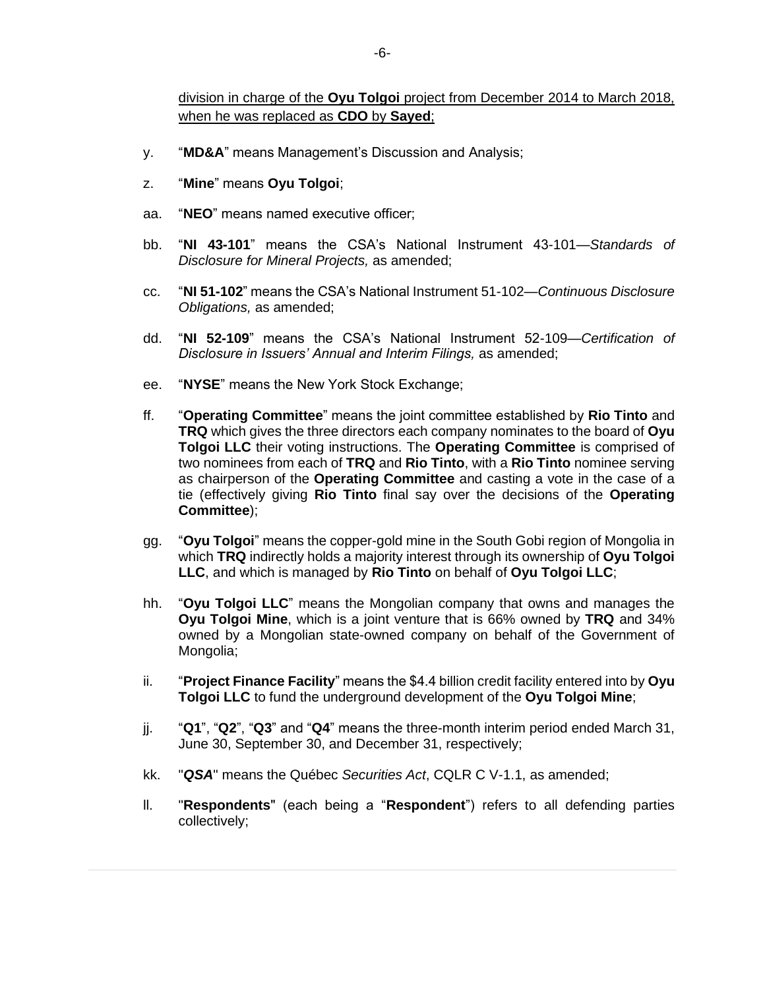- y. "**MD&A**" means Management's Discussion and Analysis;
- z. "**Mine**" means **Oyu Tolgoi**;
- aa. "**NEO**" means named executive officer;
- bb. "**NI 43-101**" means the CSA's National Instrument 43-101—*Standards of Disclosure for Mineral Projects,* as amended;
- cc. "**NI 51-102**" means the CSA's National Instrument 51-102—*Continuous Disclosure Obligations,* as amended;
- dd. "**NI 52-109**" means the CSA's National Instrument 52-109—*Certification of Disclosure in Issuers' Annual and Interim Filings,* as amended;
- ee. "**NYSE**" means the New York Stock Exchange;
- ff. "**Operating Committee**" means the joint committee established by **Rio Tinto** and **TRQ** which gives the three directors each company nominates to the board of **Oyu Tolgoi LLC** their voting instructions. The **Operating Committee** is comprised of two nominees from each of **TRQ** and **Rio Tinto**, with a **Rio Tinto** nominee serving as chairperson of the **Operating Committee** and casting a vote in the case of a tie (effectively giving **Rio Tinto** final say over the decisions of the **Operating Committee**);
- gg. "**Oyu Tolgoi**" means the copper-gold mine in the South Gobi region of Mongolia in which **TRQ** indirectly holds a majority interest through its ownership of **Oyu Tolgoi LLC**, and which is managed by **Rio Tinto** on behalf of **Oyu Tolgoi LLC**;
- hh. "**Oyu Tolgoi LLC**" means the Mongolian company that owns and manages the **Oyu Tolgoi Mine**, which is a joint venture that is 66% owned by **TRQ** and 34% owned by a Mongolian state-owned company on behalf of the Government of Mongolia;
- ii. "**Project Finance Facility**" means the \$4.4 billion credit facility entered into by **Oyu Tolgoi LLC** to fund the underground development of the **Oyu Tolgoi Mine**;
- jj. "**Q1**", "**Q2**", "**Q3**" and "**Q4**" means the three-month interim period ended March 31, June 30, September 30, and December 31, respectively;
- kk. "*QSA*" means the Québec *Securities Act*, CQLR C V-1.1, as amended;
- ll. "**Respondents**" (each being a "**Respondent**") refers to all defending parties collectively;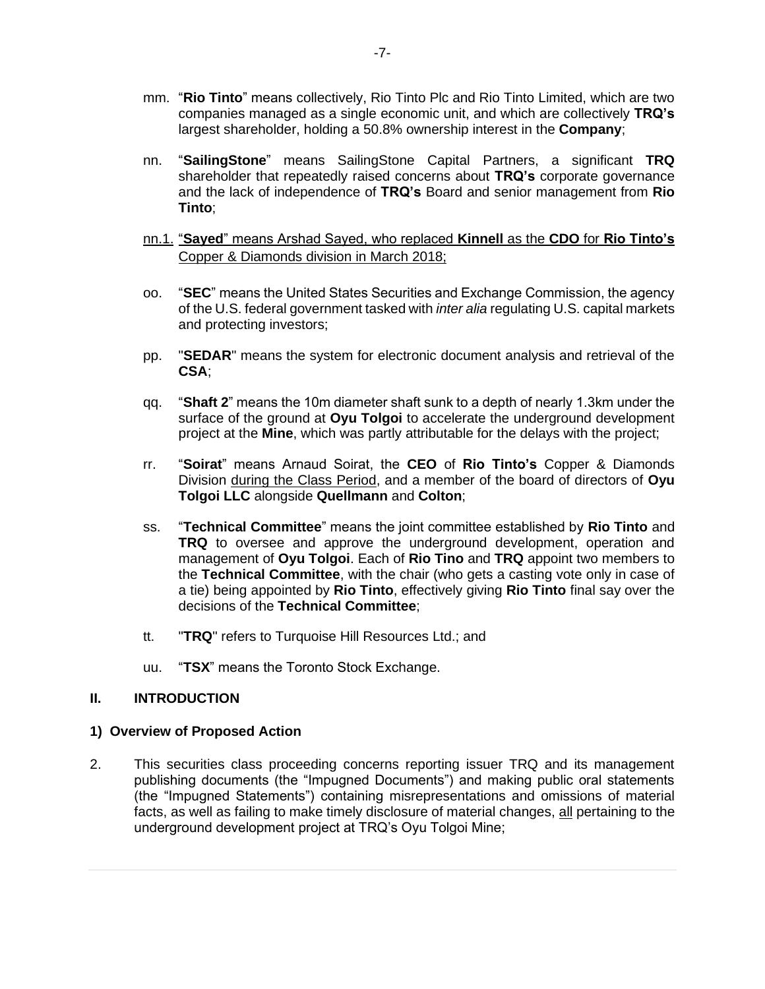- mm. "**Rio Tinto**" means collectively, Rio Tinto Plc and Rio Tinto Limited, which are two companies managed as a single economic unit, and which are collectively **TRQ's** largest shareholder, holding a 50.8% ownership interest in the **Company**;
- nn. "**SailingStone**" means SailingStone Capital Partners, a significant **TRQ** shareholder that repeatedly raised concerns about **TRQ's** corporate governance and the lack of independence of **TRQ's** Board and senior management from **Rio Tinto**;

# nn.1. "**Sayed**" means Arshad Sayed, who replaced **Kinnell** as the **CDO** for **Rio Tinto's**  Copper & Diamonds division in March 2018;

- oo. "**SEC**" means the United States Securities and Exchange Commission, the agency of the U.S. federal government tasked with *inter alia* regulating U.S. capital markets and protecting investors;
- pp. "**SEDAR**" means the system for electronic document analysis and retrieval of the **CSA**;
- qq. "**Shaft 2**" means the 10m diameter shaft sunk to a depth of nearly 1.3km under the surface of the ground at **Oyu Tolgoi** to accelerate the underground development project at the **Mine**, which was partly attributable for the delays with the project;
- rr. "**Soirat**" means Arnaud Soirat, the **CEO** of **Rio Tinto's** Copper & Diamonds Division during the Class Period, and a member of the board of directors of **Oyu Tolgoi LLC** alongside **Quellmann** and **Colton**;
- ss. "**Technical Committee**" means the joint committee established by **Rio Tinto** and **TRQ** to oversee and approve the underground development, operation and management of **Oyu Tolgoi**. Each of **Rio Tino** and **TRQ** appoint two members to the **Technical Committee**, with the chair (who gets a casting vote only in case of a tie) being appointed by **Rio Tinto**, effectively giving **Rio Tinto** final say over the decisions of the **Technical Committee**;
- tt. "**TRQ**" refers to Turquoise Hill Resources Ltd.; and
- uu. "**TSX**" means the Toronto Stock Exchange.

# **II. INTRODUCTION**

# **1) Overview of Proposed Action**

2. This securities class proceeding concerns reporting issuer TRQ and its management publishing documents (the "Impugned Documents") and making public oral statements (the "Impugned Statements") containing misrepresentations and omissions of material facts, as well as failing to make timely disclosure of material changes, all pertaining to the underground development project at TRQ's Oyu Tolgoi Mine;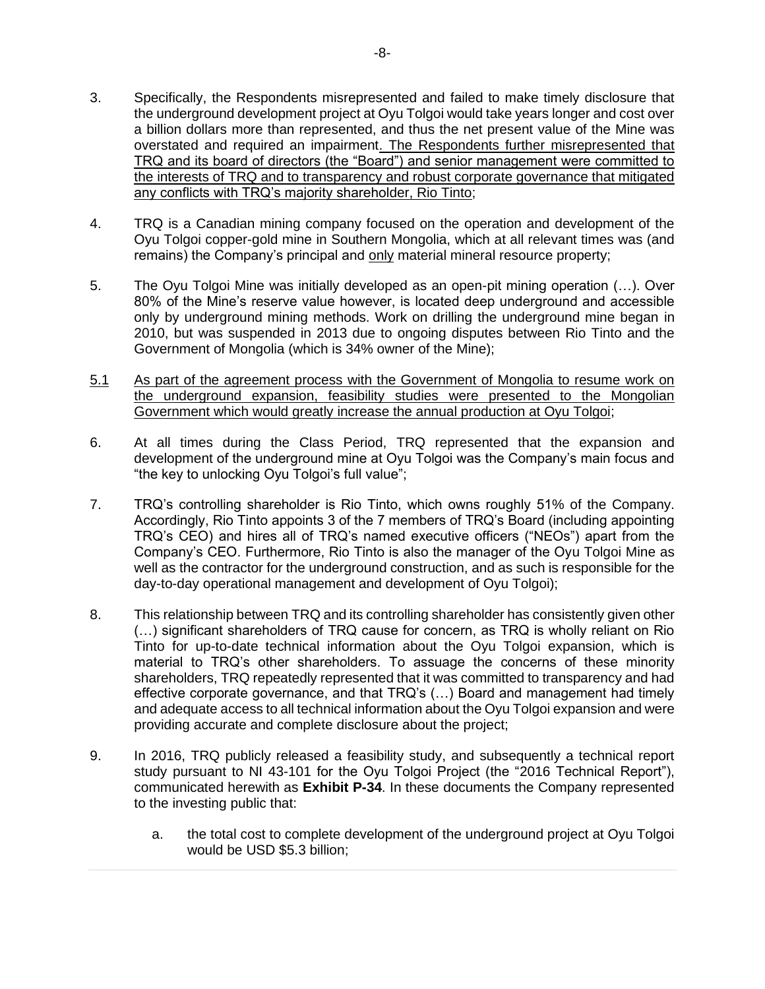- 3. Specifically, the Respondents misrepresented and failed to make timely disclosure that the underground development project at Oyu Tolgoi would take years longer and cost over a billion dollars more than represented, and thus the net present value of the Mine was overstated and required an impairment. The Respondents further misrepresented that TRQ and its board of directors (the "Board") and senior management were committed to the interests of TRQ and to transparency and robust corporate governance that mitigated any conflicts with TRQ's majority shareholder, Rio Tinto;
- 4. TRQ is a Canadian mining company focused on the operation and development of the Oyu Tolgoi copper-gold mine in Southern Mongolia, which at all relevant times was (and remains) the Company's principal and only material mineral resource property;
- 5. The Oyu Tolgoi Mine was initially developed as an open-pit mining operation (…). Over 80% of the Mine's reserve value however, is located deep underground and accessible only by underground mining methods. Work on drilling the underground mine began in 2010, but was suspended in 2013 due to ongoing disputes between Rio Tinto and the Government of Mongolia (which is 34% owner of the Mine);
- 5.1 As part of the agreement process with the Government of Mongolia to resume work on the underground expansion, feasibility studies were presented to the Mongolian Government which would greatly increase the annual production at Oyu Tolgoi;
- 6. At all times during the Class Period, TRQ represented that the expansion and development of the underground mine at Oyu Tolgoi was the Company's main focus and "the key to unlocking Oyu Tolgoi's full value";
- 7. TRQ's controlling shareholder is Rio Tinto, which owns roughly 51% of the Company. Accordingly, Rio Tinto appoints 3 of the 7 members of TRQ's Board (including appointing TRQ's CEO) and hires all of TRQ's named executive officers ("NEOs") apart from the Company's CEO. Furthermore, Rio Tinto is also the manager of the Oyu Tolgoi Mine as well as the contractor for the underground construction, and as such is responsible for the day-to-day operational management and development of Oyu Tolgoi);
- 8. This relationship between TRQ and its controlling shareholder has consistently given other (…) significant shareholders of TRQ cause for concern, as TRQ is wholly reliant on Rio Tinto for up-to-date technical information about the Oyu Tolgoi expansion, which is material to TRQ's other shareholders. To assuage the concerns of these minority shareholders, TRQ repeatedly represented that it was committed to transparency and had effective corporate governance, and that TRQ's (…) Board and management had timely and adequate access to all technical information about the Oyu Tolgoi expansion and were providing accurate and complete disclosure about the project;
- 9. In 2016, TRQ publicly released a feasibility study, and subsequently a technical report study pursuant to NI 43-101 for the Oyu Tolgoi Project (the "2016 Technical Report"), communicated herewith as **Exhibit P-34**. In these documents the Company represented to the investing public that:
	- a. the total cost to complete development of the underground project at Oyu Tolgoi would be USD \$5.3 billion;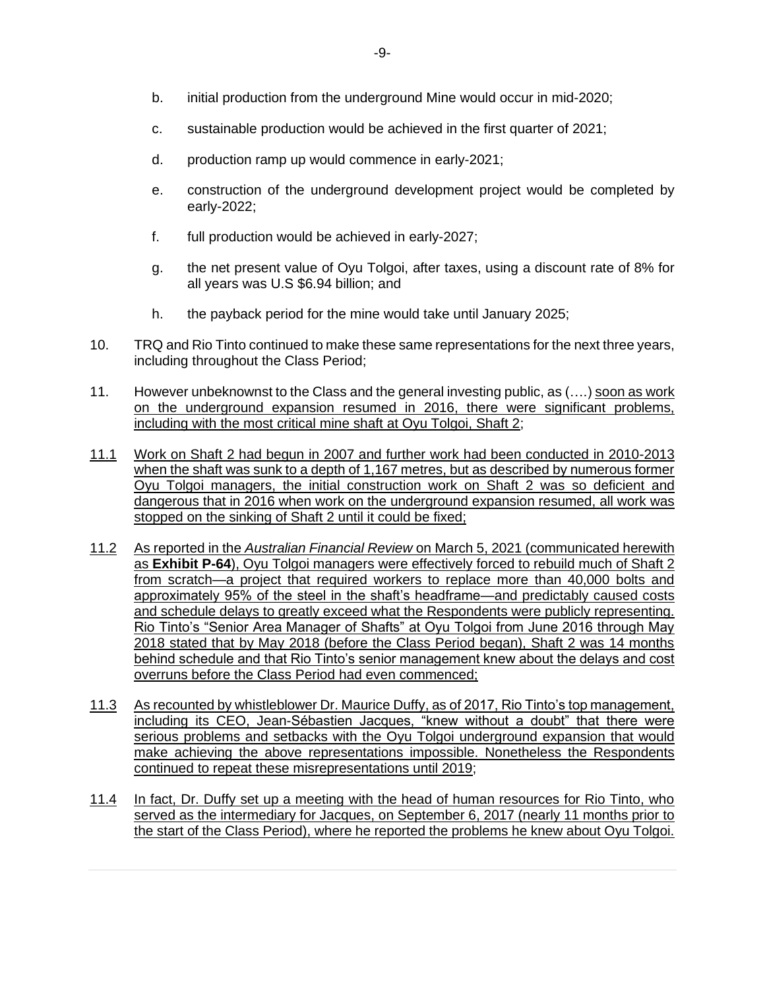- b. initial production from the underground Mine would occur in mid-2020;
- c. sustainable production would be achieved in the first quarter of 2021;
- d. production ramp up would commence in early-2021;
- e. construction of the underground development project would be completed by early-2022;
- f. full production would be achieved in early-2027;
- g. the net present value of Oyu Tolgoi, after taxes, using a discount rate of 8% for all years was U.S \$6.94 billion; and
- h. the payback period for the mine would take until January 2025;
- 10. TRQ and Rio Tinto continued to make these same representations for the next three years, including throughout the Class Period;
- 11. However unbeknownst to the Class and the general investing public, as (….) soon as work on the underground expansion resumed in 2016, there were significant problems, including with the most critical mine shaft at Oyu Tolgoi, Shaft 2;
- 11.1 Work on Shaft 2 had begun in 2007 and further work had been conducted in 2010-2013 when the shaft was sunk to a depth of 1,167 metres, but as described by numerous former Oyu Tolgoi managers, the initial construction work on Shaft 2 was so deficient and dangerous that in 2016 when work on the underground expansion resumed, all work was stopped on the sinking of Shaft 2 until it could be fixed;
- 11.2 As reported in the *Australian Financial Review* on March 5, 2021 (communicated herewith as **Exhibit P-64**), Oyu Tolgoi managers were effectively forced to rebuild much of Shaft 2 from scratch—a project that required workers to replace more than 40,000 bolts and approximately 95% of the steel in the shaft's headframe—and predictably caused costs and schedule delays to greatly exceed what the Respondents were publicly representing. Rio Tinto's "Senior Area Manager of Shafts" at Oyu Tolgoi from June 2016 through May 2018 stated that by May 2018 (before the Class Period began), Shaft 2 was 14 months behind schedule and that Rio Tinto's senior management knew about the delays and cost overruns before the Class Period had even commenced;
- 11.3 As recounted by whistleblower Dr. Maurice Duffy, as of 2017, Rio Tinto's top management, including its CEO, Jean-Sébastien Jacques, "knew without a doubt" that there were serious problems and setbacks with the Oyu Tolgoi underground expansion that would make achieving the above representations impossible. Nonetheless the Respondents continued to repeat these misrepresentations until 2019;
- 11.4 In fact, Dr. Duffy set up a meeting with the head of human resources for Rio Tinto, who served as the intermediary for Jacques, on September 6, 2017 (nearly 11 months prior to the start of the Class Period), where he reported the problems he knew about Oyu Tolgoi.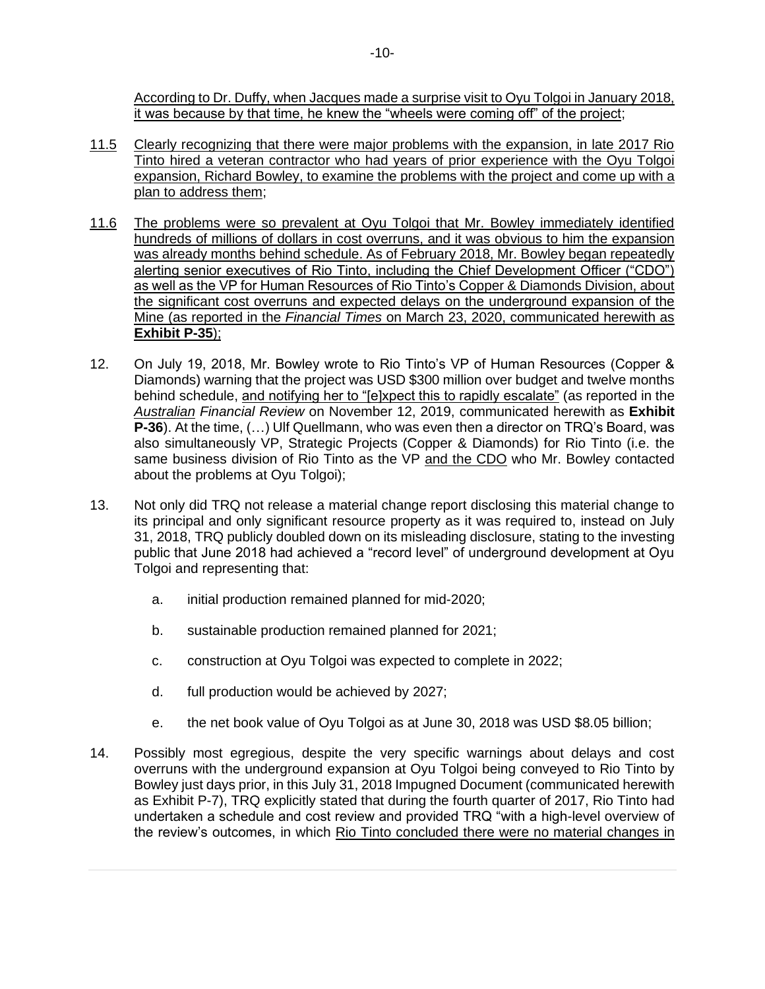According to Dr. Duffy, when Jacques made a surprise visit to Oyu Tolgoi in January 2018, it was because by that time, he knew the "wheels were coming off" of the project;

- 11.5 Clearly recognizing that there were major problems with the expansion, in late 2017 Rio Tinto hired a veteran contractor who had years of prior experience with the Oyu Tolgoi expansion, Richard Bowley, to examine the problems with the project and come up with a plan to address them;
- 11.6 The problems were so prevalent at Oyu Tolgoi that Mr. Bowley immediately identified hundreds of millions of dollars in cost overruns, and it was obvious to him the expansion was already months behind schedule. As of February 2018, Mr. Bowley began repeatedly alerting senior executives of Rio Tinto, including the Chief Development Officer ("CDO") as well as the VP for Human Resources of Rio Tinto's Copper & Diamonds Division, about the significant cost overruns and expected delays on the underground expansion of the Mine (as reported in the *Financial Times* on March 23, 2020, communicated herewith as **Exhibit P-35**);
- 12. On July 19, 2018, Mr. Bowley wrote to Rio Tinto's VP of Human Resources (Copper & Diamonds) warning that the project was USD \$300 million over budget and twelve months behind schedule, and notifying her to "[e]xpect this to rapidly escalate" (as reported in the *Australian Financial Review* on November 12, 2019, communicated herewith as **Exhibit P-36**). At the time, (…) Ulf Quellmann, who was even then a director on TRQ's Board, was also simultaneously VP, Strategic Projects (Copper & Diamonds) for Rio Tinto (i.e. the same business division of Rio Tinto as the VP and the CDO who Mr. Bowley contacted about the problems at Oyu Tolgoi);
- 13. Not only did TRQ not release a material change report disclosing this material change to its principal and only significant resource property as it was required to, instead on July 31, 2018, TRQ publicly doubled down on its misleading disclosure, stating to the investing public that June 2018 had achieved a "record level" of underground development at Oyu Tolgoi and representing that:
	- a. initial production remained planned for mid-2020;
	- b. sustainable production remained planned for 2021;
	- c. construction at Oyu Tolgoi was expected to complete in 2022;
	- d. full production would be achieved by 2027;
	- e. the net book value of Oyu Tolgoi as at June 30, 2018 was USD \$8.05 billion;
- 14. Possibly most egregious, despite the very specific warnings about delays and cost overruns with the underground expansion at Oyu Tolgoi being conveyed to Rio Tinto by Bowley just days prior, in this July 31, 2018 Impugned Document (communicated herewith as Exhibit P-7), TRQ explicitly stated that during the fourth quarter of 2017, Rio Tinto had undertaken a schedule and cost review and provided TRQ "with a high-level overview of the review's outcomes, in which Rio Tinto concluded there were no material changes in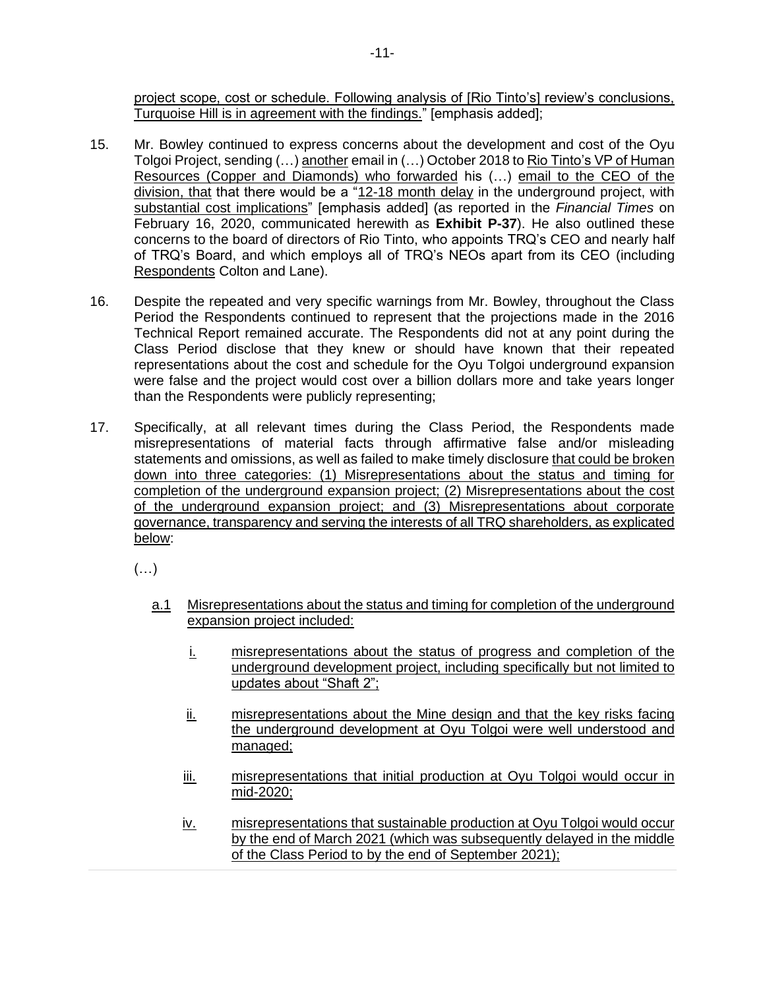project scope, cost or schedule. Following analysis of [Rio Tinto's] review's conclusions, Turquoise Hill is in agreement with the findings." [emphasis added];

- 15. Mr. Bowley continued to express concerns about the development and cost of the Oyu Tolgoi Project, sending (…) another email in (…) October 2018 to Rio Tinto's VP of Human Resources (Copper and Diamonds) who forwarded his (…) email to the CEO of the division, that that there would be a "12-18 month delay in the underground project, with substantial cost implications" [emphasis added] (as reported in the *Financial Times* on February 16, 2020, communicated herewith as **Exhibit P-37**). He also outlined these concerns to the board of directors of Rio Tinto, who appoints TRQ's CEO and nearly half of TRQ's Board, and which employs all of TRQ's NEOs apart from its CEO (including Respondents Colton and Lane).
- 16. Despite the repeated and very specific warnings from Mr. Bowley, throughout the Class Period the Respondents continued to represent that the projections made in the 2016 Technical Report remained accurate. The Respondents did not at any point during the Class Period disclose that they knew or should have known that their repeated representations about the cost and schedule for the Oyu Tolgoi underground expansion were false and the project would cost over a billion dollars more and take years longer than the Respondents were publicly representing;
- 17. Specifically, at all relevant times during the Class Period, the Respondents made misrepresentations of material facts through affirmative false and/or misleading statements and omissions, as well as failed to make timely disclosure that could be broken down into three categories: (1) Misrepresentations about the status and timing for completion of the underground expansion project; (2) Misrepresentations about the cost of the underground expansion project; and (3) Misrepresentations about corporate governance, transparency and serving the interests of all TRQ shareholders, as explicated below:

 $(\ldots)$ 

- a.1 Misrepresentations about the status and timing for completion of the underground expansion project included:
	- i. misrepresentations about the status of progress and completion of the underground development project, including specifically but not limited to updates about "Shaft 2";
	- ii. misrepresentations about the Mine design and that the key risks facing the underground development at Oyu Tolgoi were well understood and managed:
	- iii. misrepresentations that initial production at Oyu Tolgoi would occur in mid-2020;
	- iv. misrepresentations that sustainable production at Oyu Tolgoi would occur by the end of March 2021 (which was subsequently delayed in the middle of the Class Period to by the end of September 2021);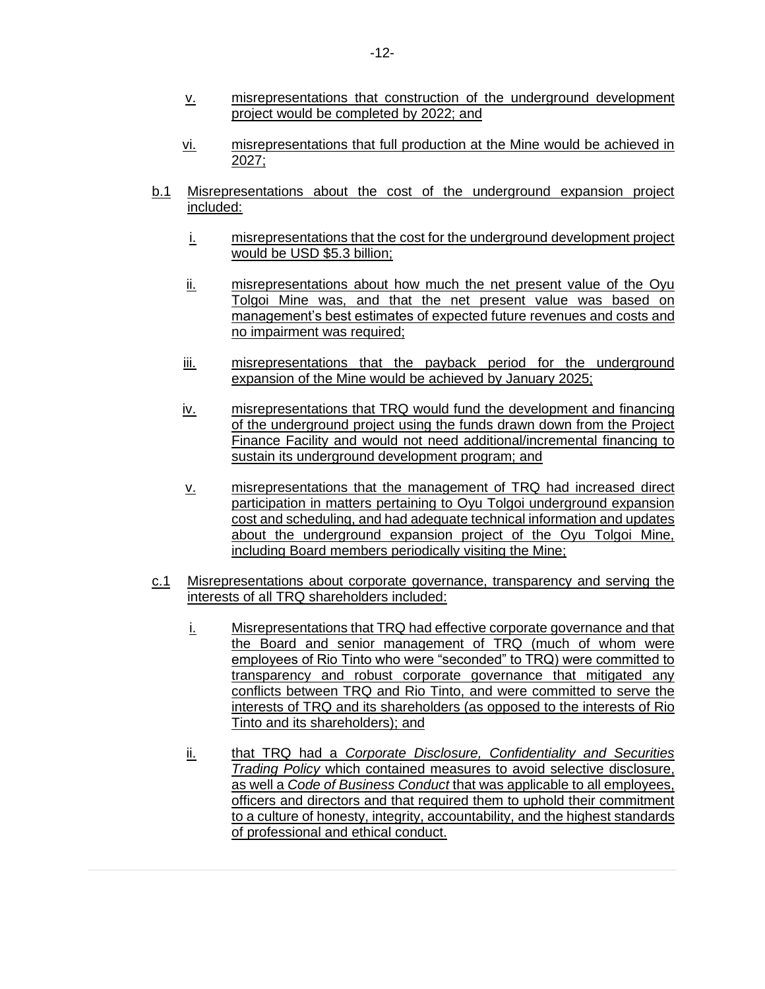- v. misrepresentations that construction of the underground development project would be completed by 2022; and
- vi. misrepresentations that full production at the Mine would be achieved in 2027;
- b.1 Misrepresentations about the cost of the underground expansion project included:
	- i. misrepresentations that the cost for the underground development project would be USD \$5.3 billion;
	- ii. misrepresentations about how much the net present value of the Oyu Tolgoi Mine was, and that the net present value was based on management's best estimates of expected future revenues and costs and no impairment was required;
	- iii. misrepresentations that the payback period for the underground expansion of the Mine would be achieved by January 2025;
	- iv. misrepresentations that TRQ would fund the development and financing of the underground project using the funds drawn down from the Project Finance Facility and would not need additional/incremental financing to sustain its underground development program; and
	- v. misrepresentations that the management of TRQ had increased direct participation in matters pertaining to Oyu Tolgoi underground expansion cost and scheduling, and had adequate technical information and updates about the underground expansion project of the Oyu Tolgoi Mine, including Board members periodically visiting the Mine;
- c.1 Misrepresentations about corporate governance, transparency and serving the interests of all TRQ shareholders included:
	- i. Misrepresentations that TRQ had effective corporate governance and that the Board and senior management of TRQ (much of whom were employees of Rio Tinto who were "seconded" to TRQ) were committed to transparency and robust corporate governance that mitigated any conflicts between TRQ and Rio Tinto, and were committed to serve the interests of TRQ and its shareholders (as opposed to the interests of Rio Tinto and its shareholders); and
	- ii. that TRQ had a *Corporate Disclosure, Confidentiality and Securities Trading Policy* which contained measures to avoid selective disclosure, as well a *Code of Business Conduct* that was applicable to all employees, officers and directors and that required them to uphold their commitment to a culture of honesty, integrity, accountability, and the highest standards of professional and ethical conduct.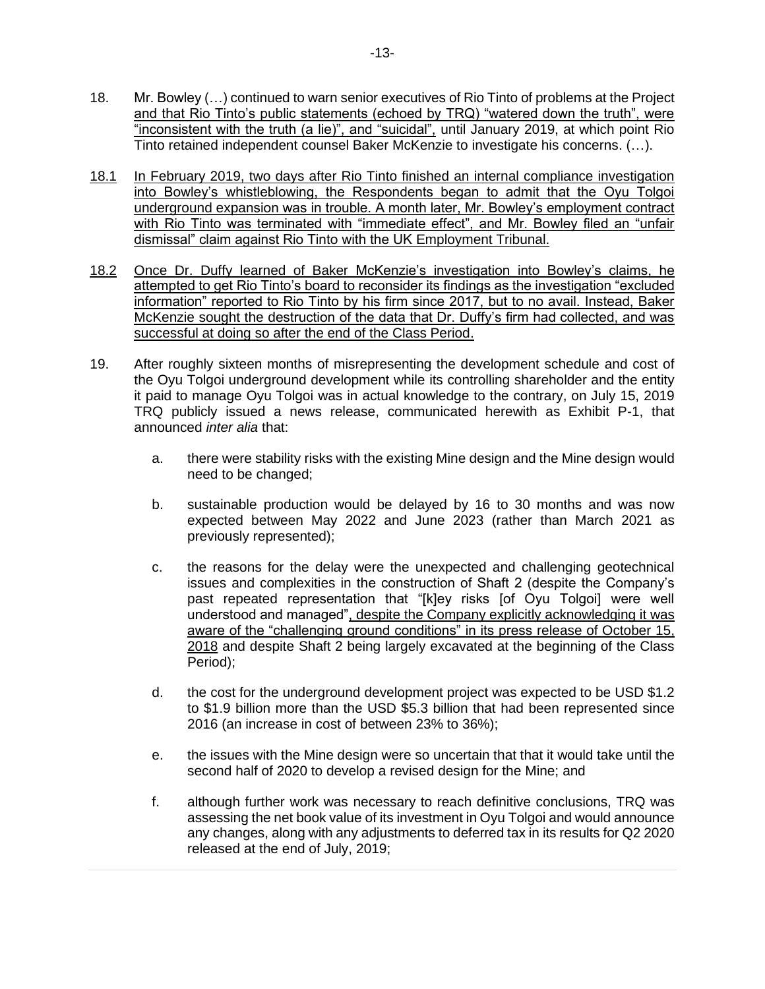- 18. Mr. Bowley (…) continued to warn senior executives of Rio Tinto of problems at the Project and that Rio Tinto's public statements (echoed by TRQ) "watered down the truth", were "inconsistent with the truth (a lie)", and "suicidal", until January 2019, at which point Rio Tinto retained independent counsel Baker McKenzie to investigate his concerns. (…).
- 18.1 In February 2019, two days after Rio Tinto finished an internal compliance investigation into Bowley's whistleblowing, the Respondents began to admit that the Oyu Tolgoi underground expansion was in trouble. A month later, Mr. Bowley's employment contract with Rio Tinto was terminated with "immediate effect", and Mr. Bowley filed an "unfair dismissal" claim against Rio Tinto with the UK Employment Tribunal.
- 18.2 Once Dr. Duffy learned of Baker McKenzie's investigation into Bowley's claims, he attempted to get Rio Tinto's board to reconsider its findings as the investigation "excluded information" reported to Rio Tinto by his firm since 2017, but to no avail. Instead, Baker McKenzie sought the destruction of the data that Dr. Duffy's firm had collected, and was successful at doing so after the end of the Class Period.
- 19. After roughly sixteen months of misrepresenting the development schedule and cost of the Oyu Tolgoi underground development while its controlling shareholder and the entity it paid to manage Oyu Tolgoi was in actual knowledge to the contrary, on July 15, 2019 TRQ publicly issued a news release, communicated herewith as Exhibit P-1, that announced *inter alia* that:
	- a. there were stability risks with the existing Mine design and the Mine design would need to be changed;
	- b. sustainable production would be delayed by 16 to 30 months and was now expected between May 2022 and June 2023 (rather than March 2021 as previously represented);
	- c. the reasons for the delay were the unexpected and challenging geotechnical issues and complexities in the construction of Shaft 2 (despite the Company's past repeated representation that "[k]ey risks [of Oyu Tolgoi] were well understood and managed", despite the Company explicitly acknowledging it was aware of the "challenging ground conditions" in its press release of October 15, 2018 and despite Shaft 2 being largely excavated at the beginning of the Class Period);
	- d. the cost for the underground development project was expected to be USD \$1.2 to \$1.9 billion more than the USD \$5.3 billion that had been represented since 2016 (an increase in cost of between 23% to 36%);
	- e. the issues with the Mine design were so uncertain that that it would take until the second half of 2020 to develop a revised design for the Mine; and
	- f. although further work was necessary to reach definitive conclusions, TRQ was assessing the net book value of its investment in Oyu Tolgoi and would announce any changes, along with any adjustments to deferred tax in its results for Q2 2020 released at the end of July, 2019;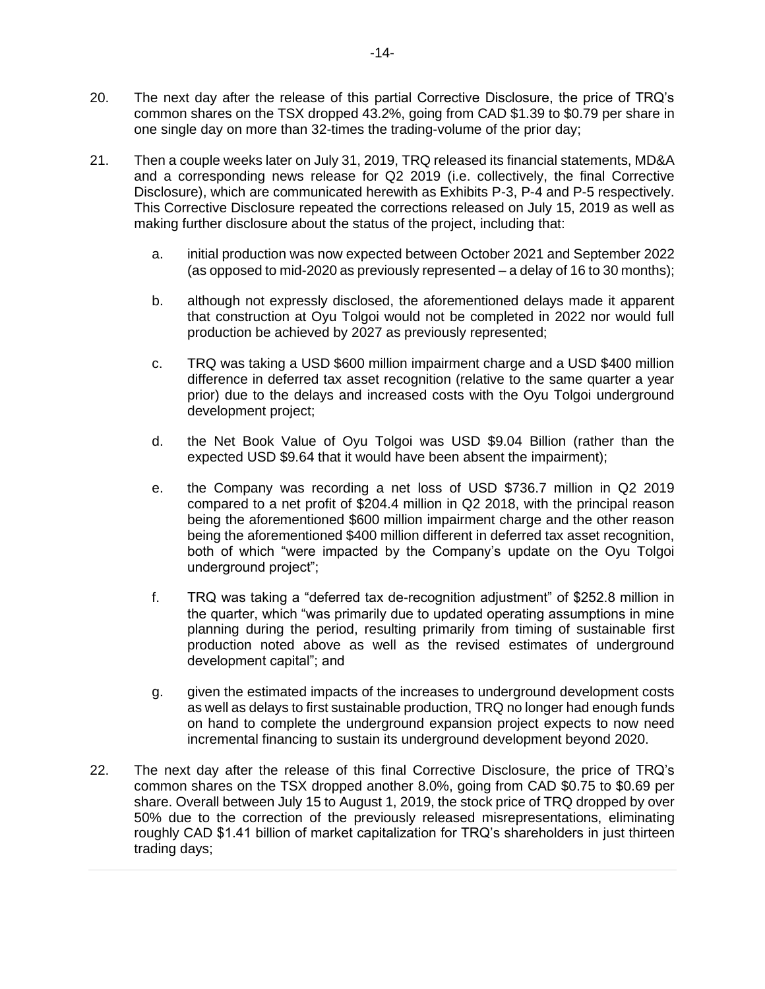- 20. The next day after the release of this partial Corrective Disclosure, the price of TRQ's common shares on the TSX dropped 43.2%, going from CAD \$1.39 to \$0.79 per share in one single day on more than 32-times the trading-volume of the prior day;
- 21. Then a couple weeks later on July 31, 2019, TRQ released its financial statements, MD&A and a corresponding news release for Q2 2019 (i.e. collectively, the final Corrective Disclosure), which are communicated herewith as Exhibits P-3, P-4 and P-5 respectively. This Corrective Disclosure repeated the corrections released on July 15, 2019 as well as making further disclosure about the status of the project, including that:
	- a. initial production was now expected between October 2021 and September 2022 (as opposed to mid-2020 as previously represented – a delay of 16 to 30 months);
	- b. although not expressly disclosed, the aforementioned delays made it apparent that construction at Oyu Tolgoi would not be completed in 2022 nor would full production be achieved by 2027 as previously represented;
	- c. TRQ was taking a USD \$600 million impairment charge and a USD \$400 million difference in deferred tax asset recognition (relative to the same quarter a year prior) due to the delays and increased costs with the Oyu Tolgoi underground development project;
	- d. the Net Book Value of Oyu Tolgoi was USD \$9.04 Billion (rather than the expected USD \$9.64 that it would have been absent the impairment);
	- e. the Company was recording a net loss of USD \$736.7 million in Q2 2019 compared to a net profit of \$204.4 million in Q2 2018, with the principal reason being the aforementioned \$600 million impairment charge and the other reason being the aforementioned \$400 million different in deferred tax asset recognition, both of which "were impacted by the Company's update on the Oyu Tolgoi underground project";
	- f. TRQ was taking a "deferred tax de-recognition adjustment" of \$252.8 million in the quarter, which "was primarily due to updated operating assumptions in mine planning during the period, resulting primarily from timing of sustainable first production noted above as well as the revised estimates of underground development capital"; and
	- g. given the estimated impacts of the increases to underground development costs as well as delays to first sustainable production, TRQ no longer had enough funds on hand to complete the underground expansion project expects to now need incremental financing to sustain its underground development beyond 2020.
- 22. The next day after the release of this final Corrective Disclosure, the price of TRQ's common shares on the TSX dropped another 8.0%, going from CAD \$0.75 to \$0.69 per share. Overall between July 15 to August 1, 2019, the stock price of TRQ dropped by over 50% due to the correction of the previously released misrepresentations, eliminating roughly CAD \$1.41 billion of market capitalization for TRQ's shareholders in just thirteen trading days;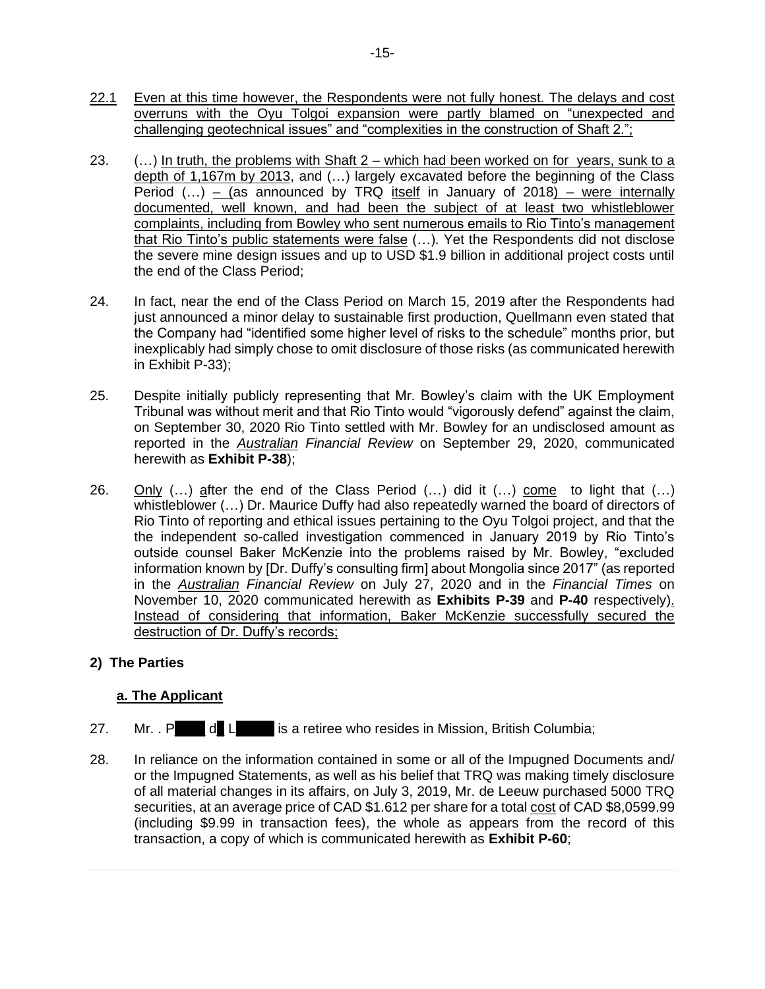- 22.1 Even at this time however, the Respondents were not fully honest. The delays and cost overruns with the Oyu Tolgoi expansion were partly blamed on "unexpected and challenging geotechnical issues" and "complexities in the construction of Shaft 2.";
- 23.  $\ldots$ ) In truth, the problems with Shaft 2 which had been worked on for years, sunk to a depth of 1,167m by 2013, and (…) largely excavated before the beginning of the Class Period  $(...)$  – (as announced by TRQ itself in January of 2018) – were internally documented, well known, and had been the subject of at least two whistleblower complaints, including from Bowley who sent numerous emails to Rio Tinto's management that Rio Tinto's public statements were false (…). Yet the Respondents did not disclose the severe mine design issues and up to USD \$1.9 billion in additional project costs until the end of the Class Period;
- 24. In fact, near the end of the Class Period on March 15, 2019 after the Respondents had just announced a minor delay to sustainable first production, Quellmann even stated that the Company had "identified some higher level of risks to the schedule" months prior, but inexplicably had simply chose to omit disclosure of those risks (as communicated herewith in Exhibit P-33);
- 25. Despite initially publicly representing that Mr. Bowley's claim with the UK Employment Tribunal was without merit and that Rio Tinto would "vigorously defend" against the claim, on September 30, 2020 Rio Tinto settled with Mr. Bowley for an undisclosed amount as reported in the *Australian Financial Review* on September 29, 2020, communicated herewith as **Exhibit P-38**);
- 26. Only (…) after the end of the Class Period (…) did it (…) come to light that (…) whistleblower (…) Dr. Maurice Duffy had also repeatedly warned the board of directors of Rio Tinto of reporting and ethical issues pertaining to the Oyu Tolgoi project, and that the the independent so-called investigation commenced in January 2019 by Rio Tinto's outside counsel Baker McKenzie into the problems raised by Mr. Bowley, "excluded information known by [Dr. Duffy's consulting firm] about Mongolia since 2017" (as reported in the *Australian Financial Review* on July 27, 2020 and in the *Financial Times* on November 10, 2020 communicated herewith as **Exhibits P-39** and **P-40** respectively). Instead of considering that information, Baker McKenzie successfully secured the destruction of Dr. Duffy's records;

# **2) The Parties**

# **a. The Applicant**

- 27. Mr. . P d L is a retiree who resides in Mission, British Columbia:
- 28. In reliance on the information contained in some or all of the Impugned Documents and/ or the Impugned Statements, as well as his belief that TRQ was making timely disclosure of all material changes in its affairs, on July 3, 2019, Mr. de Leeuw purchased 5000 TRQ securities, at an average price of CAD \$1.612 per share for a total cost of CAD \$8,0599.99 (including \$9.99 in transaction fees), the whole as appears from the record of this transaction, a copy of which is communicated herewith as **Exhibit P-60**;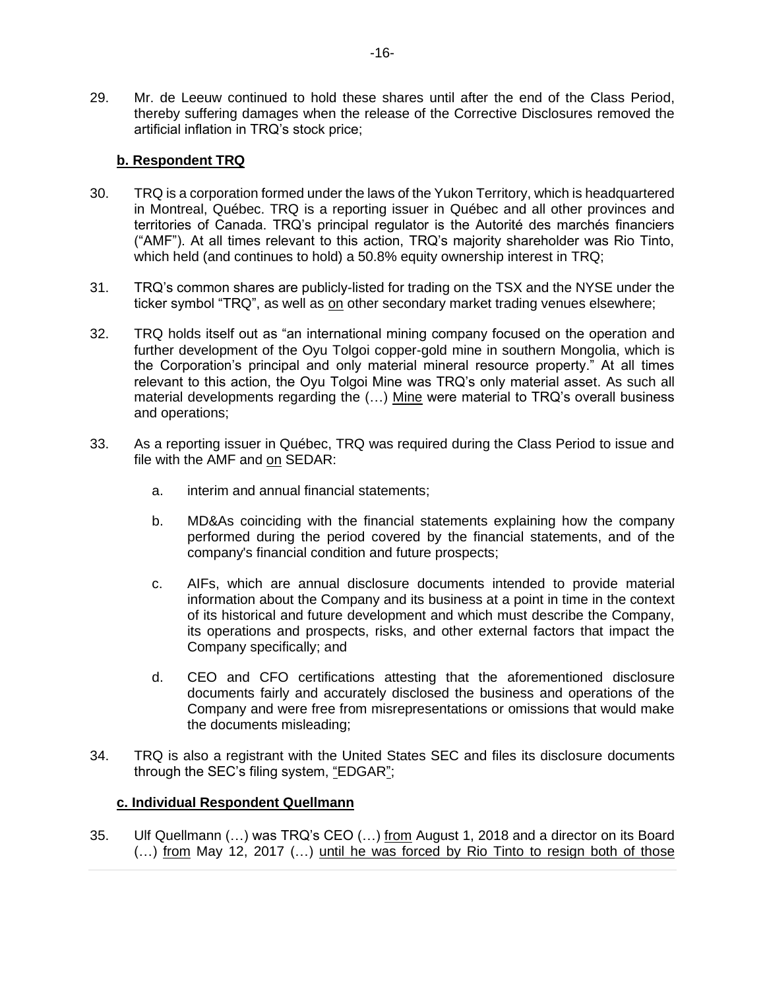29. Mr. de Leeuw continued to hold these shares until after the end of the Class Period, thereby suffering damages when the release of the Corrective Disclosures removed the artificial inflation in TRQ's stock price;

# **b. Respondent TRQ**

- 30. TRQ is a corporation formed under the laws of the Yukon Territory, which is headquartered in Montreal, Québec. TRQ is a reporting issuer in Québec and all other provinces and territories of Canada. TRQ's principal regulator is the Autorité des marchés financiers ("AMF"). At all times relevant to this action, TRQ's majority shareholder was Rio Tinto, which held (and continues to hold) a 50.8% equity ownership interest in TRQ;
- 31. TRQ's common shares are publicly-listed for trading on the TSX and the NYSE under the ticker symbol "TRQ", as well as on other secondary market trading venues elsewhere;
- 32. TRQ holds itself out as "an international mining company focused on the operation and further development of the Oyu Tolgoi copper-gold mine in southern Mongolia, which is the Corporation's principal and only material mineral resource property." At all times relevant to this action, the Oyu Tolgoi Mine was TRQ's only material asset. As such all material developments regarding the (…) Mine were material to TRQ's overall business and operations;
- 33. As a reporting issuer in Québec, TRQ was required during the Class Period to issue and file with the AMF and on SEDAR:
	- a. interim and annual financial statements;
	- b. MD&As coinciding with the financial statements explaining how the company performed during the period covered by the financial statements, and of the company's financial condition and future prospects;
	- c. AIFs, which are annual disclosure documents intended to provide material information about the Company and its business at a point in time in the context of its historical and future development and which must describe the Company, its operations and prospects, risks, and other external factors that impact the Company specifically; and
	- d. CEO and CFO certifications attesting that the aforementioned disclosure documents fairly and accurately disclosed the business and operations of the Company and were free from misrepresentations or omissions that would make the documents misleading;
- 34. TRQ is also a registrant with the United States SEC and files its disclosure documents through the SEC's filing system, "EDGAR";

# **c. Individual Respondent Quellmann**

35. Ulf Quellmann (...) was TRQ's CEO (...) from August 1, 2018 and a director on its Board (…) from May 12, 2017 (…) until he was forced by Rio Tinto to resign both of those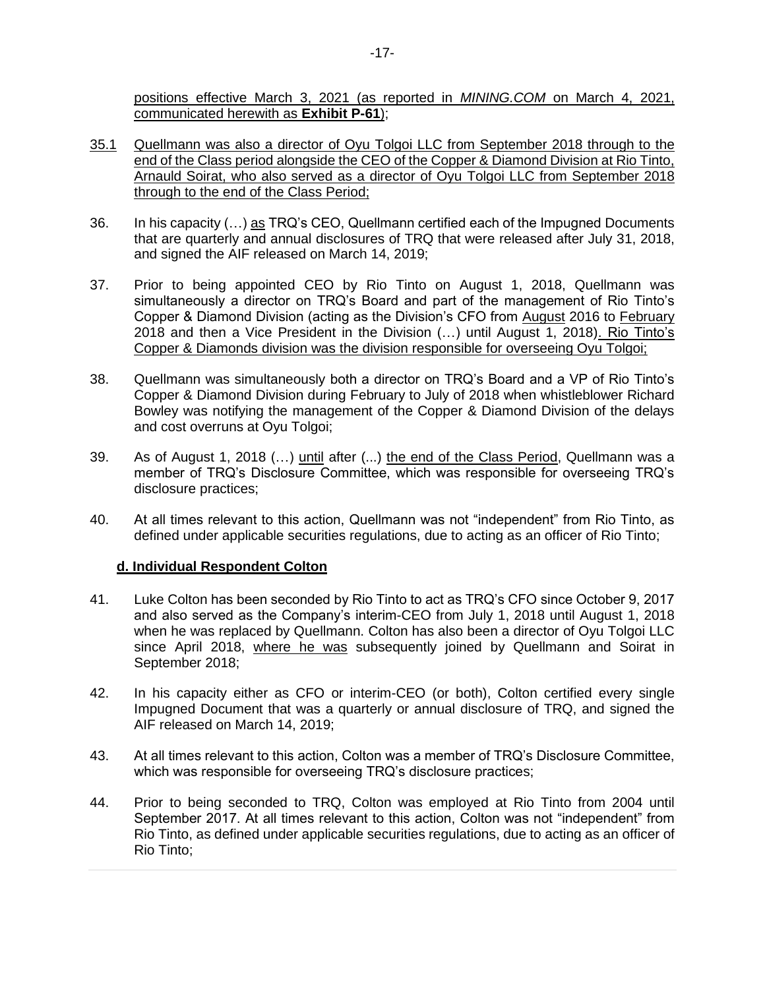positions effective March 3, 2021 (as reported in *MINING.COM* on March 4, 2021, communicated herewith as **Exhibit P-61**);

- 35.1 Quellmann was also a director of Oyu Tolgoi LLC from September 2018 through to the end of the Class period alongside the CEO of the Copper & Diamond Division at Rio Tinto, Arnauld Soirat, who also served as a director of Oyu Tolgoi LLC from September 2018 through to the end of the Class Period;
- 36. In his capacity (…) as TRQ's CEO, Quellmann certified each of the Impugned Documents that are quarterly and annual disclosures of TRQ that were released after July 31, 2018, and signed the AIF released on March 14, 2019;
- 37. Prior to being appointed CEO by Rio Tinto on August 1, 2018, Quellmann was simultaneously a director on TRQ's Board and part of the management of Rio Tinto's Copper & Diamond Division (acting as the Division's CFO from August 2016 to February 2018 and then a Vice President in the Division (…) until August 1, 2018). Rio Tinto's Copper & Diamonds division was the division responsible for overseeing Oyu Tolgoi;
- 38. Quellmann was simultaneously both a director on TRQ's Board and a VP of Rio Tinto's Copper & Diamond Division during February to July of 2018 when whistleblower Richard Bowley was notifying the management of the Copper & Diamond Division of the delays and cost overruns at Oyu Tolgoi;
- 39. As of August 1, 2018 (…) until after (...) the end of the Class Period, Quellmann was a member of TRQ's Disclosure Committee, which was responsible for overseeing TRQ's disclosure practices;
- 40. At all times relevant to this action, Quellmann was not "independent" from Rio Tinto, as defined under applicable securities regulations, due to acting as an officer of Rio Tinto;

# **d. Individual Respondent Colton**

- 41. Luke Colton has been seconded by Rio Tinto to act as TRQ's CFO since October 9, 2017 and also served as the Company's interim-CEO from July 1, 2018 until August 1, 2018 when he was replaced by Quellmann. Colton has also been a director of Oyu Tolgoi LLC since April 2018, where he was subsequently joined by Quellmann and Soirat in September 2018;
- 42. In his capacity either as CFO or interim-CEO (or both), Colton certified every single Impugned Document that was a quarterly or annual disclosure of TRQ, and signed the AIF released on March 14, 2019;
- 43. At all times relevant to this action, Colton was a member of TRQ's Disclosure Committee, which was responsible for overseeing TRQ's disclosure practices;
- 44. Prior to being seconded to TRQ, Colton was employed at Rio Tinto from 2004 until September 2017. At all times relevant to this action, Colton was not "independent" from Rio Tinto, as defined under applicable securities regulations, due to acting as an officer of Rio Tinto;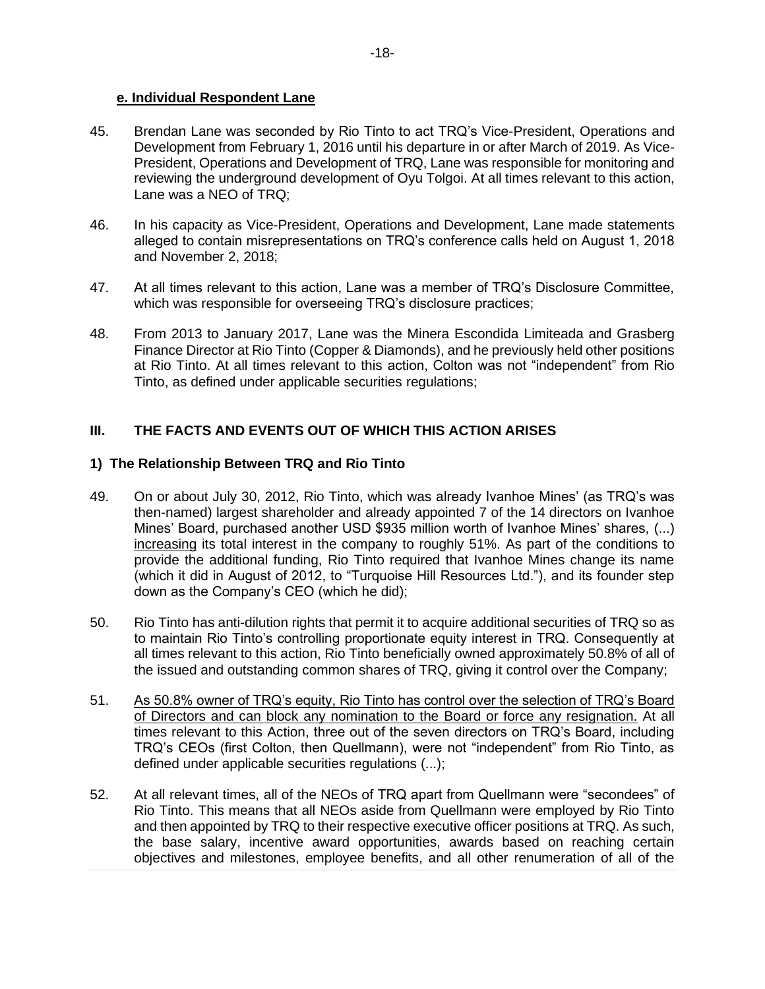#### **e. Individual Respondent Lane**

- 45. Brendan Lane was seconded by Rio Tinto to act TRQ's Vice-President, Operations and Development from February 1, 2016 until his departure in or after March of 2019. As Vice-President, Operations and Development of TRQ, Lane was responsible for monitoring and reviewing the underground development of Oyu Tolgoi. At all times relevant to this action, Lane was a NEO of TRQ;
- 46. In his capacity as Vice-President, Operations and Development, Lane made statements alleged to contain misrepresentations on TRQ's conference calls held on August 1, 2018 and November 2, 2018;
- 47. At all times relevant to this action, Lane was a member of TRQ's Disclosure Committee, which was responsible for overseeing TRQ's disclosure practices;
- 48. From 2013 to January 2017, Lane was the Minera Escondida Limiteada and Grasberg Finance Director at Rio Tinto (Copper & Diamonds), and he previously held other positions at Rio Tinto. At all times relevant to this action, Colton was not "independent" from Rio Tinto, as defined under applicable securities regulations;

# **III. THE FACTS AND EVENTS OUT OF WHICH THIS ACTION ARISES**

#### **1) The Relationship Between TRQ and Rio Tinto**

- 49. On or about July 30, 2012, Rio Tinto, which was already Ivanhoe Mines' (as TRQ's was then-named) largest shareholder and already appointed 7 of the 14 directors on Ivanhoe Mines' Board, purchased another USD \$935 million worth of Ivanhoe Mines' shares, (...) increasing its total interest in the company to roughly 51%. As part of the conditions to provide the additional funding, Rio Tinto required that Ivanhoe Mines change its name (which it did in August of 2012, to "Turquoise Hill Resources Ltd."), and its founder step down as the Company's CEO (which he did);
- 50. Rio Tinto has anti-dilution rights that permit it to acquire additional securities of TRQ so as to maintain Rio Tinto's controlling proportionate equity interest in TRQ. Consequently at all times relevant to this action, Rio Tinto beneficially owned approximately 50.8% of all of the issued and outstanding common shares of TRQ, giving it control over the Company;
- 51. As 50.8% owner of TRQ's equity, Rio Tinto has control over the selection of TRQ's Board of Directors and can block any nomination to the Board or force any resignation. At all times relevant to this Action, three out of the seven directors on TRQ's Board, including TRQ's CEOs (first Colton, then Quellmann), were not "independent" from Rio Tinto, as defined under applicable securities regulations (...);
- 52. At all relevant times, all of the NEOs of TRQ apart from Quellmann were "secondees" of Rio Tinto. This means that all NEOs aside from Quellmann were employed by Rio Tinto and then appointed by TRQ to their respective executive officer positions at TRQ. As such, the base salary, incentive award opportunities, awards based on reaching certain objectives and milestones, employee benefits, and all other renumeration of all of the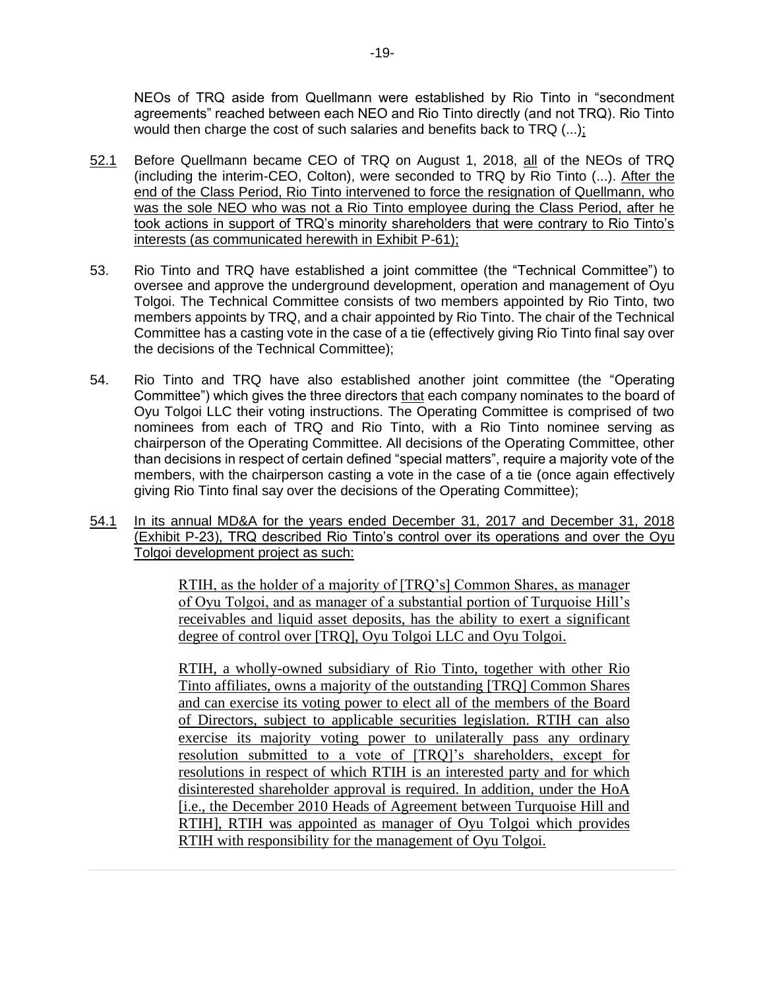NEOs of TRQ aside from Quellmann were established by Rio Tinto in "secondment agreements" reached between each NEO and Rio Tinto directly (and not TRQ). Rio Tinto would then charge the cost of such salaries and benefits back to  $TRQ$  (...);

- 52.1 Before Quellmann became CEO of TRQ on August 1, 2018, all of the NEOs of TRQ (including the interim-CEO, Colton), were seconded to TRQ by Rio Tinto (...). After the end of the Class Period, Rio Tinto intervened to force the resignation of Quellmann, who was the sole NEO who was not a Rio Tinto employee during the Class Period, after he took actions in support of TRQ's minority shareholders that were contrary to Rio Tinto's interests (as communicated herewith in Exhibit P-61);
- 53. Rio Tinto and TRQ have established a joint committee (the "Technical Committee") to oversee and approve the underground development, operation and management of Oyu Tolgoi. The Technical Committee consists of two members appointed by Rio Tinto, two members appoints by TRQ, and a chair appointed by Rio Tinto. The chair of the Technical Committee has a casting vote in the case of a tie (effectively giving Rio Tinto final say over the decisions of the Technical Committee);
- 54. Rio Tinto and TRQ have also established another joint committee (the "Operating Committee") which gives the three directors that each company nominates to the board of Oyu Tolgoi LLC their voting instructions. The Operating Committee is comprised of two nominees from each of TRQ and Rio Tinto, with a Rio Tinto nominee serving as chairperson of the Operating Committee. All decisions of the Operating Committee, other than decisions in respect of certain defined "special matters", require a majority vote of the members, with the chairperson casting a vote in the case of a tie (once again effectively giving Rio Tinto final say over the decisions of the Operating Committee);
- 54.1 In its annual MD&A for the years ended December 31, 2017 and December 31, 2018 (Exhibit P-23), TRQ described Rio Tinto's control over its operations and over the Oyu Tolgoi development project as such:

RTIH, as the holder of a majority of [TRQ's] Common Shares, as manager of Oyu Tolgoi, and as manager of a substantial portion of Turquoise Hill's receivables and liquid asset deposits, has the ability to exert a significant degree of control over [TRQ], Oyu Tolgoi LLC and Oyu Tolgoi.

RTIH, a wholly-owned subsidiary of Rio Tinto, together with other Rio Tinto affiliates, owns a majority of the outstanding [TRQ] Common Shares and can exercise its voting power to elect all of the members of the Board of Directors, subject to applicable securities legislation. RTIH can also exercise its majority voting power to unilaterally pass any ordinary resolution submitted to a vote of [TRQ]'s shareholders, except for resolutions in respect of which RTIH is an interested party and for which disinterested shareholder approval is required. In addition, under the HoA [i.e., the December 2010 Heads of Agreement between Turquoise Hill and RTIH], RTIH was appointed as manager of Oyu Tolgoi which provides RTIH with responsibility for the management of Oyu Tolgoi.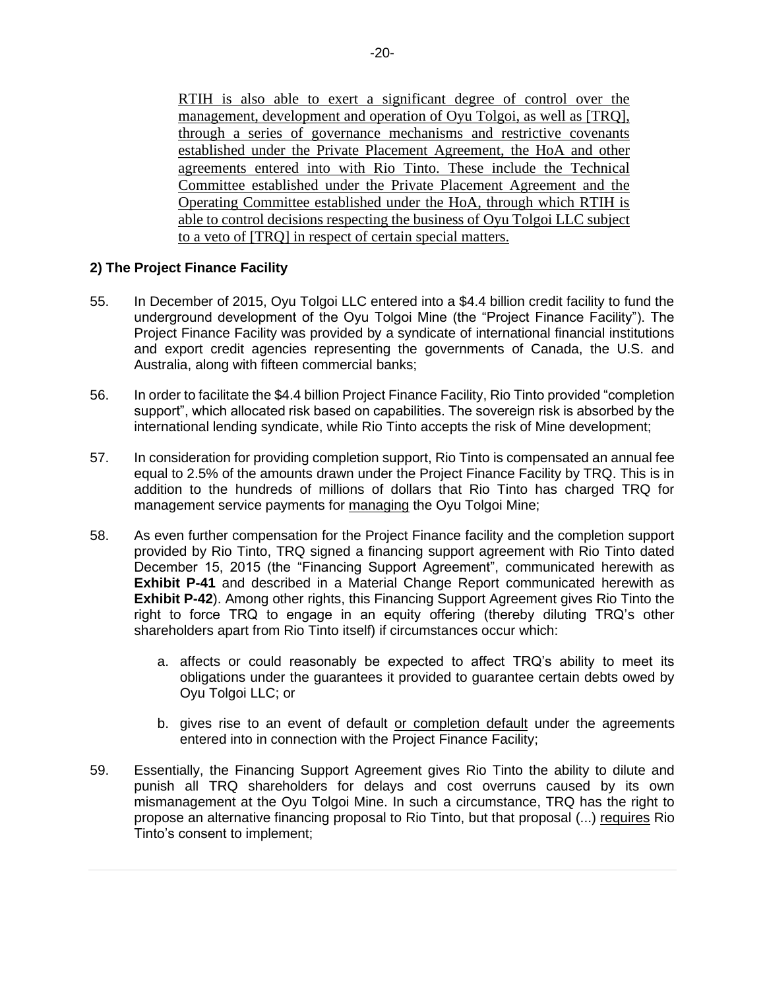RTIH is also able to exert a significant degree of control over the management, development and operation of Oyu Tolgoi, as well as [TRQ], through a series of governance mechanisms and restrictive covenants established under the Private Placement Agreement, the HoA and other agreements entered into with Rio Tinto. These include the Technical Committee established under the Private Placement Agreement and the Operating Committee established under the HoA, through which RTIH is able to control decisions respecting the business of Oyu Tolgoi LLC subject to a veto of [TRQ] in respect of certain special matters.

#### **2) The Project Finance Facility**

- 55. In December of 2015, Oyu Tolgoi LLC entered into a \$4.4 billion credit facility to fund the underground development of the Oyu Tolgoi Mine (the "Project Finance Facility"). The Project Finance Facility was provided by a syndicate of international financial institutions and export credit agencies representing the governments of Canada, the U.S. and Australia, along with fifteen commercial banks;
- 56. In order to facilitate the \$4.4 billion Project Finance Facility, Rio Tinto provided "completion support", which allocated risk based on capabilities. The sovereign risk is absorbed by the international lending syndicate, while Rio Tinto accepts the risk of Mine development;
- 57. In consideration for providing completion support, Rio Tinto is compensated an annual fee equal to 2.5% of the amounts drawn under the Project Finance Facility by TRQ. This is in addition to the hundreds of millions of dollars that Rio Tinto has charged TRQ for management service payments for managing the Oyu Tolgoi Mine;
- 58. As even further compensation for the Project Finance facility and the completion support provided by Rio Tinto, TRQ signed a financing support agreement with Rio Tinto dated December 15, 2015 (the "Financing Support Agreement", communicated herewith as **Exhibit P-41** and described in a Material Change Report communicated herewith as **Exhibit P-42**). Among other rights, this Financing Support Agreement gives Rio Tinto the right to force TRQ to engage in an equity offering (thereby diluting TRQ's other shareholders apart from Rio Tinto itself) if circumstances occur which:
	- a. affects or could reasonably be expected to affect TRQ's ability to meet its obligations under the guarantees it provided to guarantee certain debts owed by Oyu Tolgoi LLC; or
	- b. gives rise to an event of default or completion default under the agreements entered into in connection with the Project Finance Facility;
- 59. Essentially, the Financing Support Agreement gives Rio Tinto the ability to dilute and punish all TRQ shareholders for delays and cost overruns caused by its own mismanagement at the Oyu Tolgoi Mine. In such a circumstance, TRQ has the right to propose an alternative financing proposal to Rio Tinto, but that proposal (...) requires Rio Tinto's consent to implement;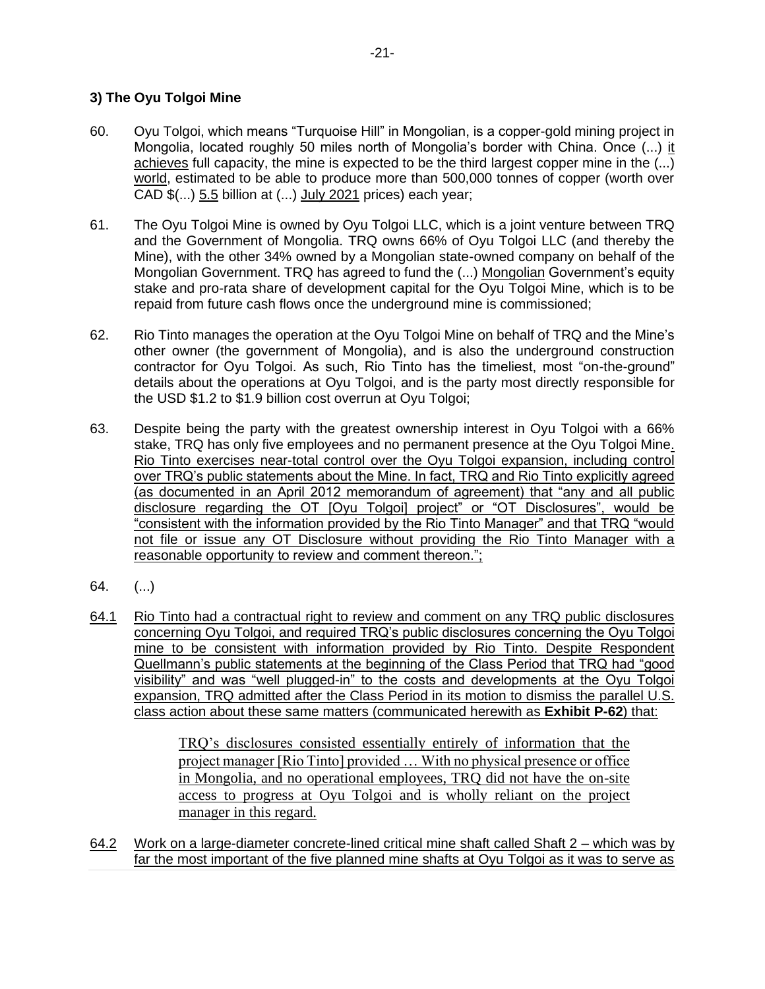# **3) The Oyu Tolgoi Mine**

- 60. Oyu Tolgoi, which means "Turquoise Hill" in Mongolian, is a copper-gold mining project in Mongolia, located roughly 50 miles north of Mongolia's border with China. Once (...) it achieves full capacity, the mine is expected to be the third largest copper mine in the (...) world, estimated to be able to produce more than 500,000 tonnes of copper (worth over CAD  $\$(...)$  5.5 billion at  $(...)$  July 2021 prices) each year;
- 61. The Oyu Tolgoi Mine is owned by Oyu Tolgoi LLC, which is a joint venture between TRQ and the Government of Mongolia. TRQ owns 66% of Oyu Tolgoi LLC (and thereby the Mine), with the other 34% owned by a Mongolian state-owned company on behalf of the Mongolian Government. TRQ has agreed to fund the (...) Mongolian Government's equity stake and pro-rata share of development capital for the Oyu Tolgoi Mine, which is to be repaid from future cash flows once the underground mine is commissioned;
- 62. Rio Tinto manages the operation at the Oyu Tolgoi Mine on behalf of TRQ and the Mine's other owner (the government of Mongolia), and is also the underground construction contractor for Oyu Tolgoi. As such, Rio Tinto has the timeliest, most "on-the-ground" details about the operations at Oyu Tolgoi, and is the party most directly responsible for the USD \$1.2 to \$1.9 billion cost overrun at Oyu Tolgoi;
- 63. Despite being the party with the greatest ownership interest in Oyu Tolgoi with a 66% stake, TRQ has only five employees and no permanent presence at the Oyu Tolgoi Mine. Rio Tinto exercises near-total control over the Oyu Tolgoi expansion, including control over TRQ's public statements about the Mine. In fact, TRQ and Rio Tinto explicitly agreed (as documented in an April 2012 memorandum of agreement) that "any and all public disclosure regarding the OT [Oyu Tolgoi] project" or "OT Disclosures", would be "consistent with the information provided by the Rio Tinto Manager" and that TRQ "would not file or issue any OT Disclosure without providing the Rio Tinto Manager with a reasonable opportunity to review and comment thereon.";
- 64. (...)
- 64.1 Rio Tinto had a contractual right to review and comment on any TRQ public disclosures concerning Oyu Tolgoi, and required TRQ's public disclosures concerning the Oyu Tolgoi mine to be consistent with information provided by Rio Tinto. Despite Respondent Quellmann's public statements at the beginning of the Class Period that TRQ had "good visibility" and was "well plugged-in" to the costs and developments at the Oyu Tolgoi expansion, TRQ admitted after the Class Period in its motion to dismiss the parallel U.S. class action about these same matters (communicated herewith as **Exhibit P-62**) that:

TRQ's disclosures consisted essentially entirely of information that the project manager [Rio Tinto] provided … With no physical presence or office in Mongolia, and no operational employees, TRQ did not have the on-site access to progress at Oyu Tolgoi and is wholly reliant on the project manager in this regard.

64.2 Work on a large-diameter concrete-lined critical mine shaft called Shaft 2 – which was by far the most important of the five planned mine shafts at Oyu Tolgoi as it was to serve as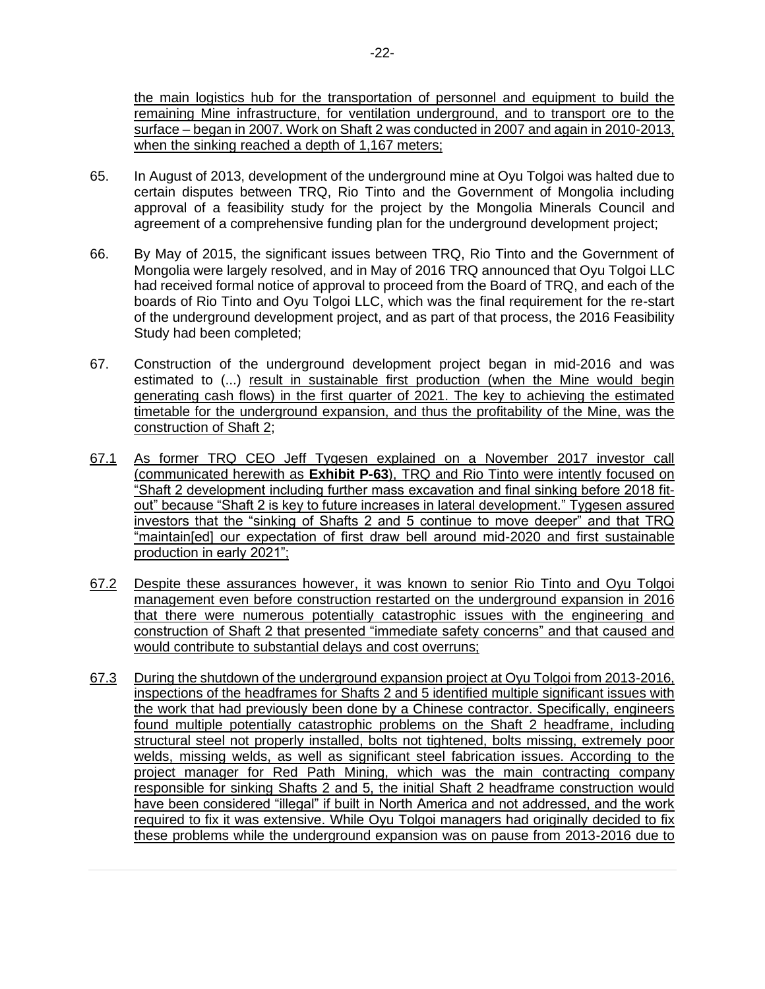the main logistics hub for the transportation of personnel and equipment to build the remaining Mine infrastructure, for ventilation underground, and to transport ore to the surface – began in 2007. Work on Shaft 2 was conducted in 2007 and again in 2010-2013, when the sinking reached a depth of 1,167 meters;

- 65. In August of 2013, development of the underground mine at Oyu Tolgoi was halted due to certain disputes between TRQ, Rio Tinto and the Government of Mongolia including approval of a feasibility study for the project by the Mongolia Minerals Council and agreement of a comprehensive funding plan for the underground development project;
- 66. By May of 2015, the significant issues between TRQ, Rio Tinto and the Government of Mongolia were largely resolved, and in May of 2016 TRQ announced that Oyu Tolgoi LLC had received formal notice of approval to proceed from the Board of TRQ, and each of the boards of Rio Tinto and Oyu Tolgoi LLC, which was the final requirement for the re-start of the underground development project, and as part of that process, the 2016 Feasibility Study had been completed;
- 67. Construction of the underground development project began in mid-2016 and was estimated to (...) result in sustainable first production (when the Mine would begin generating cash flows) in the first quarter of 2021. The key to achieving the estimated timetable for the underground expansion, and thus the profitability of the Mine, was the construction of Shaft 2;
- 67.1 As former TRQ CEO Jeff Tygesen explained on a November 2017 investor call (communicated herewith as **Exhibit P-63**), TRQ and Rio Tinto were intently focused on "Shaft 2 development including further mass excavation and final sinking before 2018 fitout" because "Shaft 2 is key to future increases in lateral development." Tygesen assured investors that the "sinking of Shafts 2 and 5 continue to move deeper" and that TRQ "maintain[ed] our expectation of first draw bell around mid-2020 and first sustainable production in early 2021";
- 67.2 Despite these assurances however, it was known to senior Rio Tinto and Oyu Tolgoi management even before construction restarted on the underground expansion in 2016 that there were numerous potentially catastrophic issues with the engineering and construction of Shaft 2 that presented "immediate safety concerns" and that caused and would contribute to substantial delays and cost overruns;
- 67.3 During the shutdown of the underground expansion project at Oyu Tolgoi from 2013-2016, inspections of the headframes for Shafts 2 and 5 identified multiple significant issues with the work that had previously been done by a Chinese contractor. Specifically, engineers found multiple potentially catastrophic problems on the Shaft 2 headframe, including structural steel not properly installed, bolts not tightened, bolts missing, extremely poor welds, missing welds, as well as significant steel fabrication issues. According to the project manager for Red Path Mining, which was the main contracting company responsible for sinking Shafts 2 and 5, the initial Shaft 2 headframe construction would have been considered "illegal" if built in North America and not addressed, and the work required to fix it was extensive. While Oyu Tolgoi managers had originally decided to fix these problems while the underground expansion was on pause from 2013-2016 due to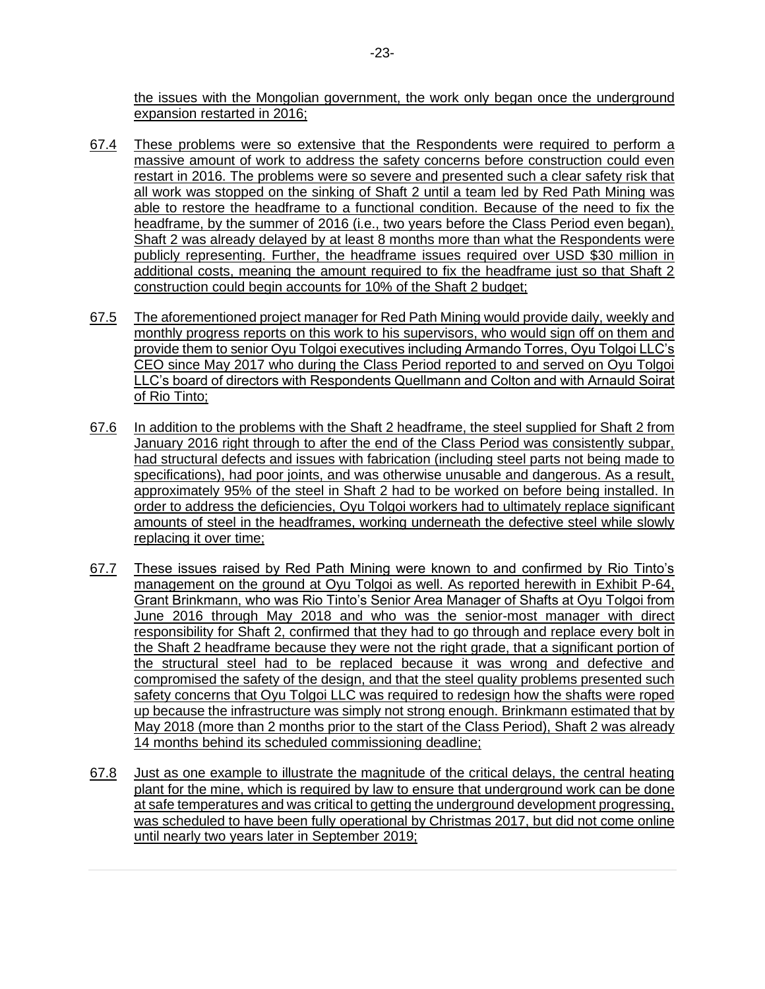the issues with the Mongolian government, the work only began once the underground expansion restarted in 2016;

- 67.4 These problems were so extensive that the Respondents were required to perform a massive amount of work to address the safety concerns before construction could even restart in 2016. The problems were so severe and presented such a clear safety risk that all work was stopped on the sinking of Shaft 2 until a team led by Red Path Mining was able to restore the headframe to a functional condition. Because of the need to fix the headframe, by the summer of 2016 (i.e., two years before the Class Period even began), Shaft 2 was already delayed by at least 8 months more than what the Respondents were publicly representing. Further, the headframe issues required over USD \$30 million in additional costs, meaning the amount required to fix the headframe just so that Shaft 2 construction could begin accounts for 10% of the Shaft 2 budget;
- 67.5 The aforementioned project manager for Red Path Mining would provide daily, weekly and monthly progress reports on this work to his supervisors, who would sign off on them and provide them to senior Oyu Tolgoi executives including Armando Torres, Oyu Tolgoi LLC's CEO since May 2017 who during the Class Period reported to and served on Oyu Tolgoi LLC's board of directors with Respondents Quellmann and Colton and with Arnauld Soirat of Rio Tinto;
- 67.6 In addition to the problems with the Shaft 2 headframe, the steel supplied for Shaft 2 from January 2016 right through to after the end of the Class Period was consistently subpar, had structural defects and issues with fabrication (including steel parts not being made to specifications), had poor joints, and was otherwise unusable and dangerous. As a result, approximately 95% of the steel in Shaft 2 had to be worked on before being installed. In order to address the deficiencies, Oyu Tolgoi workers had to ultimately replace significant amounts of steel in the headframes, working underneath the defective steel while slowly replacing it over time;
- 67.7 These issues raised by Red Path Mining were known to and confirmed by Rio Tinto's management on the ground at Oyu Tolgoi as well. As reported herewith in Exhibit P-64, Grant Brinkmann, who was Rio Tinto's Senior Area Manager of Shafts at Oyu Tolgoi from June 2016 through May 2018 and who was the senior-most manager with direct responsibility for Shaft 2, confirmed that they had to go through and replace every bolt in the Shaft 2 headframe because they were not the right grade, that a significant portion of the structural steel had to be replaced because it was wrong and defective and compromised the safety of the design, and that the steel quality problems presented such safety concerns that Oyu Tolgoi LLC was required to redesign how the shafts were roped up because the infrastructure was simply not strong enough. Brinkmann estimated that by May 2018 (more than 2 months prior to the start of the Class Period), Shaft 2 was already 14 months behind its scheduled commissioning deadline;
- 67.8 Just as one example to illustrate the magnitude of the critical delays, the central heating plant for the mine, which is required by law to ensure that underground work can be done at safe temperatures and was critical to getting the underground development progressing, was scheduled to have been fully operational by Christmas 2017, but did not come online until nearly two years later in September 2019;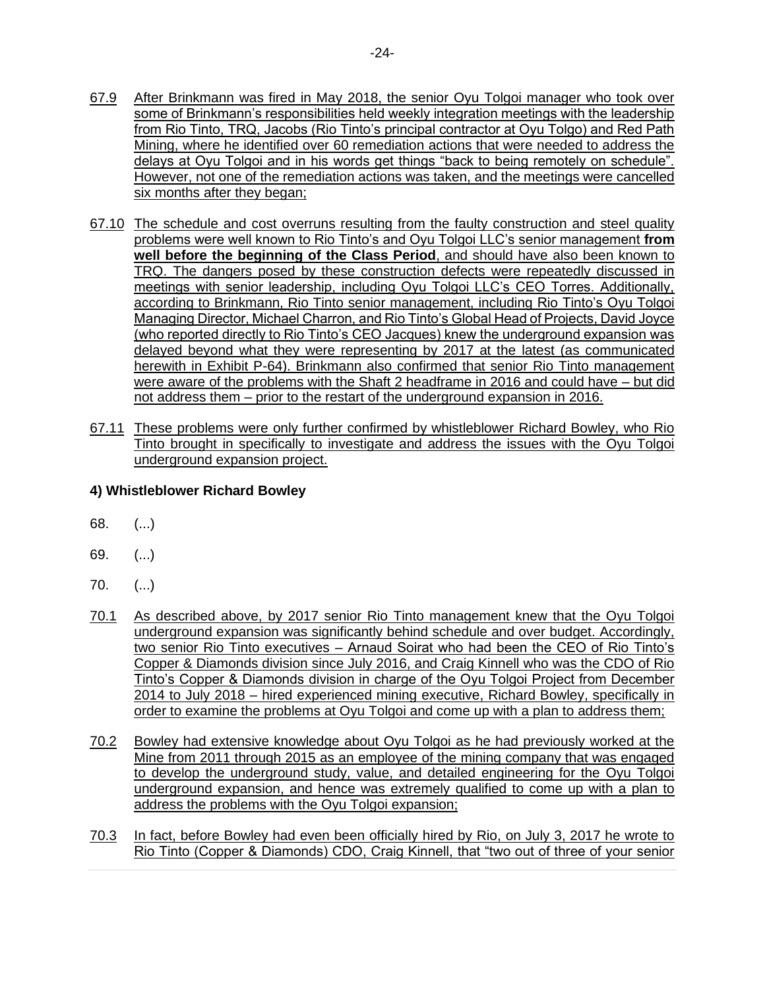- 67.9 After Brinkmann was fired in May 2018, the senior Oyu Tolgoi manager who took over some of Brinkmann's responsibilities held weekly integration meetings with the leadership from Rio Tinto, TRQ, Jacobs (Rio Tinto's principal contractor at Oyu Tolgo) and Red Path Mining, where he identified over 60 remediation actions that were needed to address the delays at Oyu Tolgoi and in his words get things "back to being remotely on schedule". However, not one of the remediation actions was taken, and the meetings were cancelled six months after they began;
- 67.10 The schedule and cost overruns resulting from the faulty construction and steel quality problems were well known to Rio Tinto's and Oyu Tolgoi LLC's senior management **from well before the beginning of the Class Period**, and should have also been known to TRQ. The dangers posed by these construction defects were repeatedly discussed in meetings with senior leadership, including Oyu Tolgoi LLC's CEO Torres. Additionally, according to Brinkmann, Rio Tinto senior management, including Rio Tinto's Oyu Tolgoi Managing Director, Michael Charron, and Rio Tinto's Global Head of Projects, David Joyce (who reported directly to Rio Tinto's CEO Jacques) knew the underground expansion was delayed beyond what they were representing by 2017 at the latest (as communicated herewith in Exhibit P-64). Brinkmann also confirmed that senior Rio Tinto management were aware of the problems with the Shaft 2 headframe in 2016 and could have – but did not address them – prior to the restart of the underground expansion in 2016.
- 67.11 These problems were only further confirmed by whistleblower Richard Bowley, who Rio Tinto brought in specifically to investigate and address the issues with the Oyu Tolgoi underground expansion project.

#### **4) Whistleblower Richard Bowley**

- 68. (...)
- 69. (...)
- 70. (...)
- 70.1 As described above, by 2017 senior Rio Tinto management knew that the Oyu Tolgoi underground expansion was significantly behind schedule and over budget. Accordingly, two senior Rio Tinto executives – Arnaud Soirat who had been the CEO of Rio Tinto's Copper & Diamonds division since July 2016, and Craig Kinnell who was the CDO of Rio Tinto's Copper & Diamonds division in charge of the Oyu Tolgoi Project from December 2014 to July 2018 – hired experienced mining executive, Richard Bowley, specifically in order to examine the problems at Oyu Tolgoi and come up with a plan to address them;
- 70.2 Bowley had extensive knowledge about Oyu Tolgoi as he had previously worked at the Mine from 2011 through 2015 as an employee of the mining company that was engaged to develop the underground study, value, and detailed engineering for the Oyu Tolgoi underground expansion, and hence was extremely qualified to come up with a plan to address the problems with the Oyu Tolgoi expansion;
- 70.3 In fact, before Bowley had even been officially hired by Rio, on July 3, 2017 he wrote to Rio Tinto (Copper & Diamonds) CDO, Craig Kinnell, that "two out of three of your senior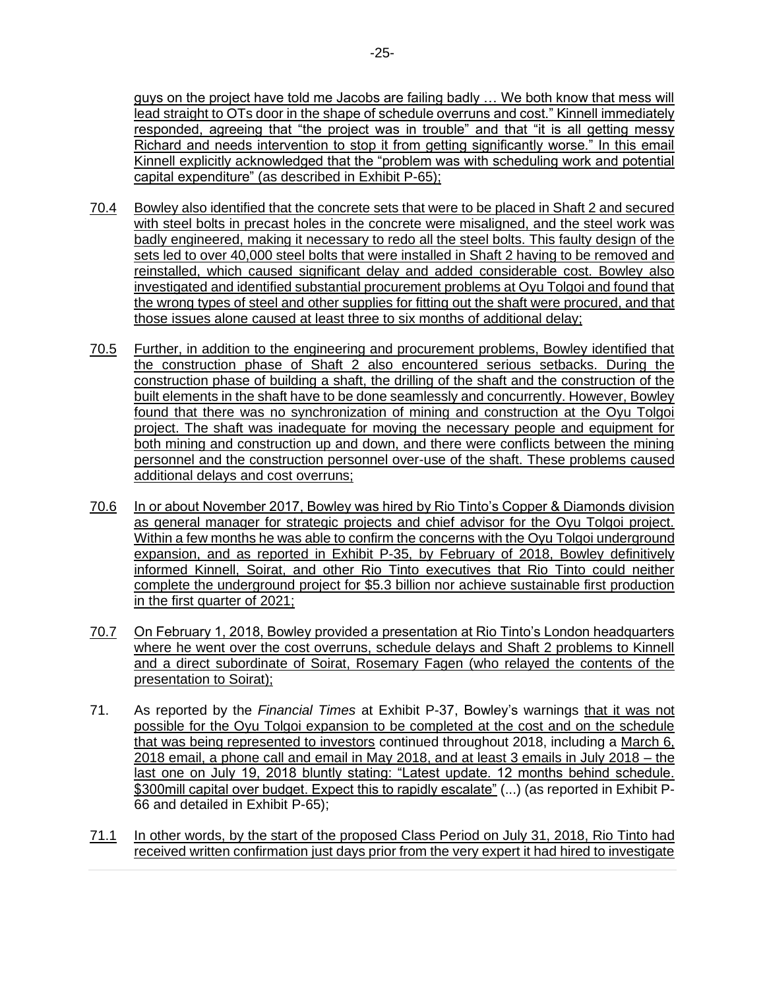guys on the project have told me Jacobs are failing badly … We both know that mess will lead straight to OTs door in the shape of schedule overruns and cost." Kinnell immediately responded, agreeing that "the project was in trouble" and that "it is all getting messy Richard and needs intervention to stop it from getting significantly worse." In this email Kinnell explicitly acknowledged that the "problem was with scheduling work and potential capital expenditure" (as described in Exhibit P-65);

- 70.4 Bowley also identified that the concrete sets that were to be placed in Shaft 2 and secured with steel bolts in precast holes in the concrete were misaligned, and the steel work was badly engineered, making it necessary to redo all the steel bolts. This faulty design of the sets led to over 40,000 steel bolts that were installed in Shaft 2 having to be removed and reinstalled, which caused significant delay and added considerable cost. Bowley also investigated and identified substantial procurement problems at Oyu Tolgoi and found that the wrong types of steel and other supplies for fitting out the shaft were procured, and that those issues alone caused at least three to six months of additional delay;
- 70.5 Further, in addition to the engineering and procurement problems, Bowley identified that the construction phase of Shaft 2 also encountered serious setbacks. During the construction phase of building a shaft, the drilling of the shaft and the construction of the built elements in the shaft have to be done seamlessly and concurrently. However, Bowley found that there was no synchronization of mining and construction at the Oyu Tolgoi project. The shaft was inadequate for moving the necessary people and equipment for both mining and construction up and down, and there were conflicts between the mining personnel and the construction personnel over-use of the shaft. These problems caused additional delays and cost overruns;
- 70.6 In or about November 2017, Bowley was hired by Rio Tinto's Copper & Diamonds division as general manager for strategic projects and chief advisor for the Oyu Tolgoi project. Within a few months he was able to confirm the concerns with the Oyu Tolgoi underground expansion, and as reported in Exhibit P-35, by February of 2018, Bowley definitively informed Kinnell, Soirat, and other Rio Tinto executives that Rio Tinto could neither complete the underground project for \$5.3 billion nor achieve sustainable first production in the first quarter of 2021;
- 70.7 On February 1, 2018, Bowley provided a presentation at Rio Tinto's London headquarters where he went over the cost overruns, schedule delays and Shaft 2 problems to Kinnell and a direct subordinate of Soirat, Rosemary Fagen (who relayed the contents of the presentation to Soirat);
- 71. As reported by the *Financial Times* at Exhibit P-37, Bowley's warnings that it was not possible for the Oyu Tolgoi expansion to be completed at the cost and on the schedule that was being represented to investors continued throughout 2018, including a March 6, 2018 email, a phone call and email in May 2018, and at least 3 emails in July 2018 – the last one on July 19, 2018 bluntly stating: "Latest update. 12 months behind schedule. \$300mill capital over budget. Expect this to rapidly escalate" (...) (as reported in Exhibit P-66 and detailed in Exhibit P-65);
- 71.1 In other words, by the start of the proposed Class Period on July 31, 2018, Rio Tinto had received written confirmation just days prior from the very expert it had hired to investigate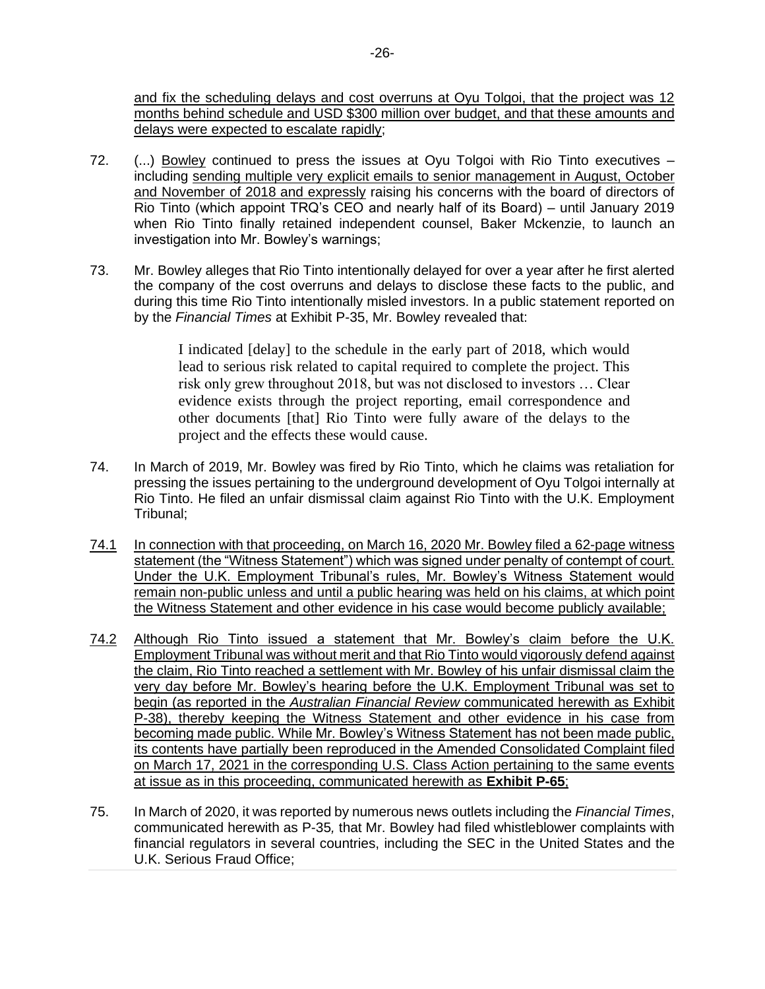and fix the scheduling delays and cost overruns at Oyu Tolgoi, that the project was 12 months behind schedule and USD \$300 million over budget, and that these amounts and delays were expected to escalate rapidly;

- 72. (...) Bowley continued to press the issues at Oyu Tolgoi with Rio Tinto executives including sending multiple very explicit emails to senior management in August, October and November of 2018 and expressly raising his concerns with the board of directors of Rio Tinto (which appoint TRQ's CEO and nearly half of its Board) – until January 2019 when Rio Tinto finally retained independent counsel, Baker Mckenzie, to launch an investigation into Mr. Bowley's warnings;
- 73. Mr. Bowley alleges that Rio Tinto intentionally delayed for over a year after he first alerted the company of the cost overruns and delays to disclose these facts to the public, and during this time Rio Tinto intentionally misled investors. In a public statement reported on by the *Financial Times* at Exhibit P-35, Mr. Bowley revealed that:

I indicated [delay] to the schedule in the early part of 2018, which would lead to serious risk related to capital required to complete the project. This risk only grew throughout 2018, but was not disclosed to investors … Clear evidence exists through the project reporting, email correspondence and other documents [that] Rio Tinto were fully aware of the delays to the project and the effects these would cause.

- 74. In March of 2019, Mr. Bowley was fired by Rio Tinto, which he claims was retaliation for pressing the issues pertaining to the underground development of Oyu Tolgoi internally at Rio Tinto. He filed an unfair dismissal claim against Rio Tinto with the U.K. Employment Tribunal;
- 74.1 In connection with that proceeding, on March 16, 2020 Mr. Bowley filed a 62-page witness statement (the "Witness Statement") which was signed under penalty of contempt of court. Under the U.K. Employment Tribunal's rules, Mr. Bowley's Witness Statement would remain non-public unless and until a public hearing was held on his claims, at which point the Witness Statement and other evidence in his case would become publicly available;
- 74.2 Although Rio Tinto issued a statement that Mr. Bowley's claim before the U.K. Employment Tribunal was without merit and that Rio Tinto would vigorously defend against the claim, Rio Tinto reached a settlement with Mr. Bowley of his unfair dismissal claim the very day before Mr. Bowley's hearing before the U.K. Employment Tribunal was set to begin (as reported in the *Australian Financial Review* communicated herewith as Exhibit P-38), thereby keeping the Witness Statement and other evidence in his case from becoming made public. While Mr. Bowley's Witness Statement has not been made public, its contents have partially been reproduced in the Amended Consolidated Complaint filed on March 17, 2021 in the corresponding U.S. Class Action pertaining to the same events at issue as in this proceeding, communicated herewith as **Exhibit P-65**;
- 75. In March of 2020, it was reported by numerous news outlets including the *Financial Times*, communicated herewith as P-35*,* that Mr. Bowley had filed whistleblower complaints with financial regulators in several countries, including the SEC in the United States and the U.K. Serious Fraud Office;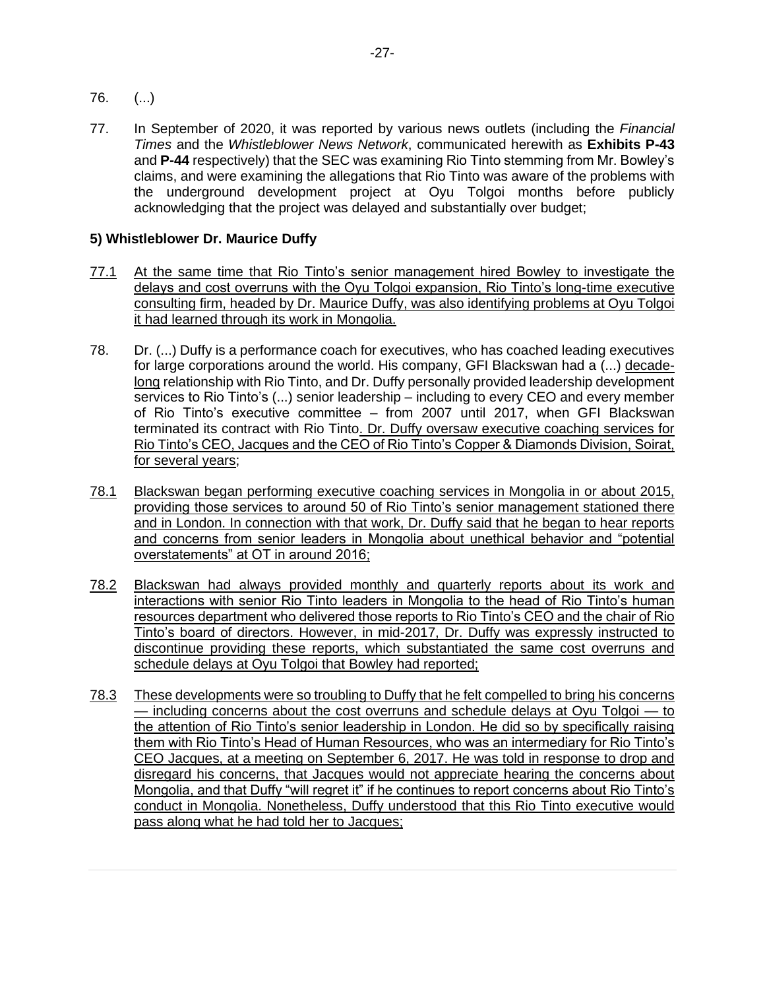- 76. (...)
- 77. In September of 2020, it was reported by various news outlets (including the *Financial Times* and the *Whistleblower News Network*, communicated herewith as **Exhibits P-43**  and **P-44** respectively) that the SEC was examining Rio Tinto stemming from Mr. Bowley's claims, and were examining the allegations that Rio Tinto was aware of the problems with the underground development project at Oyu Tolgoi months before publicly acknowledging that the project was delayed and substantially over budget;

## **5) Whistleblower Dr. Maurice Duffy**

- 77.1 At the same time that Rio Tinto's senior management hired Bowley to investigate the delays and cost overruns with the Oyu Tolgoi expansion, Rio Tinto's long-time executive consulting firm, headed by Dr. Maurice Duffy, was also identifying problems at Oyu Tolgoi it had learned through its work in Mongolia.
- 78. Dr. (...) Duffy is a performance coach for executives, who has coached leading executives for large corporations around the world. His company, GFI Blackswan had a (...) decadelong relationship with Rio Tinto, and Dr. Duffy personally provided leadership development services to Rio Tinto's (...) senior leadership – including to every CEO and every member of Rio Tinto's executive committee – from 2007 until 2017, when GFI Blackswan terminated its contract with Rio Tinto. Dr. Duffy oversaw executive coaching services for Rio Tinto's CEO, Jacques and the CEO of Rio Tinto's Copper & Diamonds Division, Soirat, for several years;
- 78.1 Blackswan began performing executive coaching services in Mongolia in or about 2015, providing those services to around 50 of Rio Tinto's senior management stationed there and in London. In connection with that work, Dr. Duffy said that he began to hear reports and concerns from senior leaders in Mongolia about unethical behavior and "potential overstatements" at OT in around 2016;
- 78.2 Blackswan had always provided monthly and quarterly reports about its work and interactions with senior Rio Tinto leaders in Mongolia to the head of Rio Tinto's human resources department who delivered those reports to Rio Tinto's CEO and the chair of Rio Tinto's board of directors. However, in mid-2017, Dr. Duffy was expressly instructed to discontinue providing these reports, which substantiated the same cost overruns and schedule delays at Oyu Tolgoi that Bowley had reported;
- 78.3 These developments were so troubling to Duffy that he felt compelled to bring his concerns — including concerns about the cost overruns and schedule delays at Oyu Tolgoi — to the attention of Rio Tinto's senior leadership in London. He did so by specifically raising them with Rio Tinto's Head of Human Resources, who was an intermediary for Rio Tinto's CEO Jacques, at a meeting on September 6, 2017. He was told in response to drop and disregard his concerns, that Jacques would not appreciate hearing the concerns about Mongolia, and that Duffy "will regret it" if he continues to report concerns about Rio Tinto's conduct in Mongolia. Nonetheless, Duffy understood that this Rio Tinto executive would pass along what he had told her to Jacques;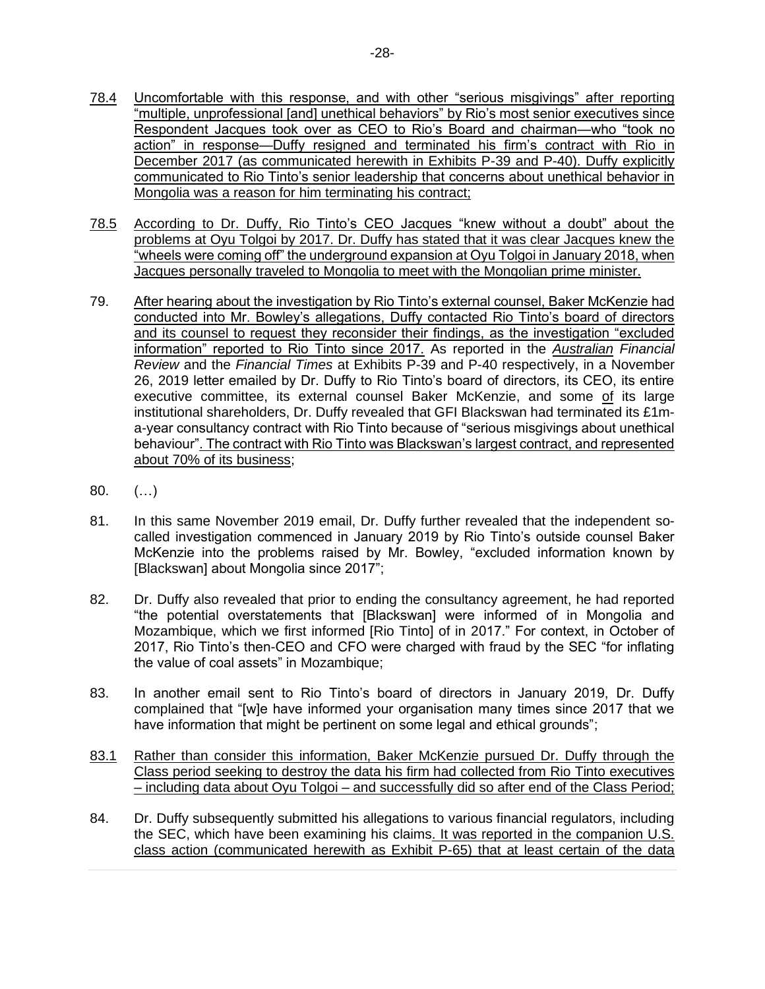- 78.4 Uncomfortable with this response, and with other "serious misgivings" after reporting "multiple, unprofessional [and] unethical behaviors" by Rio's most senior executives since Respondent Jacques took over as CEO to Rio's Board and chairman—who "took no action" in response—Duffy resigned and terminated his firm's contract with Rio in December 2017 (as communicated herewith in Exhibits P-39 and P-40). Duffy explicitly communicated to Rio Tinto's senior leadership that concerns about unethical behavior in Mongolia was a reason for him terminating his contract;
- 78.5 According to Dr. Duffy, Rio Tinto's CEO Jacques "knew without a doubt" about the problems at Oyu Tolgoi by 2017. Dr. Duffy has stated that it was clear Jacques knew the "wheels were coming off" the underground expansion at Oyu Tolgoi in January 2018, when Jacques personally traveled to Mongolia to meet with the Mongolian prime minister.
- 79. After hearing about the investigation by Rio Tinto's external counsel, Baker McKenzie had conducted into Mr. Bowley's allegations, Duffy contacted Rio Tinto's board of directors and its counsel to request they reconsider their findings, as the investigation "excluded information" reported to Rio Tinto since 2017. As reported in the *Australian Financial Review* and the *Financial Times* at Exhibits P-39 and P-40 respectively, in a November 26, 2019 letter emailed by Dr. Duffy to Rio Tinto's board of directors, its CEO, its entire executive committee, its external counsel Baker McKenzie, and some of its large institutional shareholders, Dr. Duffy revealed that GFI Blackswan had terminated its £1ma-year consultancy contract with Rio Tinto because of "serious misgivings about unethical behaviour". The contract with Rio Tinto was Blackswan's largest contract, and represented about 70% of its business;
- 80. (…)
- 81. In this same November 2019 email, Dr. Duffy further revealed that the independent socalled investigation commenced in January 2019 by Rio Tinto's outside counsel Baker McKenzie into the problems raised by Mr. Bowley, "excluded information known by [Blackswan] about Mongolia since 2017";
- 82. Dr. Duffy also revealed that prior to ending the consultancy agreement, he had reported "the potential overstatements that [Blackswan] were informed of in Mongolia and Mozambique, which we first informed [Rio Tinto] of in 2017." For context, in October of 2017, Rio Tinto's then-CEO and CFO were charged with fraud by the SEC "for inflating the value of coal assets" in Mozambique;
- 83. In another email sent to Rio Tinto's board of directors in January 2019, Dr. Duffy complained that "[w]e have informed your organisation many times since 2017 that we have information that might be pertinent on some legal and ethical grounds";
- 83.1 Rather than consider this information, Baker McKenzie pursued Dr. Duffy through the Class period seeking to destroy the data his firm had collected from Rio Tinto executives – including data about Oyu Tolgoi – and successfully did so after end of the Class Period;
- 84. Dr. Duffy subsequently submitted his allegations to various financial regulators, including the SEC, which have been examining his claims. It was reported in the companion U.S. class action (communicated herewith as Exhibit P-65) that at least certain of the data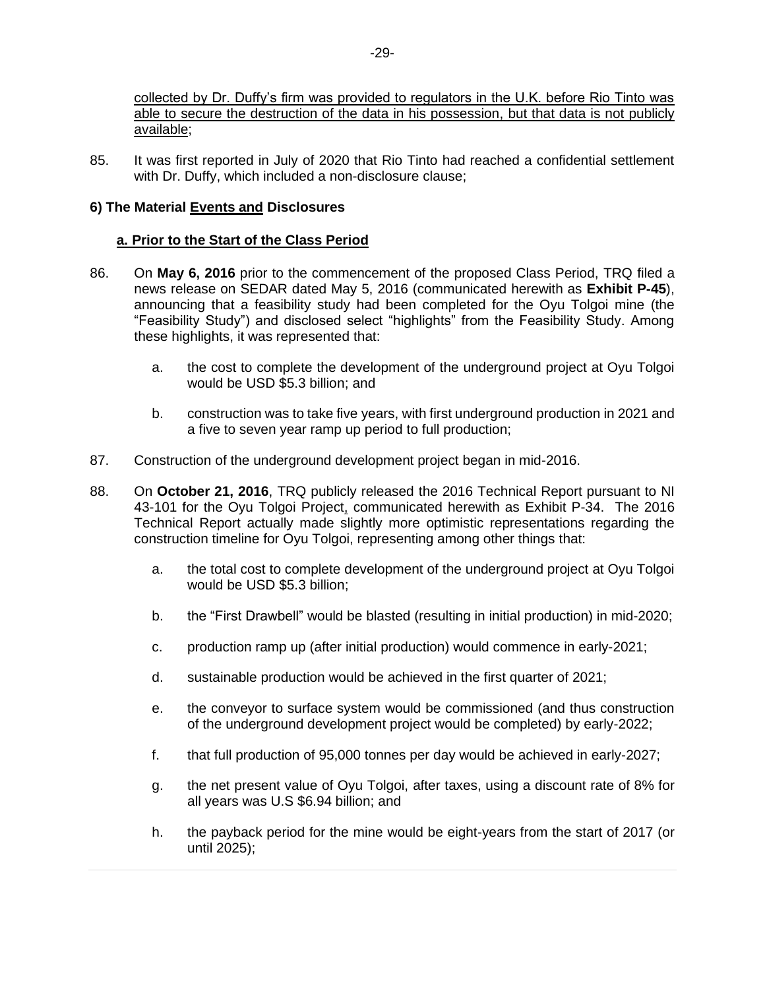collected by Dr. Duffy's firm was provided to regulators in the U.K. before Rio Tinto was able to secure the destruction of the data in his possession, but that data is not publicly available;

85. It was first reported in July of 2020 that Rio Tinto had reached a confidential settlement with Dr. Duffy, which included a non-disclosure clause;

## **6) The Material Events and Disclosures**

#### **a. Prior to the Start of the Class Period**

- 86. On **May 6, 2016** prior to the commencement of the proposed Class Period, TRQ filed a news release on SEDAR dated May 5, 2016 (communicated herewith as **Exhibit P-45**), announcing that a feasibility study had been completed for the Oyu Tolgoi mine (the "Feasibility Study") and disclosed select "highlights" from the Feasibility Study. Among these highlights, it was represented that:
	- a. the cost to complete the development of the underground project at Oyu Tolgoi would be USD \$5.3 billion; and
	- b. construction was to take five years, with first underground production in 2021 and a five to seven year ramp up period to full production;
- 87. Construction of the underground development project began in mid-2016.
- 88. On **October 21, 2016**, TRQ publicly released the 2016 Technical Report pursuant to NI 43-101 for the Oyu Tolgoi Project, communicated herewith as Exhibit P-34. The 2016 Technical Report actually made slightly more optimistic representations regarding the construction timeline for Oyu Tolgoi, representing among other things that:
	- a. the total cost to complete development of the underground project at Oyu Tolgoi would be USD \$5.3 billion;
	- b. the "First Drawbell" would be blasted (resulting in initial production) in mid-2020;
	- c. production ramp up (after initial production) would commence in early-2021;
	- d. sustainable production would be achieved in the first quarter of 2021;
	- e. the conveyor to surface system would be commissioned (and thus construction of the underground development project would be completed) by early-2022;
	- f. that full production of 95,000 tonnes per day would be achieved in early-2027;
	- g. the net present value of Oyu Tolgoi, after taxes, using a discount rate of 8% for all years was U.S \$6.94 billion; and
	- h. the payback period for the mine would be eight-years from the start of 2017 (or until 2025);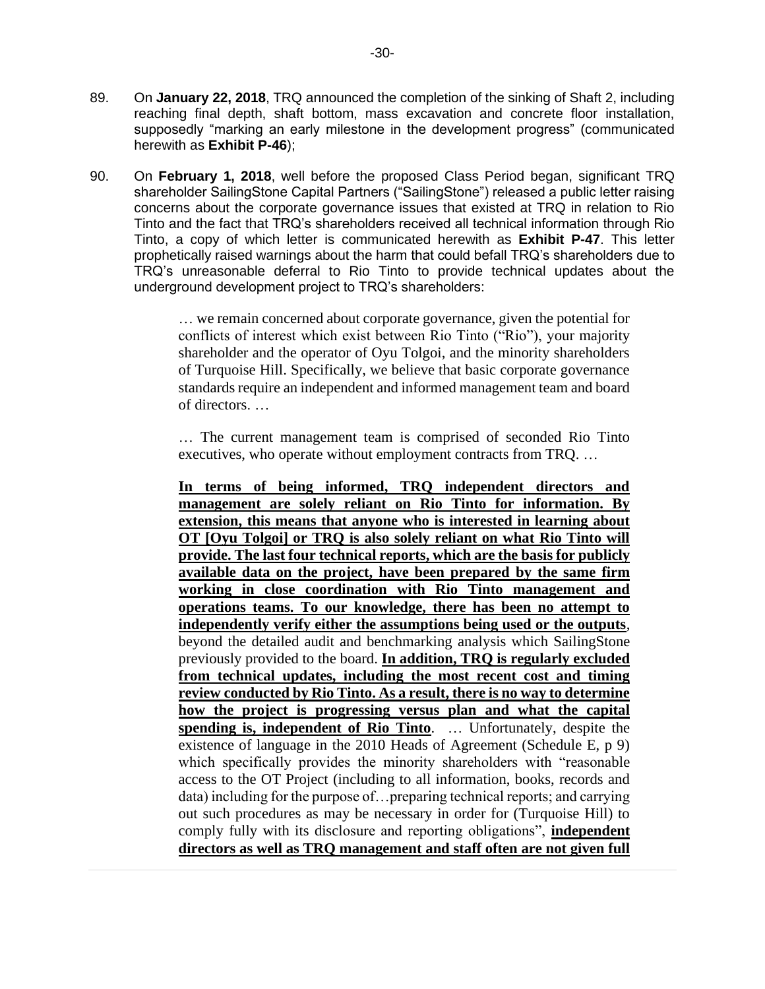- 89. On **January 22, 2018**, TRQ announced the completion of the sinking of Shaft 2, including reaching final depth, shaft bottom, mass excavation and concrete floor installation, supposedly "marking an early milestone in the development progress" (communicated herewith as **Exhibit P-46**);
- 90. On **February 1, 2018**, well before the proposed Class Period began, significant TRQ shareholder SailingStone Capital Partners ("SailingStone") released a public letter raising concerns about the corporate governance issues that existed at TRQ in relation to Rio Tinto and the fact that TRQ's shareholders received all technical information through Rio Tinto, a copy of which letter is communicated herewith as **Exhibit P-47**. This letter prophetically raised warnings about the harm that could befall TRQ's shareholders due to TRQ's unreasonable deferral to Rio Tinto to provide technical updates about the underground development project to TRQ's shareholders:

… we remain concerned about corporate governance, given the potential for conflicts of interest which exist between Rio Tinto ("Rio"), your majority shareholder and the operator of Oyu Tolgoi, and the minority shareholders of Turquoise Hill. Specifically, we believe that basic corporate governance standards require an independent and informed management team and board of directors. …

… The current management team is comprised of seconded Rio Tinto executives, who operate without employment contracts from TRQ. …

**In terms of being informed, TRQ independent directors and management are solely reliant on Rio Tinto for information. By extension, this means that anyone who is interested in learning about OT [Oyu Tolgoi] or TRQ is also solely reliant on what Rio Tinto will provide. The last four technical reports, which are the basis for publicly available data on the project, have been prepared by the same firm working in close coordination with Rio Tinto management and operations teams. To our knowledge, there has been no attempt to independently verify either the assumptions being used or the outputs**, beyond the detailed audit and benchmarking analysis which SailingStone previously provided to the board. **In addition, TRQ is regularly excluded from technical updates, including the most recent cost and timing review conducted by Rio Tinto. As a result, there is no way to determine how the project is progressing versus plan and what the capital <u>spending is, independent of Rio Tinto</u>**. ... Unfortunately, despite the existence of language in the 2010 Heads of Agreement (Schedule E, p 9) which specifically provides the minority shareholders with "reasonable access to the OT Project (including to all information, books, records and data) including for the purpose of…preparing technical reports; and carrying out such procedures as may be necessary in order for (Turquoise Hill) to comply fully with its disclosure and reporting obligations", **independent directors as well as TRQ management and staff often are not given full**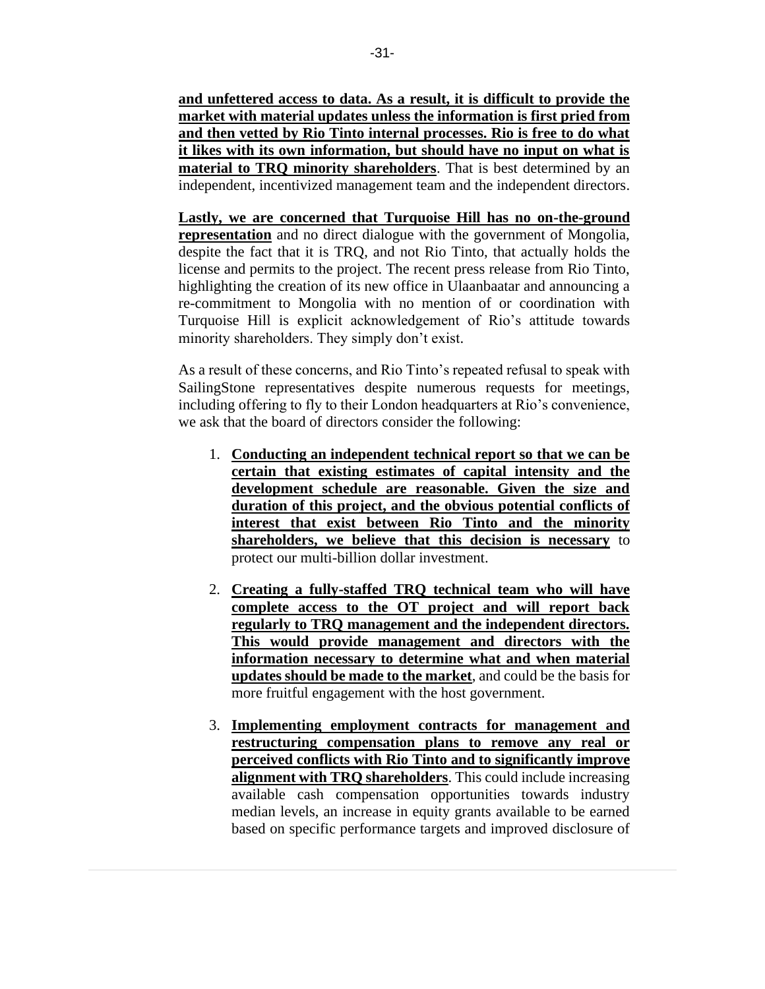**and unfettered access to data. As a result, it is difficult to provide the market with material updates unless the information is first pried from and then vetted by Rio Tinto internal processes. Rio is free to do what it likes with its own information, but should have no input on what is material to TRQ minority shareholders**. That is best determined by an independent, incentivized management team and the independent directors.

**Lastly, we are concerned that Turquoise Hill has no on-the-ground representation** and no direct dialogue with the government of Mongolia, despite the fact that it is TRQ, and not Rio Tinto, that actually holds the license and permits to the project. The recent press release from Rio Tinto, highlighting the creation of its new office in Ulaanbaatar and announcing a re-commitment to Mongolia with no mention of or coordination with Turquoise Hill is explicit acknowledgement of Rio's attitude towards minority shareholders. They simply don't exist.

As a result of these concerns, and Rio Tinto's repeated refusal to speak with SailingStone representatives despite numerous requests for meetings, including offering to fly to their London headquarters at Rio's convenience, we ask that the board of directors consider the following:

- 1. **Conducting an independent technical report so that we can be certain that existing estimates of capital intensity and the development schedule are reasonable. Given the size and duration of this project, and the obvious potential conflicts of interest that exist between Rio Tinto and the minority shareholders, we believe that this decision is necessary** to protect our multi-billion dollar investment.
- 2. **Creating a fully-staffed TRQ technical team who will have complete access to the OT project and will report back regularly to TRQ management and the independent directors. This would provide management and directors with the information necessary to determine what and when material updates should be made to the market**, and could be the basis for more fruitful engagement with the host government.
- 3. **Implementing employment contracts for management and restructuring compensation plans to remove any real or perceived conflicts with Rio Tinto and to significantly improve alignment with TRQ shareholders**. This could include increasing available cash compensation opportunities towards industry median levels, an increase in equity grants available to be earned based on specific performance targets and improved disclosure of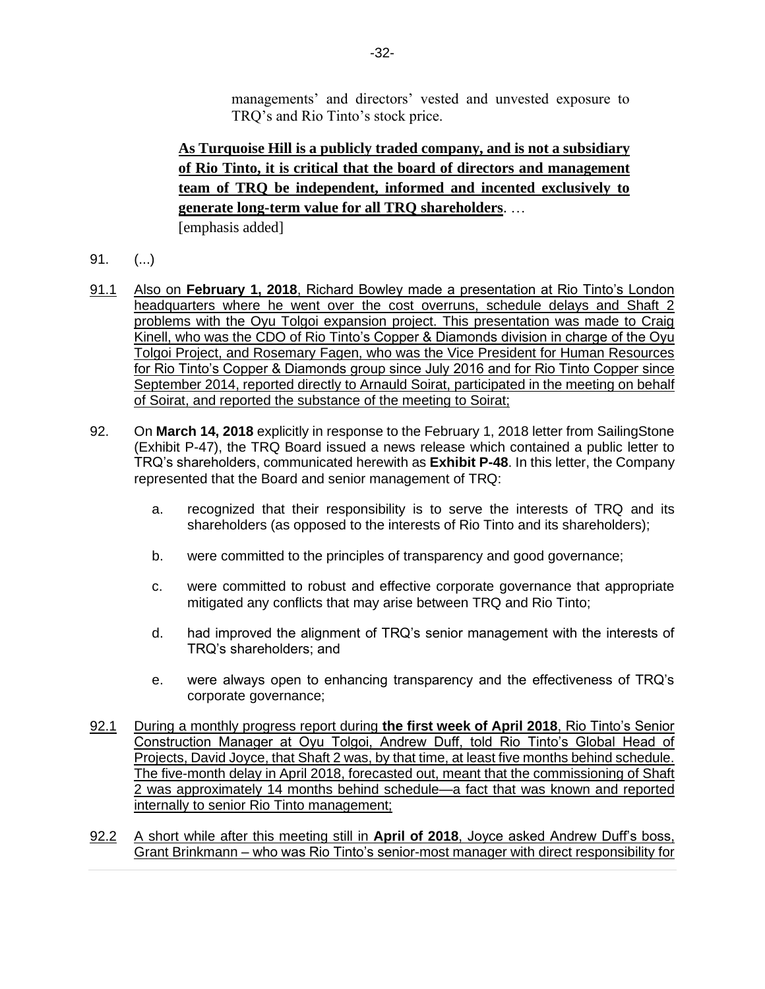managements' and directors' vested and unvested exposure to TRQ's and Rio Tinto's stock price.

# **As Turquoise Hill is a publicly traded company, and is not a subsidiary of Rio Tinto, it is critical that the board of directors and management team of TRQ be independent, informed and incented exclusively to generate long-term value for all TRQ shareholders**. …

[emphasis added]

- 91. (...)
- 91.1 Also on **February 1, 2018**, Richard Bowley made a presentation at Rio Tinto's London headquarters where he went over the cost overruns, schedule delays and Shaft 2 problems with the Oyu Tolgoi expansion project. This presentation was made to Craig Kinell, who was the CDO of Rio Tinto's Copper & Diamonds division in charge of the Oyu Tolgoi Project, and Rosemary Fagen, who was the Vice President for Human Resources for Rio Tinto's Copper & Diamonds group since July 2016 and for Rio Tinto Copper since September 2014, reported directly to Arnauld Soirat, participated in the meeting on behalf of Soirat, and reported the substance of the meeting to Soirat;
- 92. On **March 14, 2018** explicitly in response to the February 1, 2018 letter from SailingStone (Exhibit P-47), the TRQ Board issued a news release which contained a public letter to TRQ's shareholders, communicated herewith as **Exhibit P-48**. In this letter, the Company represented that the Board and senior management of TRQ:
	- a. recognized that their responsibility is to serve the interests of TRQ and its shareholders (as opposed to the interests of Rio Tinto and its shareholders);
	- b. were committed to the principles of transparency and good governance;
	- c. were committed to robust and effective corporate governance that appropriate mitigated any conflicts that may arise between TRQ and Rio Tinto;
	- d. had improved the alignment of TRQ's senior management with the interests of TRQ's shareholders; and
	- e. were always open to enhancing transparency and the effectiveness of TRQ's corporate governance;
- 92.1 During a monthly progress report during **the first week of April 2018**, Rio Tinto's Senior Construction Manager at Oyu Tolgoi, Andrew Duff, told Rio Tinto's Global Head of Projects, David Joyce, that Shaft 2 was, by that time, at least five months behind schedule. The five-month delay in April 2018, forecasted out, meant that the commissioning of Shaft 2 was approximately 14 months behind schedule—a fact that was known and reported internally to senior Rio Tinto management;
- 92.2 A short while after this meeting still in **April of 2018**, Joyce asked Andrew Duff's boss, Grant Brinkmann – who was Rio Tinto's senior-most manager with direct responsibility for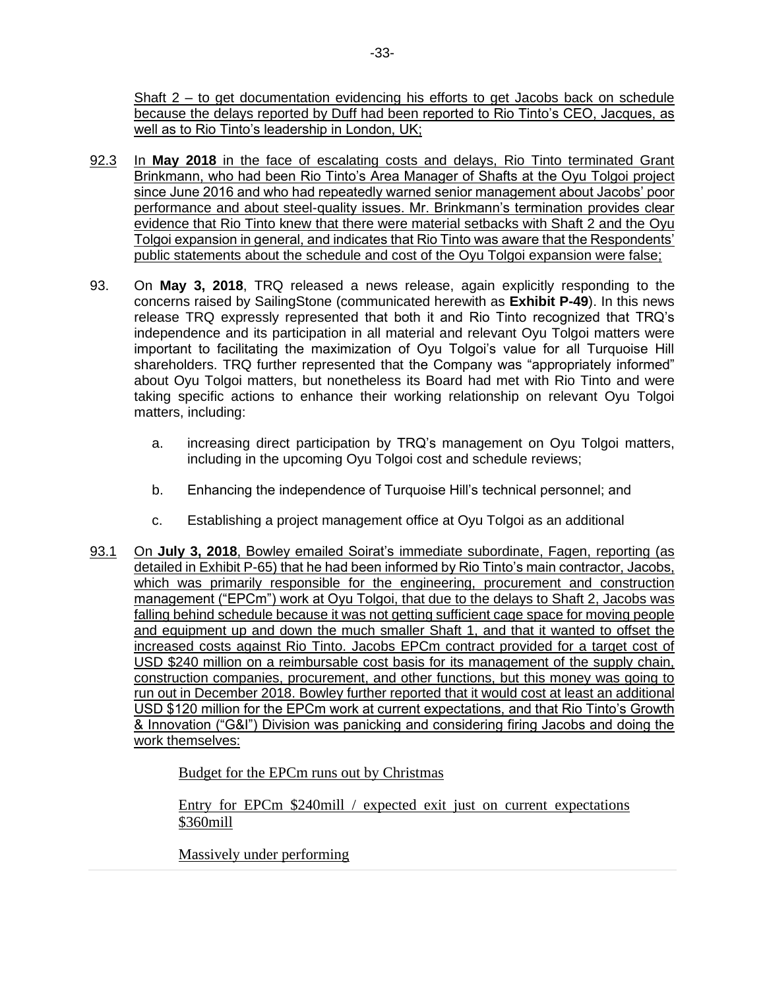Shaft 2 – to get documentation evidencing his efforts to get Jacobs back on schedule because the delays reported by Duff had been reported to Rio Tinto's CEO, Jacques, as well as to Rio Tinto's leadership in London, UK;

- 92.3 In **May 2018** in the face of escalating costs and delays, Rio Tinto terminated Grant Brinkmann, who had been Rio Tinto's Area Manager of Shafts at the Oyu Tolgoi project since June 2016 and who had repeatedly warned senior management about Jacobs' poor performance and about steel-quality issues. Mr. Brinkmann's termination provides clear evidence that Rio Tinto knew that there were material setbacks with Shaft 2 and the Oyu Tolgoi expansion in general, and indicates that Rio Tinto was aware that the Respondents' public statements about the schedule and cost of the Oyu Tolgoi expansion were false;
- 93. On **May 3, 2018**, TRQ released a news release, again explicitly responding to the concerns raised by SailingStone (communicated herewith as **Exhibit P-49**). In this news release TRQ expressly represented that both it and Rio Tinto recognized that TRQ's independence and its participation in all material and relevant Oyu Tolgoi matters were important to facilitating the maximization of Oyu Tolgoi's value for all Turquoise Hill shareholders. TRQ further represented that the Company was "appropriately informed" about Oyu Tolgoi matters, but nonetheless its Board had met with Rio Tinto and were taking specific actions to enhance their working relationship on relevant Oyu Tolgoi matters, including:
	- a. increasing direct participation by TRQ's management on Oyu Tolgoi matters, including in the upcoming Oyu Tolgoi cost and schedule reviews;
	- b. Enhancing the independence of Turquoise Hill's technical personnel; and
	- c. Establishing a project management office at Oyu Tolgoi as an additional
- 93.1 On **July 3, 2018**, Bowley emailed Soirat's immediate subordinate, Fagen, reporting (as detailed in Exhibit P-65) that he had been informed by Rio Tinto's main contractor, Jacobs, which was primarily responsible for the engineering, procurement and construction management ("EPCm") work at Oyu Tolgoi, that due to the delays to Shaft 2, Jacobs was falling behind schedule because it was not getting sufficient cage space for moving people and equipment up and down the much smaller Shaft 1, and that it wanted to offset the increased costs against Rio Tinto. Jacobs EPCm contract provided for a target cost of USD \$240 million on a reimbursable cost basis for its management of the supply chain, construction companies, procurement, and other functions, but this money was going to run out in December 2018. Bowley further reported that it would cost at least an additional USD \$120 million for the EPCm work at current expectations, and that Rio Tinto's Growth & Innovation ("G&I") Division was panicking and considering firing Jacobs and doing the work themselves:

Budget for the EPCm runs out by Christmas

Entry for EPCm \$240mill / expected exit just on current expectations \$360mill

Massively under performing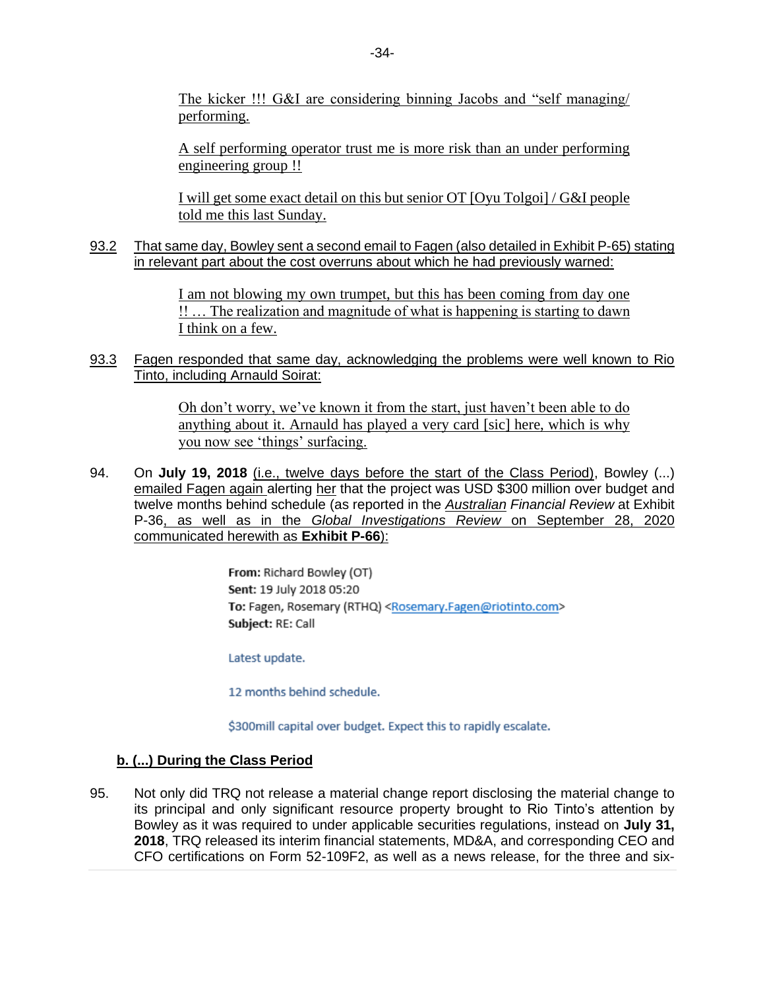The kicker !!! G&I are considering binning Jacobs and "self managing/ performing.

A self performing operator trust me is more risk than an under performing engineering group !!

I will get some exact detail on this but senior OT [Oyu Tolgoi] / G&I people told me this last Sunday.

93.2 That same day, Bowley sent a second email to Fagen (also detailed in Exhibit P-65) stating in relevant part about the cost overruns about which he had previously warned:

> I am not blowing my own trumpet, but this has been coming from day one !! … The realization and magnitude of what is happening is starting to dawn I think on a few.

93.3 Fagen responded that same day, acknowledging the problems were well known to Rio Tinto, including Arnauld Soirat:

> Oh don't worry, we've known it from the start, just haven't been able to do anything about it. Arnauld has played a very card [sic] here, which is why you now see 'things' surfacing.

94. On **July 19, 2018** (i.e., twelve days before the start of the Class Period), Bowley (...) emailed Fagen again alerting her that the project was USD \$300 million over budget and twelve months behind schedule (as reported in the *Australian Financial Review* at Exhibit P-36, as well as in the *Global Investigations Review* on September 28, 2020 communicated herewith as **Exhibit P-66**):

> From: Richard Bowley (OT) Sent: 19 July 2018 05:20 To: Fagen, Rosemary (RTHQ) <Rosemary.Fagen@riotinto.com> Subject: RE: Call

Latest update.

12 months behind schedule.

\$300mill capital over budget. Expect this to rapidly escalate.

#### **b. (...) During the Class Period**

95. Not only did TRQ not release a material change report disclosing the material change to its principal and only significant resource property brought to Rio Tinto's attention by Bowley as it was required to under applicable securities regulations, instead on **July 31, 2018**, TRQ released its interim financial statements, MD&A, and corresponding CEO and CFO certifications on Form 52-109F2, as well as a news release, for the three and six-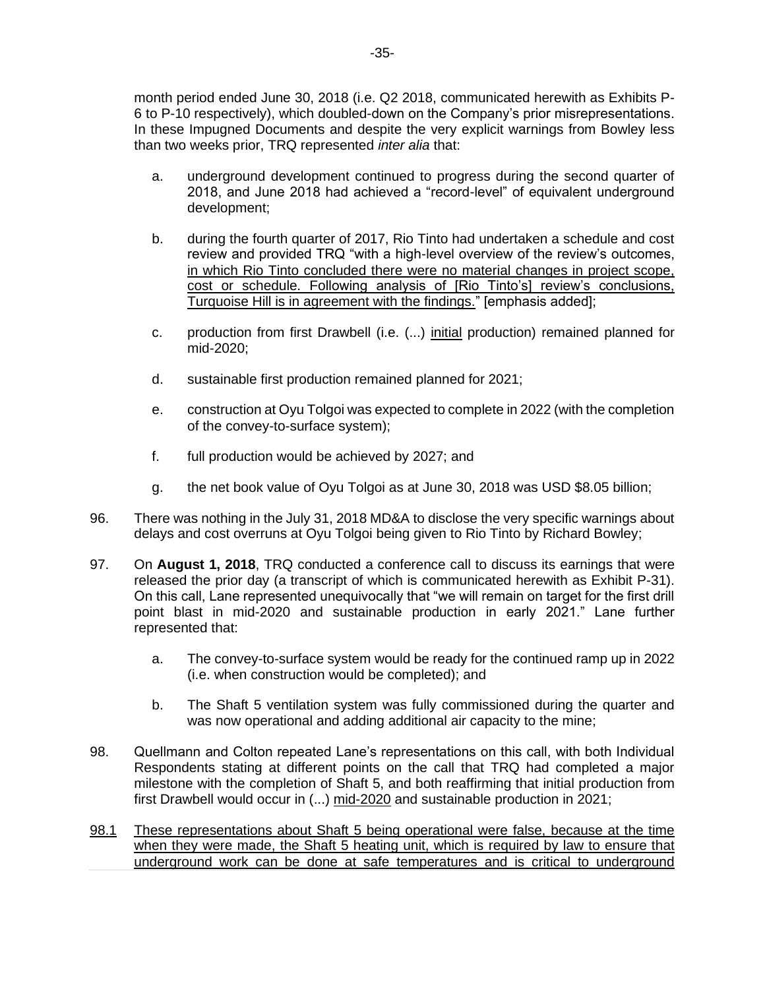month period ended June 30, 2018 (i.e. Q2 2018, communicated herewith as Exhibits P-6 to P-10 respectively), which doubled-down on the Company's prior misrepresentations. In these Impugned Documents and despite the very explicit warnings from Bowley less than two weeks prior, TRQ represented *inter alia* that:

- a. underground development continued to progress during the second quarter of 2018, and June 2018 had achieved a "record-level" of equivalent underground development;
- b. during the fourth quarter of 2017, Rio Tinto had undertaken a schedule and cost review and provided TRQ "with a high-level overview of the review's outcomes, in which Rio Tinto concluded there were no material changes in project scope, cost or schedule. Following analysis of [Rio Tinto's] review's conclusions, Turquoise Hill is in agreement with the findings." [emphasis added];
- c. production from first Drawbell (i.e. (...) initial production) remained planned for mid-2020;
- d. sustainable first production remained planned for 2021;
- e. construction at Oyu Tolgoi was expected to complete in 2022 (with the completion of the convey-to-surface system);
- f. full production would be achieved by 2027; and
- g. the net book value of Oyu Tolgoi as at June 30, 2018 was USD \$8.05 billion;
- 96. There was nothing in the July 31, 2018 MD&A to disclose the very specific warnings about delays and cost overruns at Oyu Tolgoi being given to Rio Tinto by Richard Bowley;
- 97. On **August 1, 2018**, TRQ conducted a conference call to discuss its earnings that were released the prior day (a transcript of which is communicated herewith as Exhibit P-31). On this call, Lane represented unequivocally that "we will remain on target for the first drill point blast in mid-2020 and sustainable production in early 2021." Lane further represented that:
	- a. The convey-to-surface system would be ready for the continued ramp up in 2022 (i.e. when construction would be completed); and
	- b. The Shaft 5 ventilation system was fully commissioned during the quarter and was now operational and adding additional air capacity to the mine;
- 98. Quellmann and Colton repeated Lane's representations on this call, with both Individual Respondents stating at different points on the call that TRQ had completed a major milestone with the completion of Shaft 5, and both reaffirming that initial production from first Drawbell would occur in (...) mid-2020 and sustainable production in 2021;
- 98.1 These representations about Shaft 5 being operational were false, because at the time when they were made, the Shaft 5 heating unit, which is required by law to ensure that underground work can be done at safe temperatures and is critical to underground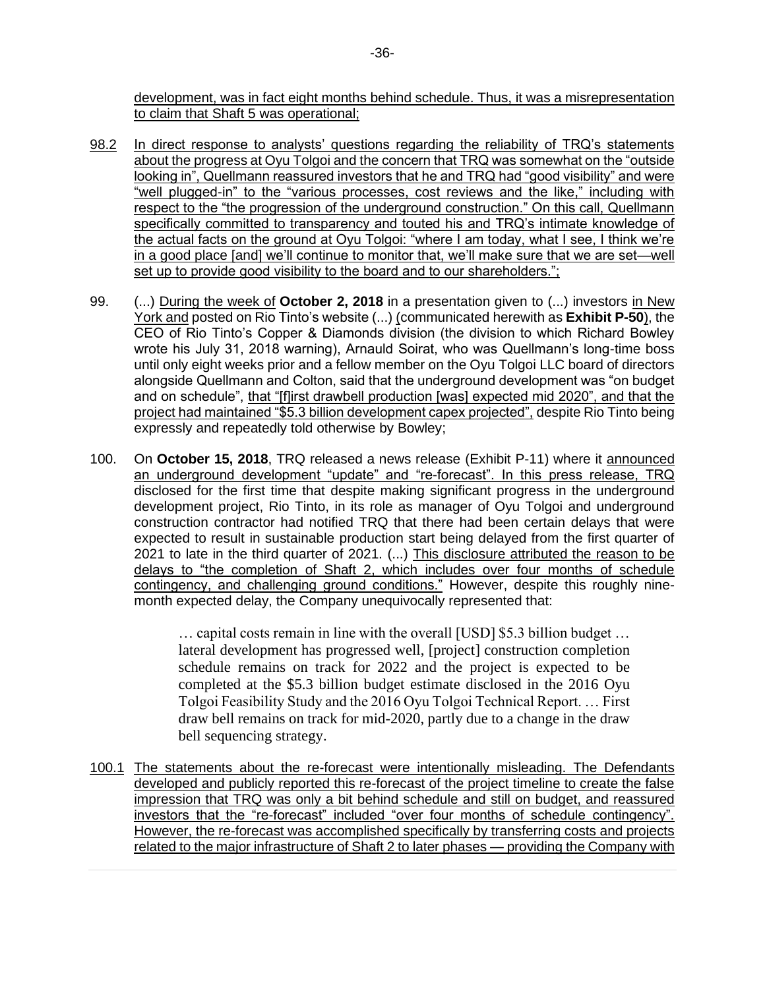development, was in fact eight months behind schedule. Thus, it was a misrepresentation to claim that Shaft 5 was operational;

- 98.2 In direct response to analysts' questions regarding the reliability of TRQ's statements about the progress at Oyu Tolgoi and the concern that TRQ was somewhat on the "outside looking in", Quellmann reassured investors that he and TRQ had "good visibility" and were "well plugged-in" to the "various processes, cost reviews and the like," including with respect to the "the progression of the underground construction." On this call, Quellmann specifically committed to transparency and touted his and TRQ's intimate knowledge of the actual facts on the ground at Oyu Tolgoi: "where I am today, what I see, I think we're in a good place [and] we'll continue to monitor that, we'll make sure that we are set—well set up to provide good visibility to the board and to our shareholders.";
- 99. (...) During the week of **October 2, 2018** in a presentation given to (...) investors in New York and posted on Rio Tinto's website (...) (communicated herewith as **Exhibit P-50**), the CEO of Rio Tinto's Copper & Diamonds division (the division to which Richard Bowley wrote his July 31, 2018 warning), Arnauld Soirat, who was Quellmann's long-time boss until only eight weeks prior and a fellow member on the Oyu Tolgoi LLC board of directors alongside Quellmann and Colton, said that the underground development was "on budget and on schedule", that "[f]irst drawbell production [was] expected mid 2020", and that the project had maintained "\$5.3 billion development capex projected", despite Rio Tinto being expressly and repeatedly told otherwise by Bowley;
- 100. On **October 15, 2018**, TRQ released a news release (Exhibit P-11) where it announced an underground development "update" and "re-forecast". In this press release, TRQ disclosed for the first time that despite making significant progress in the underground development project, Rio Tinto, in its role as manager of Oyu Tolgoi and underground construction contractor had notified TRQ that there had been certain delays that were expected to result in sustainable production start being delayed from the first quarter of 2021 to late in the third quarter of 2021. (...) This disclosure attributed the reason to be delays to "the completion of Shaft 2, which includes over four months of schedule contingency, and challenging ground conditions." However, despite this roughly ninemonth expected delay, the Company unequivocally represented that:

… capital costs remain in line with the overall [USD] \$5.3 billion budget … lateral development has progressed well, [project] construction completion schedule remains on track for 2022 and the project is expected to be completed at the \$5.3 billion budget estimate disclosed in the 2016 Oyu Tolgoi Feasibility Study and the 2016 Oyu Tolgoi Technical Report. … First draw bell remains on track for mid-2020, partly due to a change in the draw bell sequencing strategy.

100.1 The statements about the re-forecast were intentionally misleading. The Defendants developed and publicly reported this re-forecast of the project timeline to create the false impression that TRQ was only a bit behind schedule and still on budget, and reassured investors that the "re-forecast" included "over four months of schedule contingency". However, the re-forecast was accomplished specifically by transferring costs and projects related to the major infrastructure of Shaft 2 to later phases — providing the Company with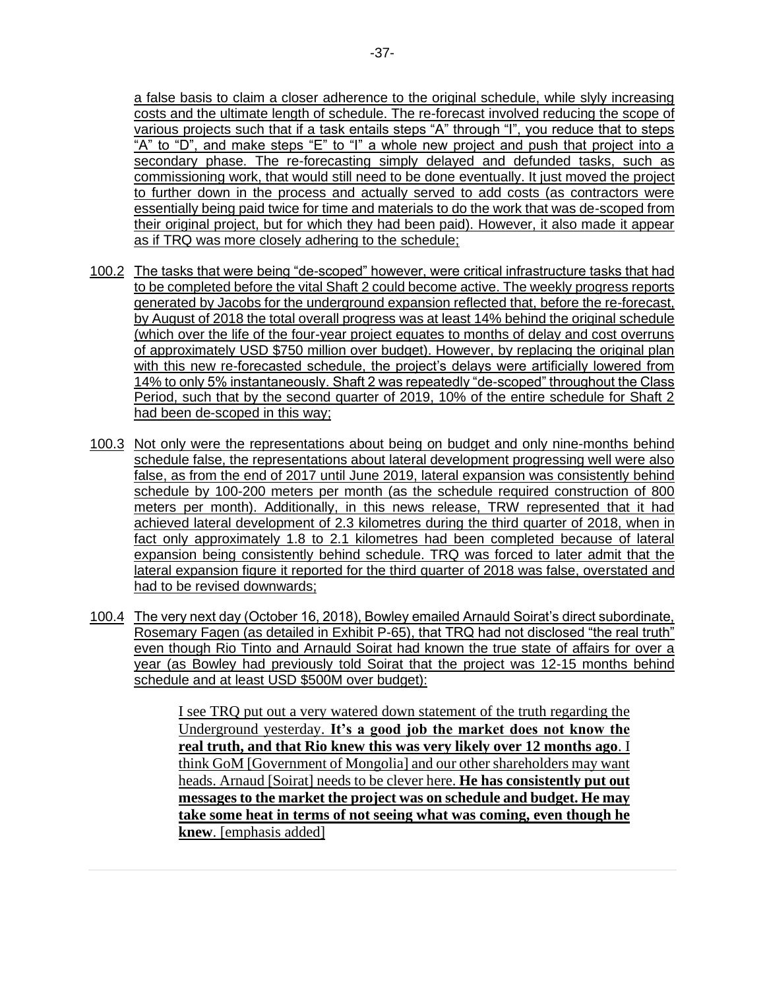a false basis to claim a closer adherence to the original schedule, while slyly increasing costs and the ultimate length of schedule. The re-forecast involved reducing the scope of various projects such that if a task entails steps "A" through "I", you reduce that to steps "A" to "D", and make steps "E" to "I" a whole new project and push that project into a secondary phase. The re-forecasting simply delayed and defunded tasks, such as commissioning work, that would still need to be done eventually. It just moved the project to further down in the process and actually served to add costs (as contractors were essentially being paid twice for time and materials to do the work that was de-scoped from their original project, but for which they had been paid). However, it also made it appear as if TRQ was more closely adhering to the schedule;

- 100.2 The tasks that were being "de-scoped" however, were critical infrastructure tasks that had to be completed before the vital Shaft 2 could become active. The weekly progress reports generated by Jacobs for the underground expansion reflected that, before the re-forecast, by August of 2018 the total overall progress was at least 14% behind the original schedule (which over the life of the four-year project equates to months of delay and cost overruns of approximately USD \$750 million over budget). However, by replacing the original plan with this new re-forecasted schedule, the project's delays were artificially lowered from 14% to only 5% instantaneously. Shaft 2 was repeatedly "de-scoped" throughout the Class Period, such that by the second quarter of 2019, 10% of the entire schedule for Shaft 2 had been de-scoped in this way;
- 100.3 Not only were the representations about being on budget and only nine-months behind schedule false, the representations about lateral development progressing well were also false, as from the end of 2017 until June 2019, lateral expansion was consistently behind schedule by 100-200 meters per month (as the schedule required construction of 800 meters per month). Additionally, in this news release, TRW represented that it had achieved lateral development of 2.3 kilometres during the third quarter of 2018, when in fact only approximately 1.8 to 2.1 kilometres had been completed because of lateral expansion being consistently behind schedule. TRQ was forced to later admit that the lateral expansion figure it reported for the third quarter of 2018 was false, overstated and had to be revised downwards;
- 100.4 The very next day (October 16, 2018), Bowley emailed Arnauld Soirat's direct subordinate, Rosemary Fagen (as detailed in Exhibit P-65), that TRQ had not disclosed "the real truth" even though Rio Tinto and Arnauld Soirat had known the true state of affairs for over a year (as Bowley had previously told Soirat that the project was 12-15 months behind schedule and at least USD \$500M over budget):

I see TRQ put out a very watered down statement of the truth regarding the Underground yesterday. **It's a good job the market does not know the real truth, and that Rio knew this was very likely over 12 months ago**. I think GoM [Government of Mongolia] and our other shareholders may want heads. Arnaud [Soirat] needs to be clever here. **He has consistently put out messages to the market the project was on schedule and budget. He may take some heat in terms of not seeing what was coming, even though he knew**. [emphasis added]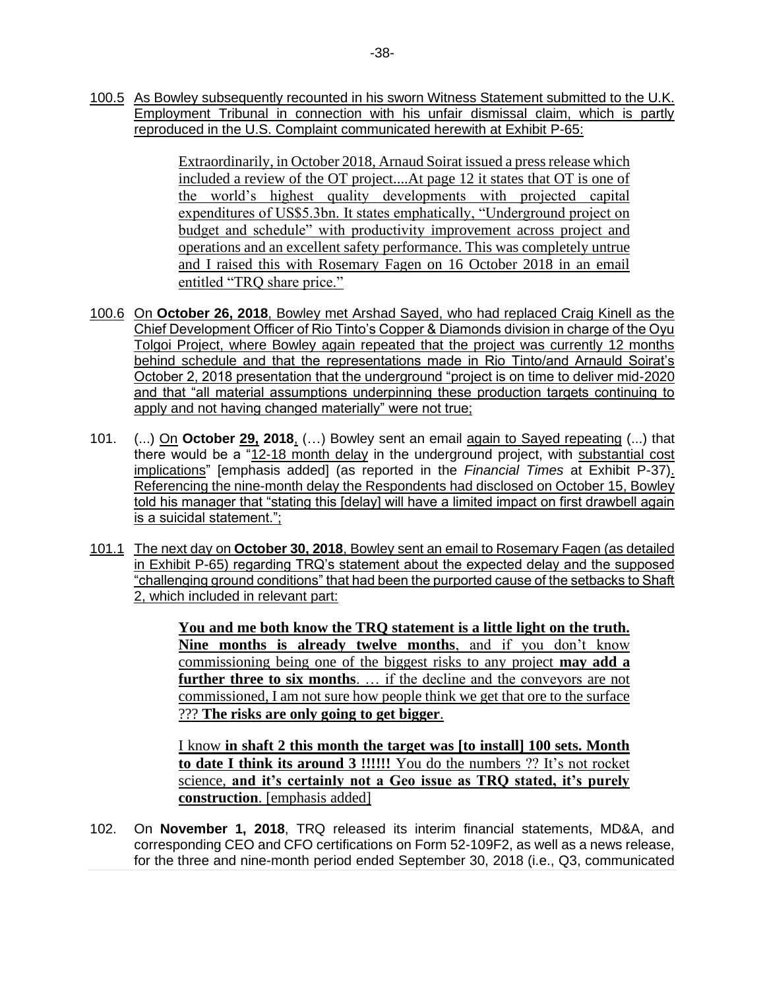100.5 As Bowley subsequently recounted in his sworn Witness Statement submitted to the U.K. Employment Tribunal in connection with his unfair dismissal claim, which is partly reproduced in the U.S. Complaint communicated herewith at Exhibit P-65:

> Extraordinarily, in October 2018, Arnaud Soirat issued a press release which included a review of the OT project....At page 12 it states that OT is one of the world's highest quality developments with projected capital expenditures of US\$5.3bn. It states emphatically, "Underground project on budget and schedule" with productivity improvement across project and operations and an excellent safety performance. This was completely untrue and I raised this with Rosemary Fagen on 16 October 2018 in an email entitled "TRQ share price."

- 100.6 On **October 26, 2018**, Bowley met Arshad Sayed, who had replaced Craig Kinell as the Chief Development Officer of Rio Tinto's Copper & Diamonds division in charge of the Oyu Tolgoi Project, where Bowley again repeated that the project was currently 12 months behind schedule and that the representations made in Rio Tinto/and Arnauld Soirat's October 2, 2018 presentation that the underground "project is on time to deliver mid-2020 and that "all material assumptions underpinning these production targets continuing to apply and not having changed materially" were not true;
- 101. (...) On **October 29, 2018**, (…) Bowley sent an email again to Sayed repeating (...) that there would be a "12-18 month delay in the underground project, with substantial cost implications" [emphasis added] (as reported in the *Financial Times* at Exhibit P-37). Referencing the nine-month delay the Respondents had disclosed on October 15, Bowley told his manager that "stating this [delay] will have a limited impact on first drawbell again is a suicidal statement.";
- 101.1 The next day on **October 30, 2018**, Bowley sent an email to Rosemary Fagen (as detailed in Exhibit P-65) regarding TRQ's statement about the expected delay and the supposed "challenging ground conditions" that had been the purported cause of the setbacks to Shaft 2, which included in relevant part:

**You and me both know the TRQ statement is a little light on the truth. Nine months is already twelve months**, and if you don't know commissioning being one of the biggest risks to any project **may add a further three to six months.** ... if the decline and the conveyors are not commissioned, I am not sure how people think we get that ore to the surface ??? **The risks are only going to get bigger**.

I know **in shaft 2 this month the target was [to install] 100 sets. Month to date I think its around 3 !!!!!!** You do the numbers ?? It's not rocket science, **and it's certainly not a Geo issue as TRQ stated, it's purely construction**. [emphasis added]

102. On **November 1, 2018**, TRQ released its interim financial statements, MD&A, and corresponding CEO and CFO certifications on Form 52-109F2, as well as a news release, for the three and nine-month period ended September 30, 2018 (i.e., Q3, communicated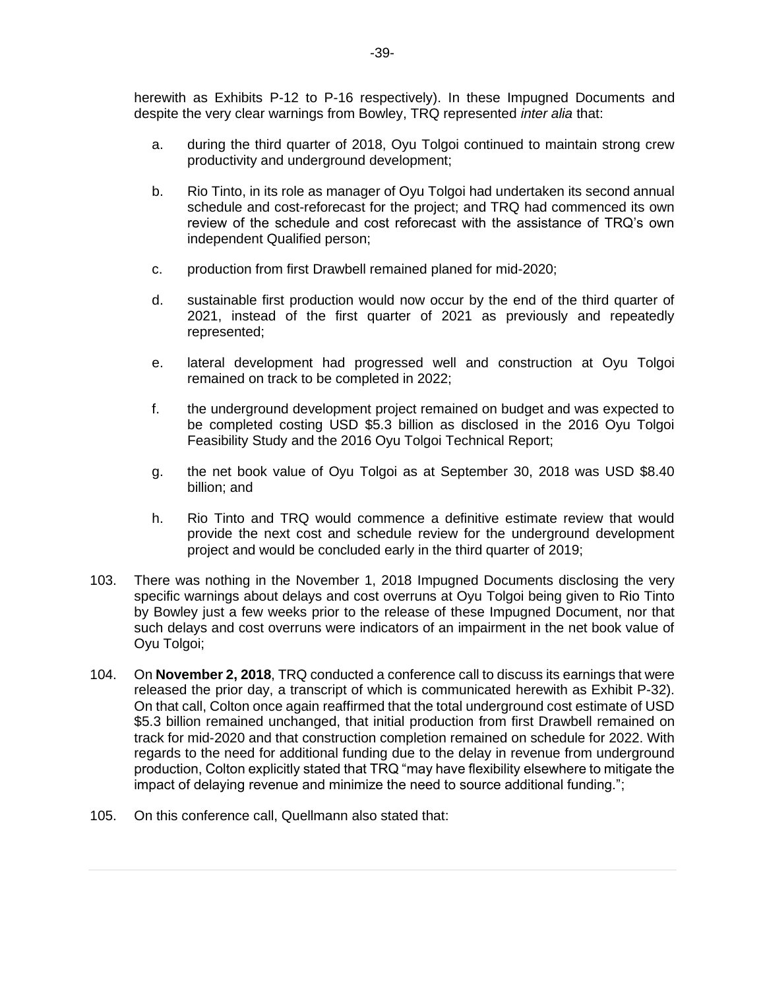herewith as Exhibits P-12 to P-16 respectively). In these Impugned Documents and despite the very clear warnings from Bowley, TRQ represented *inter alia* that:

- a. during the third quarter of 2018, Oyu Tolgoi continued to maintain strong crew productivity and underground development;
- b. Rio Tinto, in its role as manager of Oyu Tolgoi had undertaken its second annual schedule and cost-reforecast for the project; and TRQ had commenced its own review of the schedule and cost reforecast with the assistance of TRQ's own independent Qualified person;
- c. production from first Drawbell remained planed for mid-2020;
- d. sustainable first production would now occur by the end of the third quarter of 2021, instead of the first quarter of 2021 as previously and repeatedly represented;
- e. lateral development had progressed well and construction at Oyu Tolgoi remained on track to be completed in 2022;
- f. the underground development project remained on budget and was expected to be completed costing USD \$5.3 billion as disclosed in the 2016 Oyu Tolgoi Feasibility Study and the 2016 Oyu Tolgoi Technical Report;
- g. the net book value of Oyu Tolgoi as at September 30, 2018 was USD \$8.40 billion; and
- h. Rio Tinto and TRQ would commence a definitive estimate review that would provide the next cost and schedule review for the underground development project and would be concluded early in the third quarter of 2019;
- 103. There was nothing in the November 1, 2018 Impugned Documents disclosing the very specific warnings about delays and cost overruns at Oyu Tolgoi being given to Rio Tinto by Bowley just a few weeks prior to the release of these Impugned Document, nor that such delays and cost overruns were indicators of an impairment in the net book value of Oyu Tolgoi;
- 104. On **November 2, 2018**, TRQ conducted a conference call to discuss its earnings that were released the prior day, a transcript of which is communicated herewith as Exhibit P-32). On that call, Colton once again reaffirmed that the total underground cost estimate of USD \$5.3 billion remained unchanged, that initial production from first Drawbell remained on track for mid-2020 and that construction completion remained on schedule for 2022. With regards to the need for additional funding due to the delay in revenue from underground production, Colton explicitly stated that TRQ "may have flexibility elsewhere to mitigate the impact of delaying revenue and minimize the need to source additional funding.";
- 105. On this conference call, Quellmann also stated that: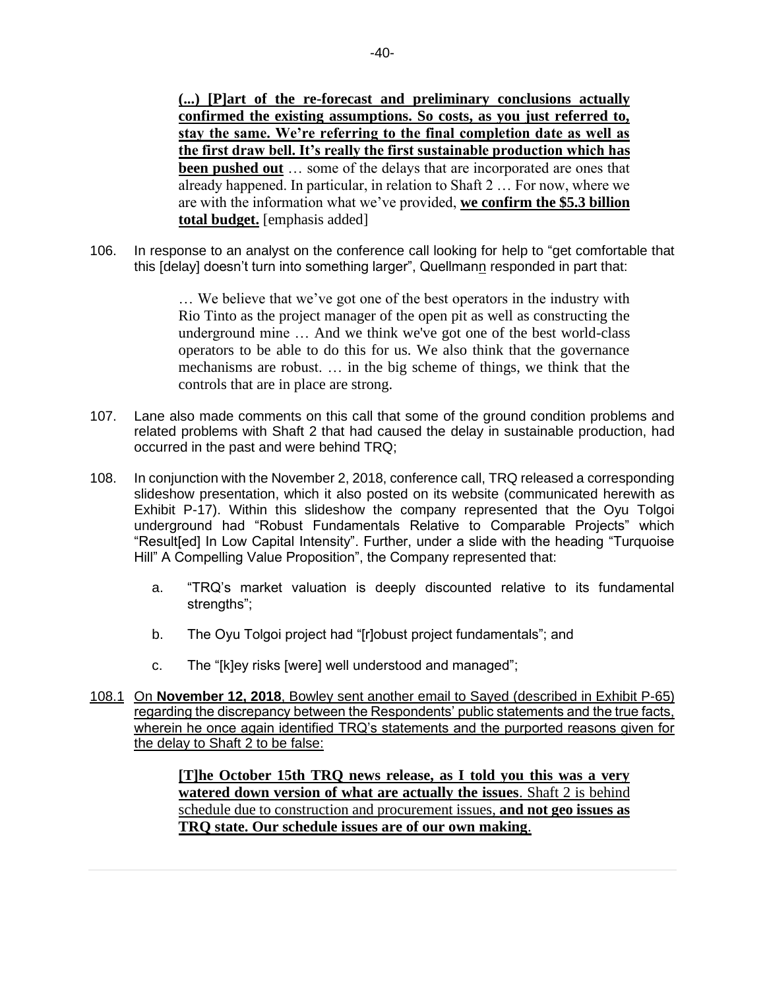**(...) [P]art of the re-forecast and preliminary conclusions actually confirmed the existing assumptions. So costs, as you just referred to, stay the same. We're referring to the final completion date as well as the first draw bell. It's really the first sustainable production which has been pushed out** … some of the delays that are incorporated are ones that already happened. In particular, in relation to Shaft 2 … For now, where we are with the information what we've provided, **we confirm the \$5.3 billion total budget.** [emphasis added]

106. In response to an analyst on the conference call looking for help to "get comfortable that this [delay] doesn't turn into something larger", Quellmann responded in part that:

> … We believe that we've got one of the best operators in the industry with Rio Tinto as the project manager of the open pit as well as constructing the underground mine … And we think we've got one of the best world-class operators to be able to do this for us. We also think that the governance mechanisms are robust. … in the big scheme of things, we think that the controls that are in place are strong.

- 107. Lane also made comments on this call that some of the ground condition problems and related problems with Shaft 2 that had caused the delay in sustainable production, had occurred in the past and were behind TRQ;
- 108. In conjunction with the November 2, 2018, conference call, TRQ released a corresponding slideshow presentation, which it also posted on its website (communicated herewith as Exhibit P-17). Within this slideshow the company represented that the Oyu Tolgoi underground had "Robust Fundamentals Relative to Comparable Projects" which "Result[ed] In Low Capital Intensity". Further, under a slide with the heading "Turquoise Hill" A Compelling Value Proposition", the Company represented that:
	- a. "TRQ's market valuation is deeply discounted relative to its fundamental strengths";
	- b. The Oyu Tolgoi project had "[r]obust project fundamentals"; and
	- c. The "[k]ey risks [were] well understood and managed";
- 108.1 On **November 12, 2018**, Bowley sent another email to Sayed (described in Exhibit P-65) regarding the discrepancy between the Respondents' public statements and the true facts, wherein he once again identified TRQ's statements and the purported reasons given for the delay to Shaft 2 to be false:

**[T]he October 15th TRQ news release, as I told you this was a very watered down version of what are actually the issues**. Shaft 2 is behind schedule due to construction and procurement issues, **and not geo issues as TRQ state. Our schedule issues are of our own making**.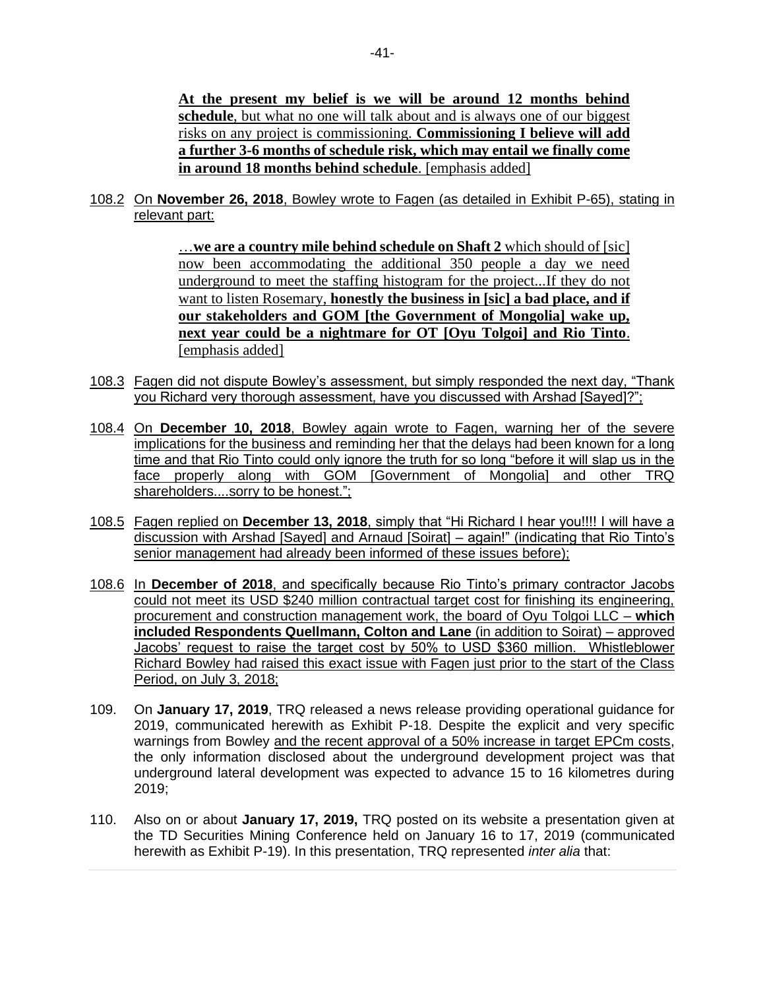**At the present my belief is we will be around 12 months behind schedule**, but what no one will talk about and is always one of our biggest risks on any project is commissioning. **Commissioning I believe will add a further 3-6 months of schedule risk, which may entail we finally come in around 18 months behind schedule**. [emphasis added]

108.2 On **November 26, 2018**, Bowley wrote to Fagen (as detailed in Exhibit P-65), stating in relevant part:

> …**we are a country mile behind schedule on Shaft 2** which should of [sic] now been accommodating the additional 350 people a day we need underground to meet the staffing histogram for the project...If they do not want to listen Rosemary, **honestly the business in [sic] a bad place, and if our stakeholders and GOM [the Government of Mongolia] wake up, next year could be a nightmare for OT [Oyu Tolgoi] and Rio Tinto**. [emphasis added]

- 108.3 Fagen did not dispute Bowley's assessment, but simply responded the next day, "Thank you Richard very thorough assessment, have you discussed with Arshad [Sayed]?";
- 108.4 On **December 10, 2018**, Bowley again wrote to Fagen, warning her of the severe implications for the business and reminding her that the delays had been known for a long time and that Rio Tinto could only ignore the truth for so long "before it will slap us in the face properly along with GOM [Government of Mongolia] and other TRQ shareholders....sorry to be honest.";
- 108.5 Fagen replied on **December 13, 2018**, simply that "Hi Richard I hear you!!!! I will have a discussion with Arshad [Sayed] and Arnaud [Soirat] – again!" (indicating that Rio Tinto's senior management had already been informed of these issues before);
- 108.6 In **December of 2018**, and specifically because Rio Tinto's primary contractor Jacobs could not meet its USD \$240 million contractual target cost for finishing its engineering, procurement and construction management work, the board of Oyu Tolgoi LLC – **which included Respondents Quellmann, Colton and Lane** (in addition to Soirat) – approved Jacobs' request to raise the target cost by 50% to USD \$360 million. Whistleblower Richard Bowley had raised this exact issue with Fagen just prior to the start of the Class Period, on July 3, 2018;
- 109. On **January 17, 2019**, TRQ released a news release providing operational guidance for 2019, communicated herewith as Exhibit P-18. Despite the explicit and very specific warnings from Bowley and the recent approval of a 50% increase in target EPCm costs, the only information disclosed about the underground development project was that underground lateral development was expected to advance 15 to 16 kilometres during 2019;
- 110. Also on or about **January 17, 2019,** TRQ posted on its website a presentation given at the TD Securities Mining Conference held on January 16 to 17, 2019 (communicated herewith as Exhibit P-19). In this presentation, TRQ represented *inter alia* that: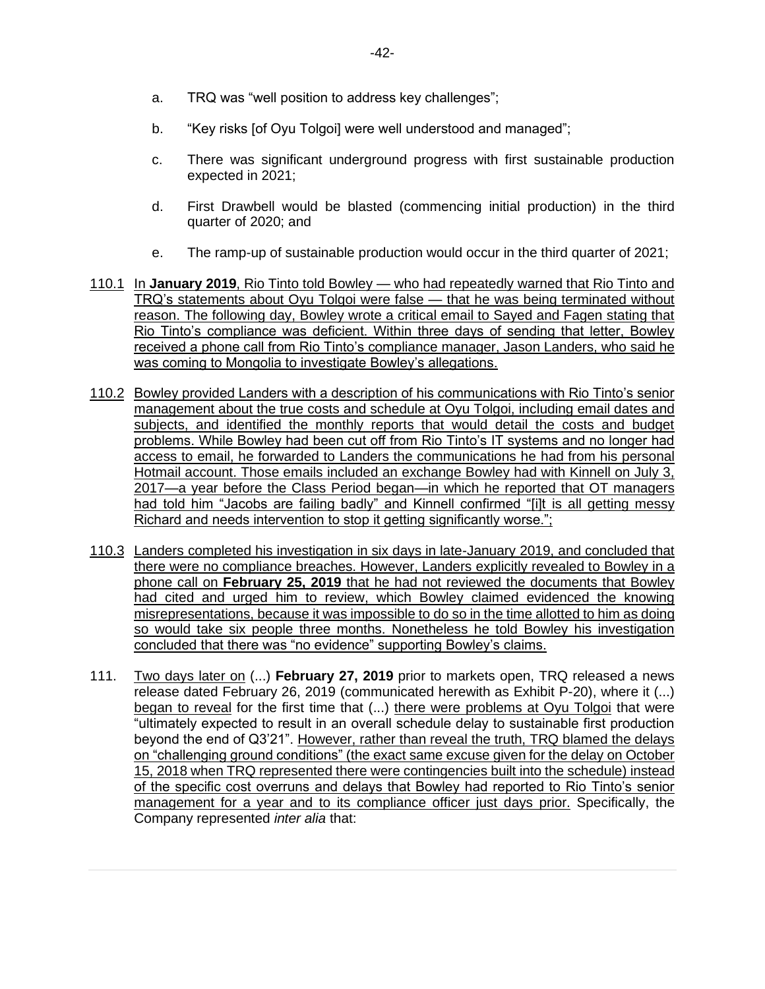- a. TRQ was "well position to address key challenges";
- b. "Key risks [of Oyu Tolgoi] were well understood and managed";
- c. There was significant underground progress with first sustainable production expected in 2021;
- d. First Drawbell would be blasted (commencing initial production) in the third quarter of 2020; and
- e. The ramp-up of sustainable production would occur in the third quarter of 2021;
- 110.1 In **January 2019**, Rio Tinto told Bowley who had repeatedly warned that Rio Tinto and TRQ's statements about Oyu Tolgoi were false — that he was being terminated without reason. The following day, Bowley wrote a critical email to Sayed and Fagen stating that Rio Tinto's compliance was deficient. Within three days of sending that letter, Bowley received a phone call from Rio Tinto's compliance manager, Jason Landers, who said he was coming to Mongolia to investigate Bowley's allegations.
- 110.2 Bowley provided Landers with a description of his communications with Rio Tinto's senior management about the true costs and schedule at Oyu Tolgoi, including email dates and subjects, and identified the monthly reports that would detail the costs and budget problems. While Bowley had been cut off from Rio Tinto's IT systems and no longer had access to email, he forwarded to Landers the communications he had from his personal Hotmail account. Those emails included an exchange Bowley had with Kinnell on July 3, 2017—a year before the Class Period began—in which he reported that OT managers had told him "Jacobs are failing badly" and Kinnell confirmed "[i]t is all getting messy Richard and needs intervention to stop it getting significantly worse.";
- 110.3 Landers completed his investigation in six days in late-January 2019, and concluded that there were no compliance breaches. However, Landers explicitly revealed to Bowley in a phone call on **February 25, 2019** that he had not reviewed the documents that Bowley had cited and urged him to review, which Bowley claimed evidenced the knowing misrepresentations, because it was impossible to do so in the time allotted to him as doing so would take six people three months. Nonetheless he told Bowley his investigation concluded that there was "no evidence" supporting Bowley's claims.
- 111. Two days later on (...) **February 27, 2019** prior to markets open, TRQ released a news release dated February 26, 2019 (communicated herewith as Exhibit P-20), where it (...) began to reveal for the first time that (...) there were problems at Oyu Tolgoi that were "ultimately expected to result in an overall schedule delay to sustainable first production beyond the end of Q3'21". However, rather than reveal the truth, TRQ blamed the delays on "challenging ground conditions" (the exact same excuse given for the delay on October 15, 2018 when TRQ represented there were contingencies built into the schedule) instead of the specific cost overruns and delays that Bowley had reported to Rio Tinto's senior management for a year and to its compliance officer just days prior. Specifically, the Company represented *inter alia* that: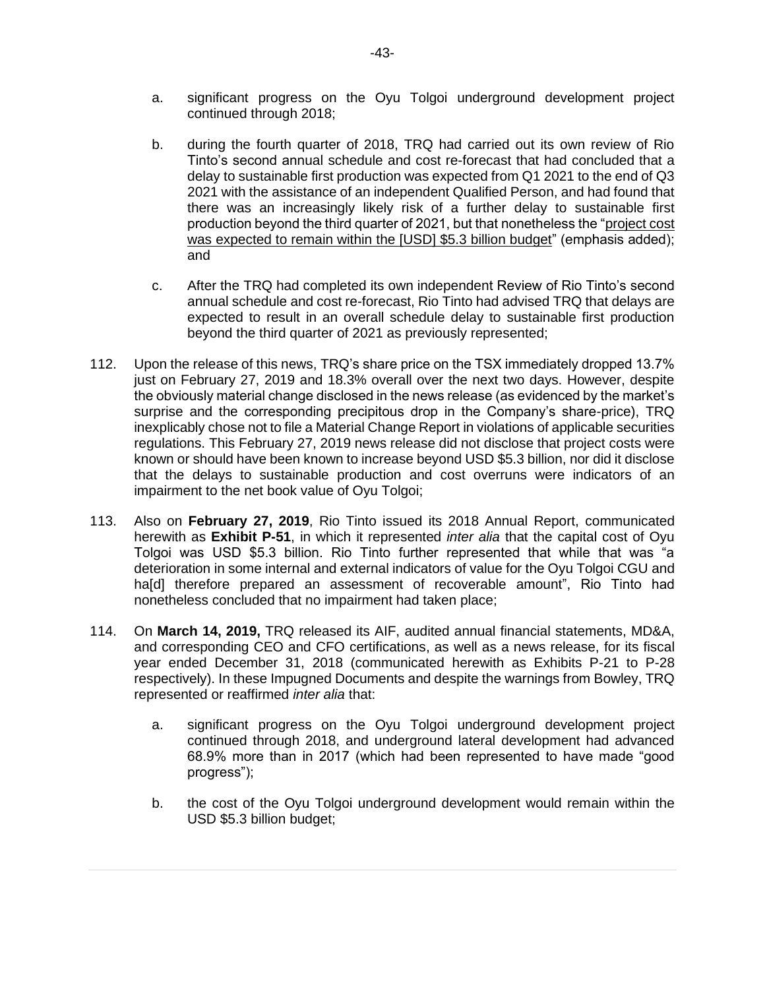- a. significant progress on the Oyu Tolgoi underground development project continued through 2018;
- b. during the fourth quarter of 2018, TRQ had carried out its own review of Rio Tinto's second annual schedule and cost re-forecast that had concluded that a delay to sustainable first production was expected from Q1 2021 to the end of Q3 2021 with the assistance of an independent Qualified Person, and had found that there was an increasingly likely risk of a further delay to sustainable first production beyond the third quarter of 2021, but that nonetheless the "project cost was expected to remain within the [USD] \$5.3 billion budget" (emphasis added); and
- c. After the TRQ had completed its own independent Review of Rio Tinto's second annual schedule and cost re-forecast, Rio Tinto had advised TRQ that delays are expected to result in an overall schedule delay to sustainable first production beyond the third quarter of 2021 as previously represented;
- 112. Upon the release of this news, TRQ's share price on the TSX immediately dropped 13.7% just on February 27, 2019 and 18.3% overall over the next two days. However, despite the obviously material change disclosed in the news release (as evidenced by the market's surprise and the corresponding precipitous drop in the Company's share-price), TRQ inexplicably chose not to file a Material Change Report in violations of applicable securities regulations. This February 27, 2019 news release did not disclose that project costs were known or should have been known to increase beyond USD \$5.3 billion, nor did it disclose that the delays to sustainable production and cost overruns were indicators of an impairment to the net book value of Ovu Tolgoi;
- 113. Also on **February 27, 2019**, Rio Tinto issued its 2018 Annual Report, communicated herewith as **Exhibit P-51**, in which it represented *inter alia* that the capital cost of Oyu Tolgoi was USD \$5.3 billion. Rio Tinto further represented that while that was "a deterioration in some internal and external indicators of value for the Oyu Tolgoi CGU and ha<sup>[d]</sup> therefore prepared an assessment of recoverable amount", Rio Tinto had nonetheless concluded that no impairment had taken place;
- 114. On **March 14, 2019,** TRQ released its AIF, audited annual financial statements, MD&A, and corresponding CEO and CFO certifications, as well as a news release, for its fiscal year ended December 31, 2018 (communicated herewith as Exhibits P-21 to P-28 respectively). In these Impugned Documents and despite the warnings from Bowley, TRQ represented or reaffirmed *inter alia* that:
	- a. significant progress on the Oyu Tolgoi underground development project continued through 2018, and underground lateral development had advanced 68.9% more than in 2017 (which had been represented to have made "good progress");
	- b. the cost of the Oyu Tolgoi underground development would remain within the USD \$5.3 billion budget;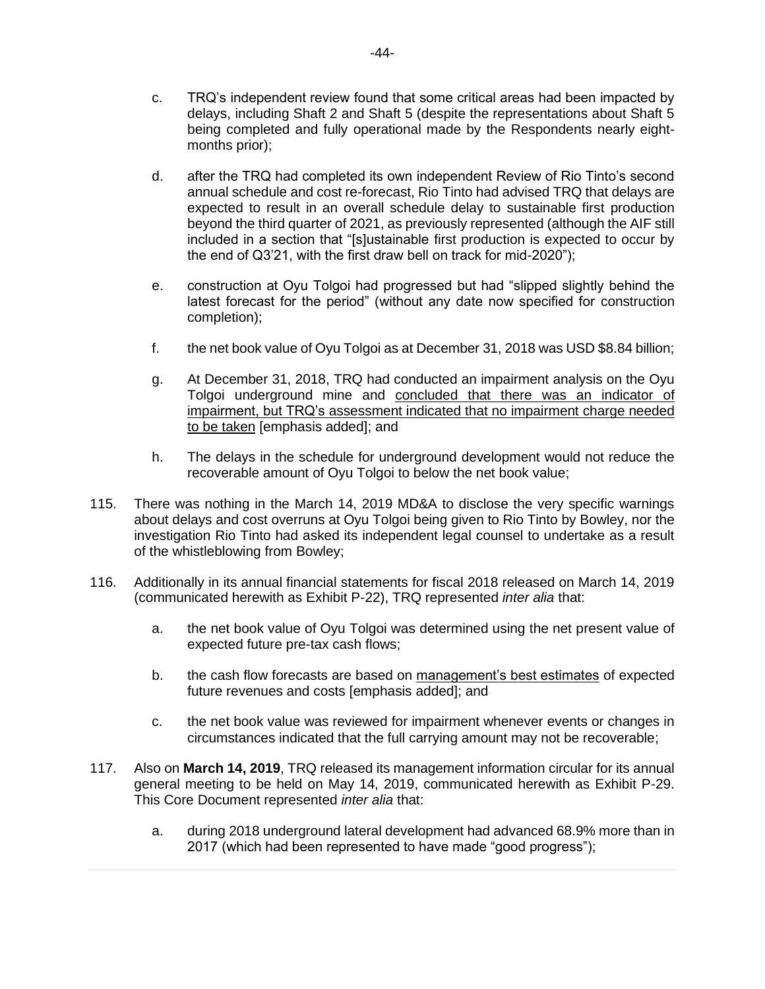- c. TRQ's independent review found that some critical areas had been impacted by delays, including Shaft 2 and Shaft 5 (despite the representations about Shaft 5 being completed and fully operational made by the Respondents nearly eightmonths prior);
- d. after the TRQ had completed its own independent Review of Rio Tinto's second annual schedule and cost re-forecast, Rio Tinto had advised TRQ that delays are expected to result in an overall schedule delay to sustainable first production beyond the third quarter of 2021, as previously represented (although the AIF still included in a section that "[s]ustainable first production is expected to occur by the end of Q3'21, with the first draw bell on track for mid-2020");
- e. construction at Oyu Tolgoi had progressed but had "slipped slightly behind the latest forecast for the period" (without any date now specified for construction completion);
- f. the net book value of Oyu Tolgoi as at December 31, 2018 was USD \$8.84 billion;
- g. At December 31, 2018, TRQ had conducted an impairment analysis on the Oyu Tolgoi underground mine and concluded that there was an indicator of impairment, but TRQ's assessment indicated that no impairment charge needed to be taken [emphasis added]; and
- h. The delays in the schedule for underground development would not reduce the recoverable amount of Oyu Tolgoi to below the net book value;
- 115. There was nothing in the March 14, 2019 MD&A to disclose the very specific warnings about delays and cost overruns at Oyu Tolgoi being given to Rio Tinto by Bowley, nor the investigation Rio Tinto had asked its independent legal counsel to undertake as a result of the whistleblowing from Bowley;
- 116. Additionally in its annual financial statements for fiscal 2018 released on March 14, 2019 (communicated herewith as Exhibit P-22), TRQ represented *inter alia* that:
	- a. the net book value of Oyu Tolgoi was determined using the net present value of expected future pre-tax cash flows;
	- b. the cash flow forecasts are based on management's best estimates of expected future revenues and costs [emphasis added]; and
	- c. the net book value was reviewed for impairment whenever events or changes in circumstances indicated that the full carrying amount may not be recoverable;
- 117. Also on **March 14, 2019**, TRQ released its management information circular for its annual general meeting to be held on May 14, 2019, communicated herewith as Exhibit P-29. This Core Document represented *inter alia* that:
	- a. during 2018 underground lateral development had advanced 68.9% more than in 2017 (which had been represented to have made "good progress");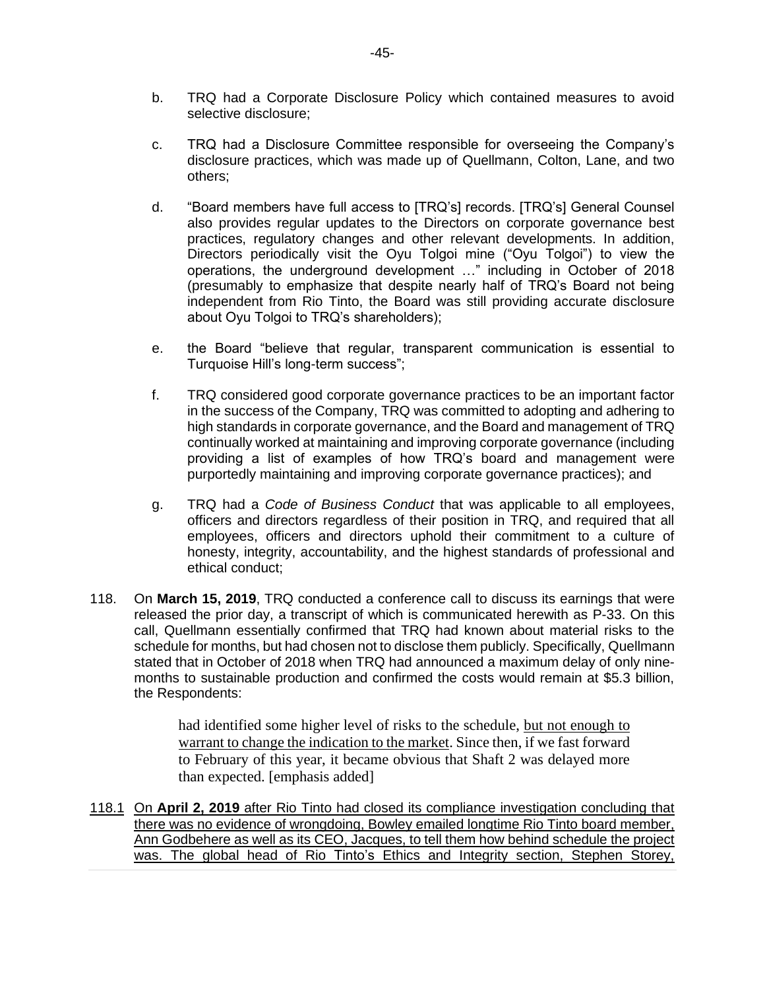- b. TRQ had a Corporate Disclosure Policy which contained measures to avoid selective disclosure;
- c. TRQ had a Disclosure Committee responsible for overseeing the Company's disclosure practices, which was made up of Quellmann, Colton, Lane, and two others;
- d. "Board members have full access to [TRQ's] records. [TRQ's] General Counsel also provides regular updates to the Directors on corporate governance best practices, regulatory changes and other relevant developments. In addition, Directors periodically visit the Oyu Tolgoi mine ("Oyu Tolgoi") to view the operations, the underground development …" including in October of 2018 (presumably to emphasize that despite nearly half of TRQ's Board not being independent from Rio Tinto, the Board was still providing accurate disclosure about Oyu Tolgoi to TRQ's shareholders);
- e. the Board "believe that regular, transparent communication is essential to Turquoise Hill's long-term success";
- f. TRQ considered good corporate governance practices to be an important factor in the success of the Company, TRQ was committed to adopting and adhering to high standards in corporate governance, and the Board and management of TRQ continually worked at maintaining and improving corporate governance (including providing a list of examples of how TRQ's board and management were purportedly maintaining and improving corporate governance practices); and
- g. TRQ had a *Code of Business Conduct* that was applicable to all employees, officers and directors regardless of their position in TRQ, and required that all employees, officers and directors uphold their commitment to a culture of honesty, integrity, accountability, and the highest standards of professional and ethical conduct;
- 118. On **March 15, 2019**, TRQ conducted a conference call to discuss its earnings that were released the prior day, a transcript of which is communicated herewith as P-33. On this call, Quellmann essentially confirmed that TRQ had known about material risks to the schedule for months, but had chosen not to disclose them publicly. Specifically, Quellmann stated that in October of 2018 when TRQ had announced a maximum delay of only ninemonths to sustainable production and confirmed the costs would remain at \$5.3 billion, the Respondents:

had identified some higher level of risks to the schedule, but not enough to warrant to change the indication to the market. Since then, if we fast forward to February of this year, it became obvious that Shaft 2 was delayed more than expected. [emphasis added]

118.1 On **April 2, 2019** after Rio Tinto had closed its compliance investigation concluding that there was no evidence of wrongdoing, Bowley emailed longtime Rio Tinto board member, Ann Godbehere as well as its CEO, Jacques, to tell them how behind schedule the project was. The global head of Rio Tinto's Ethics and Integrity section, Stephen Storey,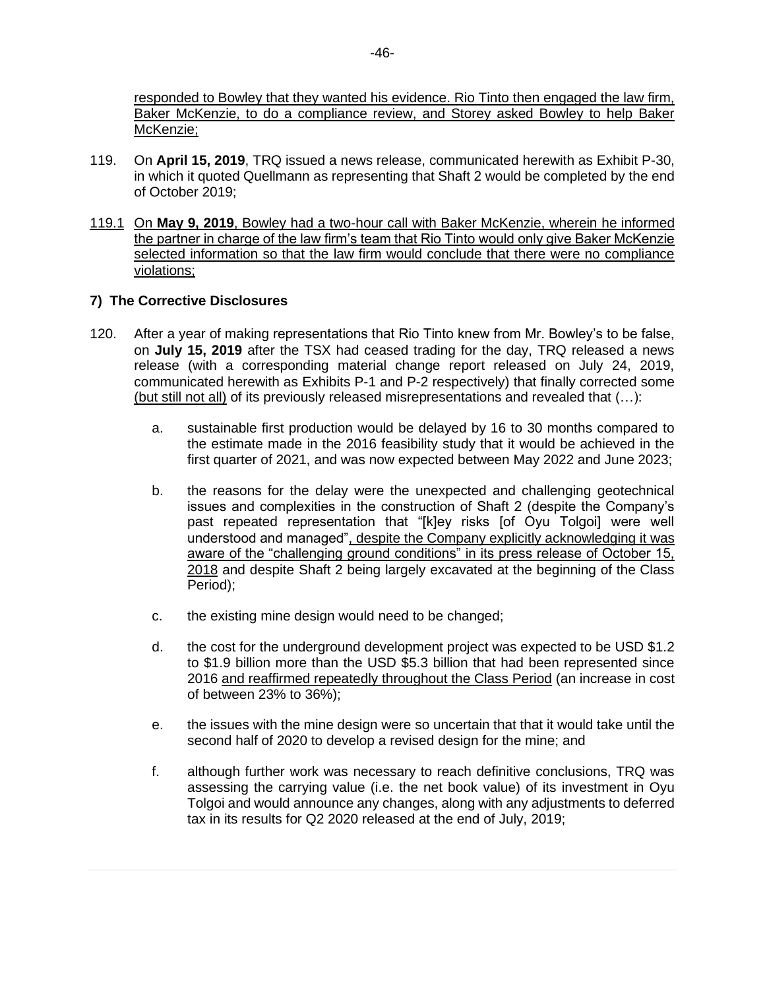responded to Bowley that they wanted his evidence. Rio Tinto then engaged the law firm, Baker McKenzie, to do a compliance review, and Storey asked Bowley to help Baker McKenzie;

- 119. On **April 15, 2019**, TRQ issued a news release, communicated herewith as Exhibit P-30, in which it quoted Quellmann as representing that Shaft 2 would be completed by the end of October 2019;
- 119.1 On **May 9, 2019**, Bowley had a two-hour call with Baker McKenzie, wherein he informed the partner in charge of the law firm's team that Rio Tinto would only give Baker McKenzie selected information so that the law firm would conclude that there were no compliance violations;

# **7) The Corrective Disclosures**

- 120. After a year of making representations that Rio Tinto knew from Mr. Bowley's to be false, on **July 15, 2019** after the TSX had ceased trading for the day, TRQ released a news release (with a corresponding material change report released on July 24, 2019, communicated herewith as Exhibits P-1 and P-2 respectively) that finally corrected some (but still not all) of its previously released misrepresentations and revealed that (…):
	- a. sustainable first production would be delayed by 16 to 30 months compared to the estimate made in the 2016 feasibility study that it would be achieved in the first quarter of 2021, and was now expected between May 2022 and June 2023;
	- b. the reasons for the delay were the unexpected and challenging geotechnical issues and complexities in the construction of Shaft 2 (despite the Company's past repeated representation that "[k]ey risks [of Oyu Tolgoi] were well understood and managed", despite the Company explicitly acknowledging it was aware of the "challenging ground conditions" in its press release of October 15, 2018 and despite Shaft 2 being largely excavated at the beginning of the Class Period);
	- c. the existing mine design would need to be changed;
	- d. the cost for the underground development project was expected to be USD \$1.2 to \$1.9 billion more than the USD \$5.3 billion that had been represented since 2016 and reaffirmed repeatedly throughout the Class Period (an increase in cost of between 23% to 36%);
	- e. the issues with the mine design were so uncertain that that it would take until the second half of 2020 to develop a revised design for the mine; and
	- f. although further work was necessary to reach definitive conclusions, TRQ was assessing the carrying value (i.e. the net book value) of its investment in Oyu Tolgoi and would announce any changes, along with any adjustments to deferred tax in its results for Q2 2020 released at the end of July, 2019;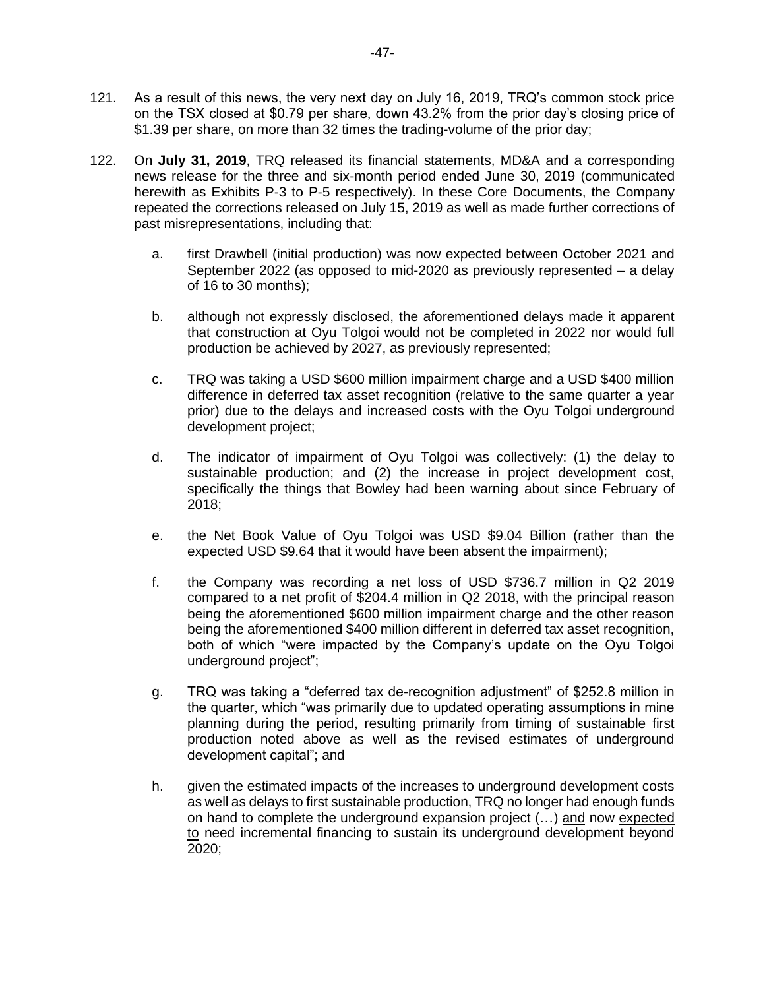- 121. As a result of this news, the very next day on July 16, 2019, TRQ's common stock price on the TSX closed at \$0.79 per share, down 43.2% from the prior day's closing price of \$1.39 per share, on more than 32 times the trading-volume of the prior day;
- 122. On **July 31, 2019**, TRQ released its financial statements, MD&A and a corresponding news release for the three and six-month period ended June 30, 2019 (communicated herewith as Exhibits P-3 to P-5 respectively). In these Core Documents, the Company repeated the corrections released on July 15, 2019 as well as made further corrections of past misrepresentations, including that:
	- a. first Drawbell (initial production) was now expected between October 2021 and September 2022 (as opposed to mid-2020 as previously represented – a delay of 16 to 30 months);
	- b. although not expressly disclosed, the aforementioned delays made it apparent that construction at Oyu Tolgoi would not be completed in 2022 nor would full production be achieved by 2027, as previously represented;
	- c. TRQ was taking a USD \$600 million impairment charge and a USD \$400 million difference in deferred tax asset recognition (relative to the same quarter a year prior) due to the delays and increased costs with the Oyu Tolgoi underground development project;
	- d. The indicator of impairment of Oyu Tolgoi was collectively: (1) the delay to sustainable production; and (2) the increase in project development cost, specifically the things that Bowley had been warning about since February of 2018;
	- e. the Net Book Value of Oyu Tolgoi was USD \$9.04 Billion (rather than the expected USD \$9.64 that it would have been absent the impairment);
	- f. the Company was recording a net loss of USD \$736.7 million in Q2 2019 compared to a net profit of \$204.4 million in Q2 2018, with the principal reason being the aforementioned \$600 million impairment charge and the other reason being the aforementioned \$400 million different in deferred tax asset recognition, both of which "were impacted by the Company's update on the Oyu Tolgoi underground project";
	- g. TRQ was taking a "deferred tax de-recognition adjustment" of \$252.8 million in the quarter, which "was primarily due to updated operating assumptions in mine planning during the period, resulting primarily from timing of sustainable first production noted above as well as the revised estimates of underground development capital"; and
	- h. given the estimated impacts of the increases to underground development costs as well as delays to first sustainable production, TRQ no longer had enough funds on hand to complete the underground expansion project (…) and now expected to need incremental financing to sustain its underground development beyond 2020;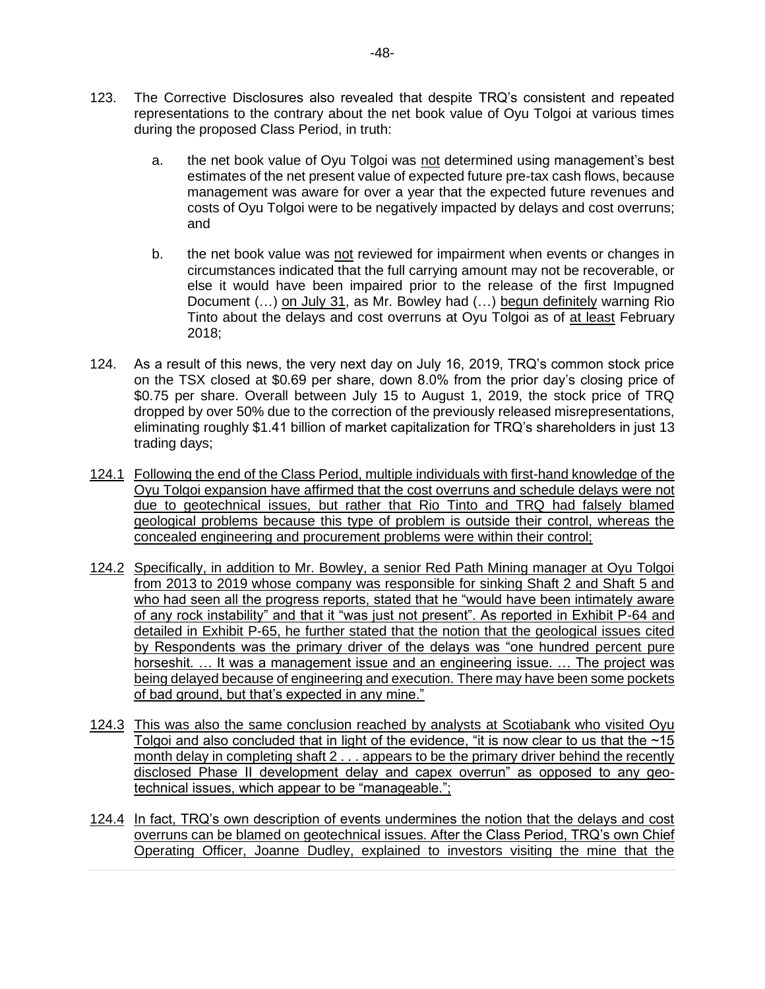- 123. The Corrective Disclosures also revealed that despite TRQ's consistent and repeated representations to the contrary about the net book value of Oyu Tolgoi at various times during the proposed Class Period, in truth:
	- a. the net book value of Oyu Tolgoi was not determined using management's best estimates of the net present value of expected future pre-tax cash flows, because management was aware for over a year that the expected future revenues and costs of Oyu Tolgoi were to be negatively impacted by delays and cost overruns; and
	- b. the net book value was not reviewed for impairment when events or changes in circumstances indicated that the full carrying amount may not be recoverable, or else it would have been impaired prior to the release of the first Impugned Document (...) on July 31, as Mr. Bowley had (...) begun definitely warning Rio Tinto about the delays and cost overruns at Oyu Tolgoi as of at least February 2018;
- 124. As a result of this news, the very next day on July 16, 2019, TRQ's common stock price on the TSX closed at \$0.69 per share, down 8.0% from the prior day's closing price of \$0.75 per share. Overall between July 15 to August 1, 2019, the stock price of TRQ dropped by over 50% due to the correction of the previously released misrepresentations, eliminating roughly \$1.41 billion of market capitalization for TRQ's shareholders in just 13 trading days;
- 124.1 Following the end of the Class Period, multiple individuals with first-hand knowledge of the Oyu Tolgoi expansion have affirmed that the cost overruns and schedule delays were not due to geotechnical issues, but rather that Rio Tinto and TRQ had falsely blamed geological problems because this type of problem is outside their control, whereas the concealed engineering and procurement problems were within their control;
- 124.2 Specifically, in addition to Mr. Bowley, a senior Red Path Mining manager at Oyu Tolgoi from 2013 to 2019 whose company was responsible for sinking Shaft 2 and Shaft 5 and who had seen all the progress reports, stated that he "would have been intimately aware of any rock instability" and that it "was just not present". As reported in Exhibit P-64 and detailed in Exhibit P-65, he further stated that the notion that the geological issues cited by Respondents was the primary driver of the delays was "one hundred percent pure horseshit. … It was a management issue and an engineering issue. … The project was being delayed because of engineering and execution. There may have been some pockets of bad ground, but that's expected in any mine."
- 124.3 This was also the same conclusion reached by analysts at Scotiabank who visited Oyu Tolgoi and also concluded that in light of the evidence, "it is now clear to us that the  $\sim$ 15 month delay in completing shaft 2 . . . appears to be the primary driver behind the recently disclosed Phase II development delay and capex overrun" as opposed to any geotechnical issues, which appear to be "manageable.";
- 124.4 In fact, TRQ's own description of events undermines the notion that the delays and cost overruns can be blamed on geotechnical issues. After the Class Period, TRQ's own Chief Operating Officer, Joanne Dudley, explained to investors visiting the mine that the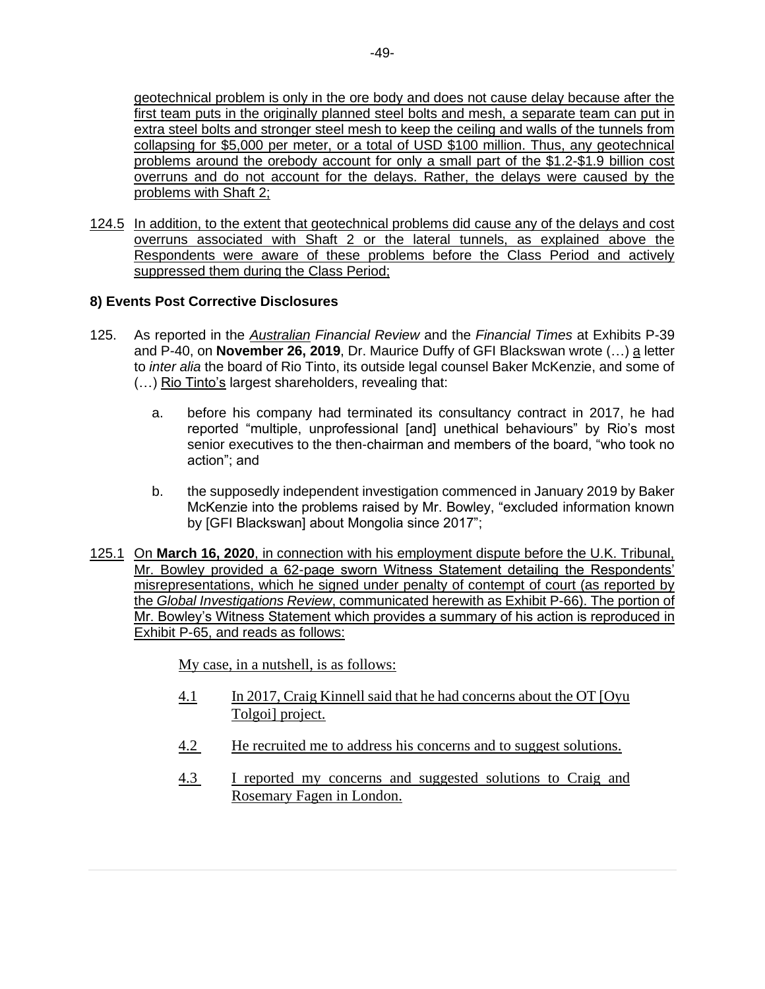geotechnical problem is only in the ore body and does not cause delay because after the first team puts in the originally planned steel bolts and mesh, a separate team can put in extra steel bolts and stronger steel mesh to keep the ceiling and walls of the tunnels from collapsing for \$5,000 per meter, or a total of USD \$100 million. Thus, any geotechnical problems around the orebody account for only a small part of the \$1.2-\$1.9 billion cost overruns and do not account for the delays. Rather, the delays were caused by the problems with Shaft 2;

124.5 In addition, to the extent that geotechnical problems did cause any of the delays and cost overruns associated with Shaft 2 or the lateral tunnels, as explained above the Respondents were aware of these problems before the Class Period and actively suppressed them during the Class Period;

# **8) Events Post Corrective Disclosures**

- 125. As reported in the *Australian Financial Review* and the *Financial Times* at Exhibits P-39 and P-40, on **November 26, 2019**, Dr. Maurice Duffy of GFI Blackswan wrote (…) a letter to *inter alia* the board of Rio Tinto, its outside legal counsel Baker McKenzie, and some of (…) Rio Tinto's largest shareholders, revealing that:
	- a. before his company had terminated its consultancy contract in 2017, he had reported "multiple, unprofessional [and] unethical behaviours" by Rio's most senior executives to the then-chairman and members of the board, "who took no action"; and
	- b. the supposedly independent investigation commenced in January 2019 by Baker McKenzie into the problems raised by Mr. Bowley, "excluded information known by [GFI Blackswan] about Mongolia since 2017";
- 125.1 On **March 16, 2020**, in connection with his employment dispute before the U.K. Tribunal, Mr. Bowley provided a 62-page sworn Witness Statement detailing the Respondents' misrepresentations, which he signed under penalty of contempt of court (as reported by the *Global Investigations Review*, communicated herewith as Exhibit P-66). The portion of Mr. Bowley's Witness Statement which provides a summary of his action is reproduced in Exhibit P-65, and reads as follows:

My case, in a nutshell, is as follows:

- 4.1 In 2017, Craig Kinnell said that he had concerns about the OT [Oyu Tolgoi] project.
- 4.2 He recruited me to address his concerns and to suggest solutions.
- 4.3 I reported my concerns and suggested solutions to Craig and Rosemary Fagen in London.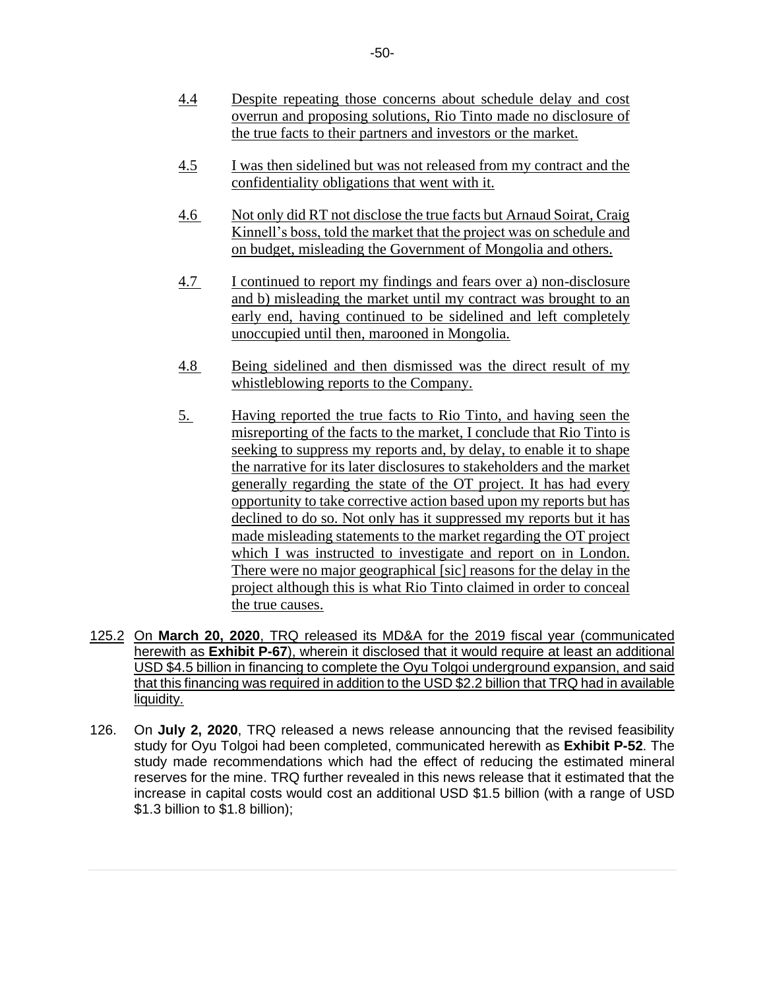- 4.4 Despite repeating those concerns about schedule delay and cost overrun and proposing solutions, Rio Tinto made no disclosure of the true facts to their partners and investors or the market.
- 4.5 I was then sidelined but was not released from my contract and the confidentiality obligations that went with it.
- 4.6 Not only did RT not disclose the true facts but Arnaud Soirat, Craig Kinnell's boss, told the market that the project was on schedule and on budget, misleading the Government of Mongolia and others.
- 4.7 I continued to report my findings and fears over a) non-disclosure and b) misleading the market until my contract was brought to an early end, having continued to be sidelined and left completely unoccupied until then, marooned in Mongolia.
- 4.8 Being sidelined and then dismissed was the direct result of my whistleblowing reports to the Company.
- 5. Having reported the true facts to Rio Tinto, and having seen the misreporting of the facts to the market, I conclude that Rio Tinto is seeking to suppress my reports and, by delay, to enable it to shape the narrative for its later disclosures to stakeholders and the market generally regarding the state of the OT project. It has had every opportunity to take corrective action based upon my reports but has declined to do so. Not only has it suppressed my reports but it has made misleading statements to the market regarding the OT project which I was instructed to investigate and report on in London. There were no major geographical [sic] reasons for the delay in the project although this is what Rio Tinto claimed in order to conceal the true causes.
- 125.2 On **March 20, 2020**, TRQ released its MD&A for the 2019 fiscal year (communicated herewith as **Exhibit P-67**), wherein it disclosed that it would require at least an additional USD \$4.5 billion in financing to complete the Oyu Tolgoi underground expansion, and said that this financing was required in addition to the USD \$2.2 billion that TRQ had in available liquidity.
- 126. On **July 2, 2020**, TRQ released a news release announcing that the revised feasibility study for Oyu Tolgoi had been completed, communicated herewith as **Exhibit P-52**. The study made recommendations which had the effect of reducing the estimated mineral reserves for the mine. TRQ further revealed in this news release that it estimated that the increase in capital costs would cost an additional USD \$1.5 billion (with a range of USD \$1.3 billion to \$1.8 billion);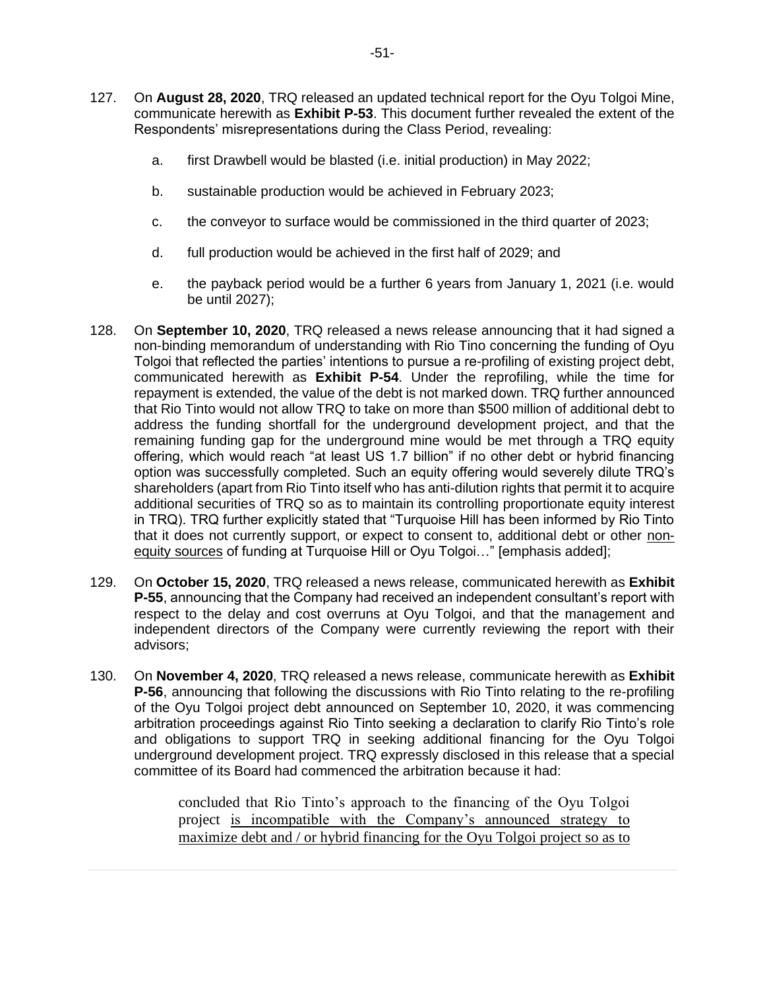- 127. On **August 28, 2020**, TRQ released an updated technical report for the Oyu Tolgoi Mine, communicate herewith as **Exhibit P-53**. This document further revealed the extent of the Respondents' misrepresentations during the Class Period, revealing:
	- a. first Drawbell would be blasted (i.e. initial production) in May 2022;
	- b. sustainable production would be achieved in February 2023;
	- c. the conveyor to surface would be commissioned in the third quarter of 2023;
	- d. full production would be achieved in the first half of 2029; and
	- e. the payback period would be a further 6 years from January 1, 2021 (i.e. would be until 2027);
- 128. On **September 10, 2020**, TRQ released a news release announcing that it had signed a non-binding memorandum of understanding with Rio Tino concerning the funding of Oyu Tolgoi that reflected the parties' intentions to pursue a re-profiling of existing project debt, communicated herewith as **Exhibit P-54**. Under the reprofiling, while the time for repayment is extended, the value of the debt is not marked down. TRQ further announced that Rio Tinto would not allow TRQ to take on more than \$500 million of additional debt to address the funding shortfall for the underground development project, and that the remaining funding gap for the underground mine would be met through a TRQ equity offering, which would reach "at least US 1.7 billion" if no other debt or hybrid financing option was successfully completed. Such an equity offering would severely dilute TRQ's shareholders (apart from Rio Tinto itself who has anti-dilution rights that permit it to acquire additional securities of TRQ so as to maintain its controlling proportionate equity interest in TRQ). TRQ further explicitly stated that "Turquoise Hill has been informed by Rio Tinto that it does not currently support, or expect to consent to, additional debt or other nonequity sources of funding at Turquoise Hill or Oyu Tolgoi…" [emphasis added];
- 129. On **October 15, 2020**, TRQ released a news release, communicated herewith as **Exhibit P-55**, announcing that the Company had received an independent consultant's report with respect to the delay and cost overruns at Oyu Tolgoi, and that the management and independent directors of the Company were currently reviewing the report with their advisors;
- 130. On **November 4, 2020**, TRQ released a news release, communicate herewith as **Exhibit P-56**, announcing that following the discussions with Rio Tinto relating to the re-profiling of the Oyu Tolgoi project debt announced on September 10, 2020, it was commencing arbitration proceedings against Rio Tinto seeking a declaration to clarify Rio Tinto's role and obligations to support TRQ in seeking additional financing for the Oyu Tolgoi underground development project. TRQ expressly disclosed in this release that a special committee of its Board had commenced the arbitration because it had:

concluded that Rio Tinto's approach to the financing of the Oyu Tolgoi project is incompatible with the Company's announced strategy to maximize debt and / or hybrid financing for the Oyu Tolgoi project so as to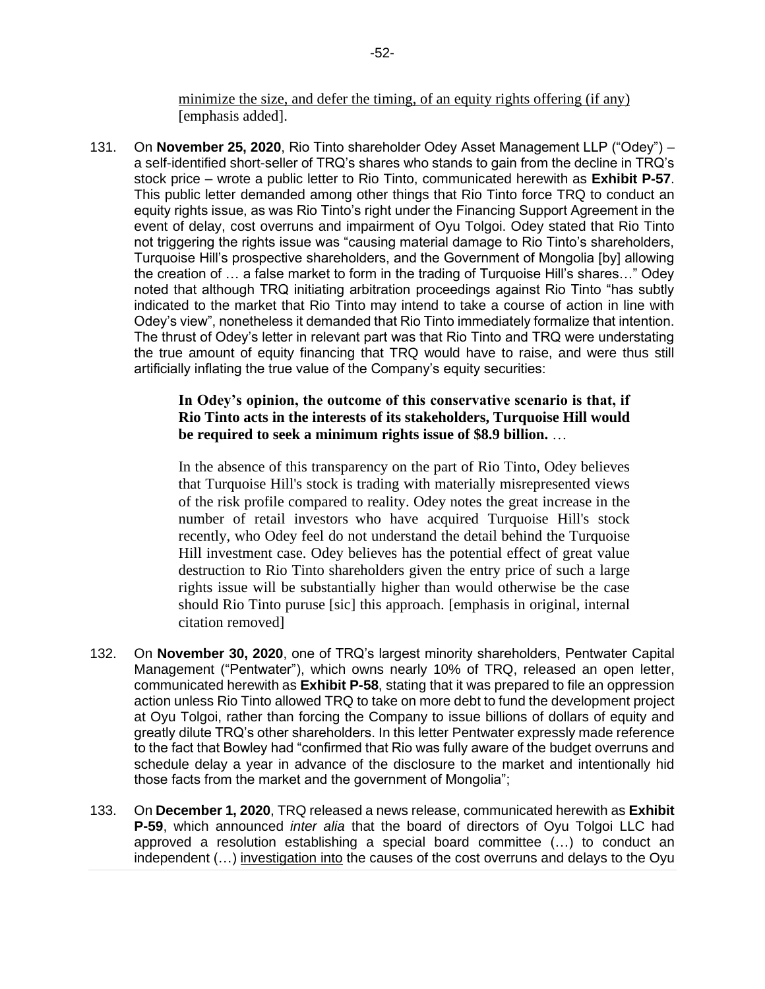minimize the size, and defer the timing, of an equity rights offering (if any) [emphasis added].

131. On **November 25, 2020**, Rio Tinto shareholder Odey Asset Management LLP ("Odey") – a self-identified short-seller of TRQ's shares who stands to gain from the decline in TRQ's stock price – wrote a public letter to Rio Tinto, communicated herewith as **Exhibit P-57**. This public letter demanded among other things that Rio Tinto force TRQ to conduct an equity rights issue, as was Rio Tinto's right under the Financing Support Agreement in the event of delay, cost overruns and impairment of Oyu Tolgoi. Odey stated that Rio Tinto not triggering the rights issue was "causing material damage to Rio Tinto's shareholders, Turquoise Hill's prospective shareholders, and the Government of Mongolia [by] allowing the creation of … a false market to form in the trading of Turquoise Hill's shares…" Odey noted that although TRQ initiating arbitration proceedings against Rio Tinto "has subtly indicated to the market that Rio Tinto may intend to take a course of action in line with Odey's view", nonetheless it demanded that Rio Tinto immediately formalize that intention. The thrust of Odey's letter in relevant part was that Rio Tinto and TRQ were understating the true amount of equity financing that TRQ would have to raise, and were thus still artificially inflating the true value of the Company's equity securities:

# **In Odey's opinion, the outcome of this conservative scenario is that, if Rio Tinto acts in the interests of its stakeholders, Turquoise Hill would be required to seek a minimum rights issue of \$8.9 billion.** …

In the absence of this transparency on the part of Rio Tinto, Odey believes that Turquoise Hill's stock is trading with materially misrepresented views of the risk profile compared to reality. Odey notes the great increase in the number of retail investors who have acquired Turquoise Hill's stock recently, who Odey feel do not understand the detail behind the Turquoise Hill investment case. Odey believes has the potential effect of great value destruction to Rio Tinto shareholders given the entry price of such a large rights issue will be substantially higher than would otherwise be the case should Rio Tinto puruse [sic] this approach. [emphasis in original, internal citation removed]

- 132. On **November 30, 2020**, one of TRQ's largest minority shareholders, Pentwater Capital Management ("Pentwater"), which owns nearly 10% of TRQ, released an open letter, communicated herewith as **Exhibit P-58**, stating that it was prepared to file an oppression action unless Rio Tinto allowed TRQ to take on more debt to fund the development project at Oyu Tolgoi, rather than forcing the Company to issue billions of dollars of equity and greatly dilute TRQ's other shareholders. In this letter Pentwater expressly made reference to the fact that Bowley had "confirmed that Rio was fully aware of the budget overruns and schedule delay a year in advance of the disclosure to the market and intentionally hid those facts from the market and the government of Mongolia";
- 133. On **December 1, 2020**, TRQ released a news release, communicated herewith as **Exhibit P-59**, which announced *inter alia* that the board of directors of Oyu Tolgoi LLC had approved a resolution establishing a special board committee (…) to conduct an independent (...) investigation into the causes of the cost overruns and delays to the Oyu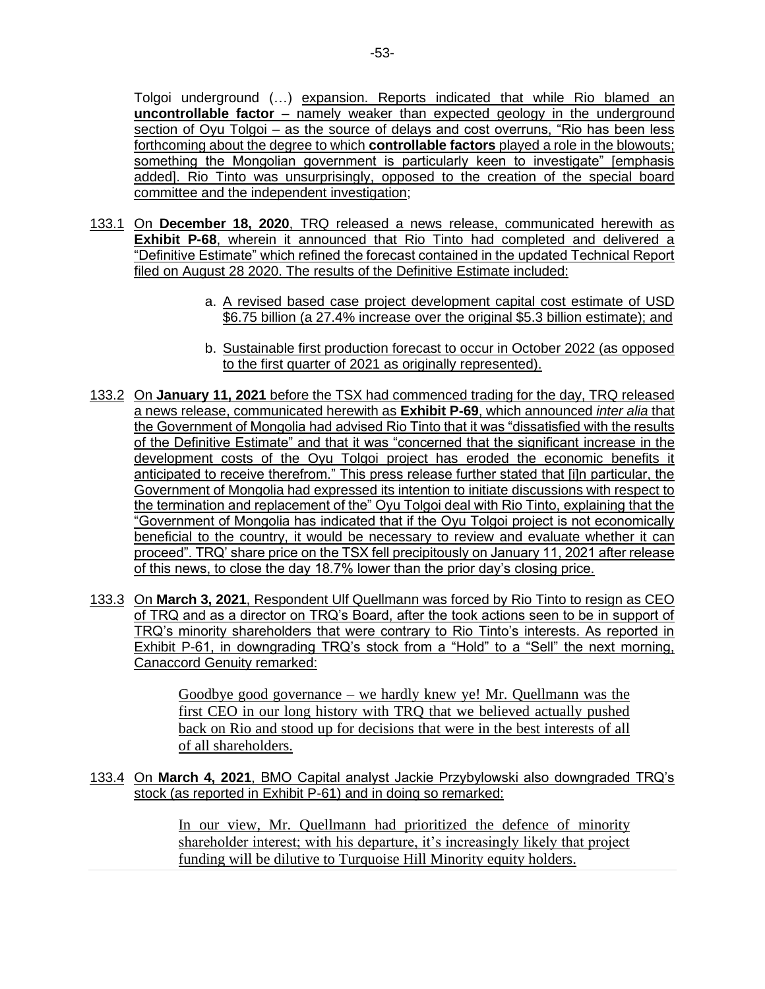Tolgoi underground (…) expansion. Reports indicated that while Rio blamed an **uncontrollable factor** – namely weaker than expected geology in the underground section of Oyu Tolgoi – as the source of delays and cost overruns, "Rio has been less forthcoming about the degree to which **controllable factors** played a role in the blowouts; something the Mongolian government is particularly keen to investigate" [emphasis added]. Rio Tinto was unsurprisingly, opposed to the creation of the special board committee and the independent investigation;

- 133.1 On **December 18, 2020**, TRQ released a news release, communicated herewith as **Exhibit P-68**, wherein it announced that Rio Tinto had completed and delivered a "Definitive Estimate" which refined the forecast contained in the updated Technical Report filed on August 28 2020. The results of the Definitive Estimate included:
	- a. A revised based case project development capital cost estimate of USD \$6.75 billion (a 27.4% increase over the original \$5.3 billion estimate); and
	- b. Sustainable first production forecast to occur in October 2022 (as opposed to the first quarter of 2021 as originally represented).
- 133.2 On **January 11, 2021** before the TSX had commenced trading for the day, TRQ released a news release, communicated herewith as **Exhibit P-69**, which announced *inter alia* that the Government of Mongolia had advised Rio Tinto that it was "dissatisfied with the results of the Definitive Estimate" and that it was "concerned that the significant increase in the development costs of the Oyu Tolgoi project has eroded the economic benefits it anticipated to receive therefrom." This press release further stated that [i]n particular, the Government of Mongolia had expressed its intention to initiate discussions with respect to the termination and replacement of the" Oyu Tolgoi deal with Rio Tinto, explaining that the "Government of Mongolia has indicated that if the Oyu Tolgoi project is not economically beneficial to the country, it would be necessary to review and evaluate whether it can proceed". TRQ' share price on the TSX fell precipitously on January 11, 2021 after release of this news, to close the day 18.7% lower than the prior day's closing price.
- 133.3 On **March 3, 2021**, Respondent Ulf Quellmann was forced by Rio Tinto to resign as CEO of TRQ and as a director on TRQ's Board, after the took actions seen to be in support of TRQ's minority shareholders that were contrary to Rio Tinto's interests. As reported in Exhibit P-61, in downgrading TRQ's stock from a "Hold" to a "Sell" the next morning, Canaccord Genuity remarked:

Goodbye good governance – we hardly knew ye! Mr. Quellmann was the first CEO in our long history with TRQ that we believed actually pushed back on Rio and stood up for decisions that were in the best interests of all of all shareholders.

133.4 On **March 4, 2021**, BMO Capital analyst Jackie Przybylowski also downgraded TRQ's stock (as reported in Exhibit P-61) and in doing so remarked:

> In our view, Mr. Quellmann had prioritized the defence of minority shareholder interest; with his departure, it's increasingly likely that project funding will be dilutive to Turquoise Hill Minority equity holders.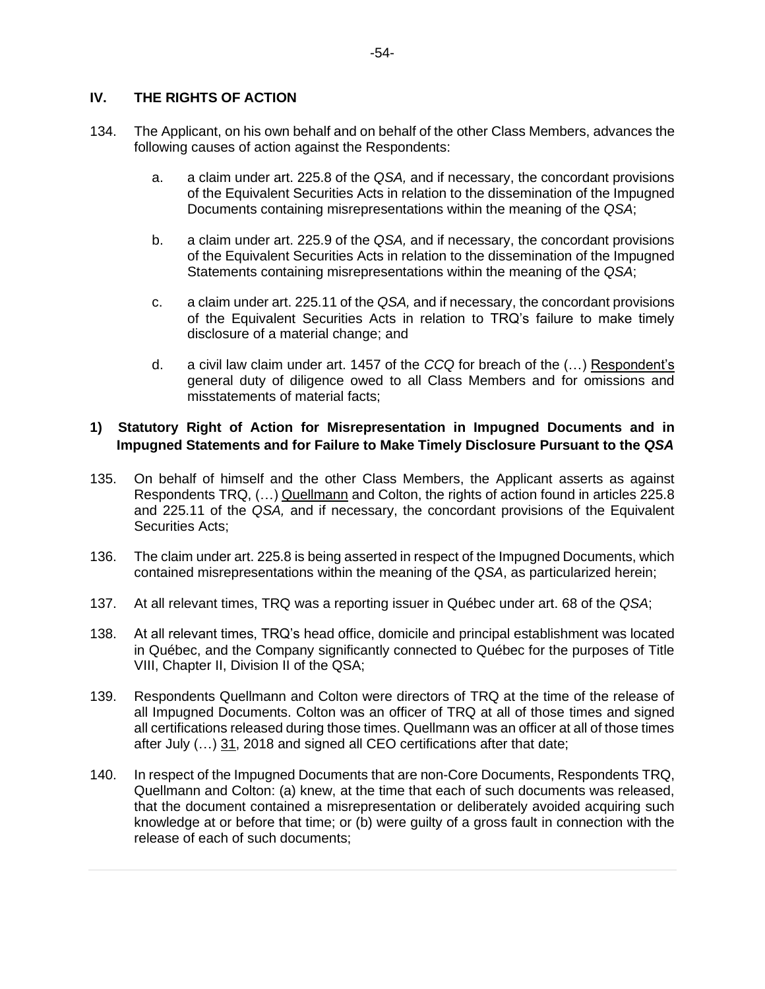# **IV. THE RIGHTS OF ACTION**

- 134. The Applicant, on his own behalf and on behalf of the other Class Members, advances the following causes of action against the Respondents:
	- a. a claim under art. 225.8 of the *QSA,* and if necessary, the concordant provisions of the Equivalent Securities Acts in relation to the dissemination of the Impugned Documents containing misrepresentations within the meaning of the *QSA*;
	- b. a claim under art. 225.9 of the *QSA,* and if necessary, the concordant provisions of the Equivalent Securities Acts in relation to the dissemination of the Impugned Statements containing misrepresentations within the meaning of the *QSA*;
	- c. a claim under art. 225.11 of the *QSA,* and if necessary, the concordant provisions of the Equivalent Securities Acts in relation to TRQ's failure to make timely disclosure of a material change; and
	- d. a civil law claim under art. 1457 of the *CCQ* for breach of the (…) Respondent's general duty of diligence owed to all Class Members and for omissions and misstatements of material facts;

# **1) Statutory Right of Action for Misrepresentation in Impugned Documents and in Impugned Statements and for Failure to Make Timely Disclosure Pursuant to the** *QSA*

- 135. On behalf of himself and the other Class Members, the Applicant asserts as against Respondents TRQ, (…) Quellmann and Colton, the rights of action found in articles 225.8 and 225.11 of the *QSA,* and if necessary, the concordant provisions of the Equivalent Securities Acts;
- 136. The claim under art. 225.8 is being asserted in respect of the Impugned Documents, which contained misrepresentations within the meaning of the *QSA*, as particularized herein;
- 137. At all relevant times, TRQ was a reporting issuer in Québec under art. 68 of the *QSA*;
- 138. At all relevant times, TRQ's head office, domicile and principal establishment was located in Québec, and the Company significantly connected to Québec for the purposes of Title VIII, Chapter II, Division II of the QSA;
- 139. Respondents Quellmann and Colton were directors of TRQ at the time of the release of all Impugned Documents. Colton was an officer of TRQ at all of those times and signed all certifications released during those times. Quellmann was an officer at all of those times after July (…) 31, 2018 and signed all CEO certifications after that date;
- 140. In respect of the Impugned Documents that are non-Core Documents, Respondents TRQ, Quellmann and Colton: (a) knew, at the time that each of such documents was released, that the document contained a misrepresentation or deliberately avoided acquiring such knowledge at or before that time; or (b) were guilty of a gross fault in connection with the release of each of such documents;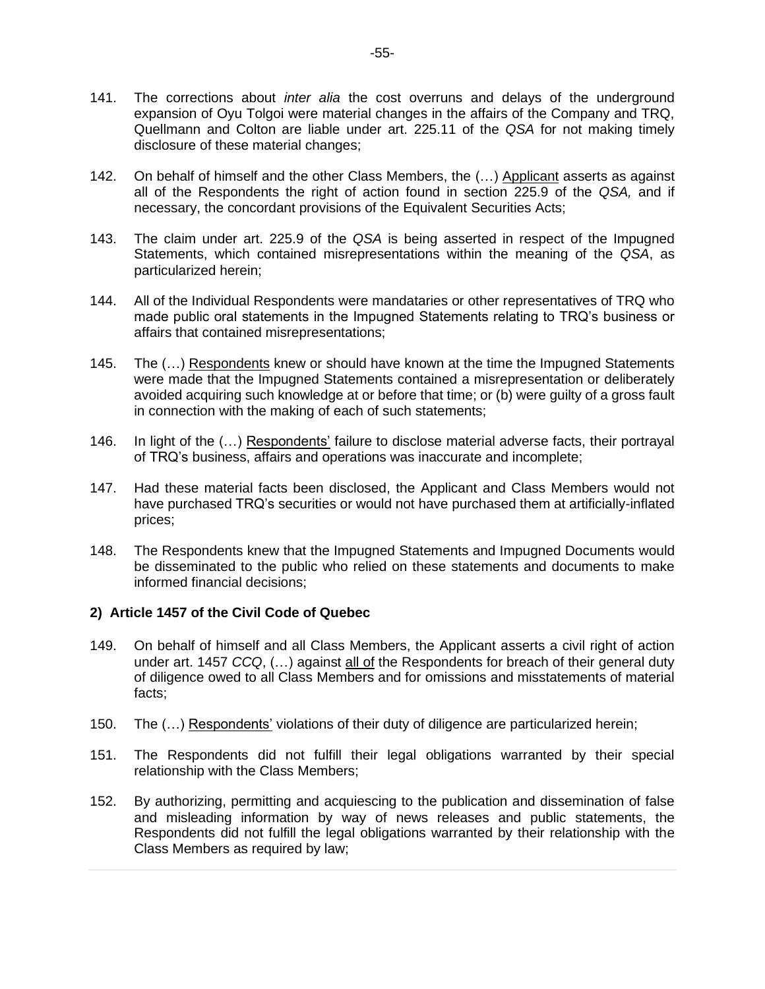- 141. The corrections about *inter alia* the cost overruns and delays of the underground expansion of Oyu Tolgoi were material changes in the affairs of the Company and TRQ, Quellmann and Colton are liable under art. 225.11 of the *QSA* for not making timely disclosure of these material changes;
- 142. On behalf of himself and the other Class Members, the (...) Applicant asserts as against all of the Respondents the right of action found in section 225.9 of the *QSA,* and if necessary, the concordant provisions of the Equivalent Securities Acts;
- 143. The claim under art. 225.9 of the *QSA* is being asserted in respect of the Impugned Statements, which contained misrepresentations within the meaning of the *QSA*, as particularized herein;
- 144. All of the Individual Respondents were mandataries or other representatives of TRQ who made public oral statements in the Impugned Statements relating to TRQ's business or affairs that contained misrepresentations;
- 145. The (...) Respondents knew or should have known at the time the Impugned Statements were made that the Impugned Statements contained a misrepresentation or deliberately avoided acquiring such knowledge at or before that time; or (b) were guilty of a gross fault in connection with the making of each of such statements;
- 146. In light of the (…) Respondents' failure to disclose material adverse facts, their portrayal of TRQ's business, affairs and operations was inaccurate and incomplete;
- 147. Had these material facts been disclosed, the Applicant and Class Members would not have purchased TRQ's securities or would not have purchased them at artificially-inflated prices;
- 148. The Respondents knew that the Impugned Statements and Impugned Documents would be disseminated to the public who relied on these statements and documents to make informed financial decisions;

# **2) Article 1457 of the Civil Code of Quebec**

- 149. On behalf of himself and all Class Members, the Applicant asserts a civil right of action under art. 1457 *CCQ*, (…) against all of the Respondents for breach of their general duty of diligence owed to all Class Members and for omissions and misstatements of material facts;
- 150. The (…) Respondents' violations of their duty of diligence are particularized herein;
- 151. The Respondents did not fulfill their legal obligations warranted by their special relationship with the Class Members;
- 152. By authorizing, permitting and acquiescing to the publication and dissemination of false and misleading information by way of news releases and public statements, the Respondents did not fulfill the legal obligations warranted by their relationship with the Class Members as required by law;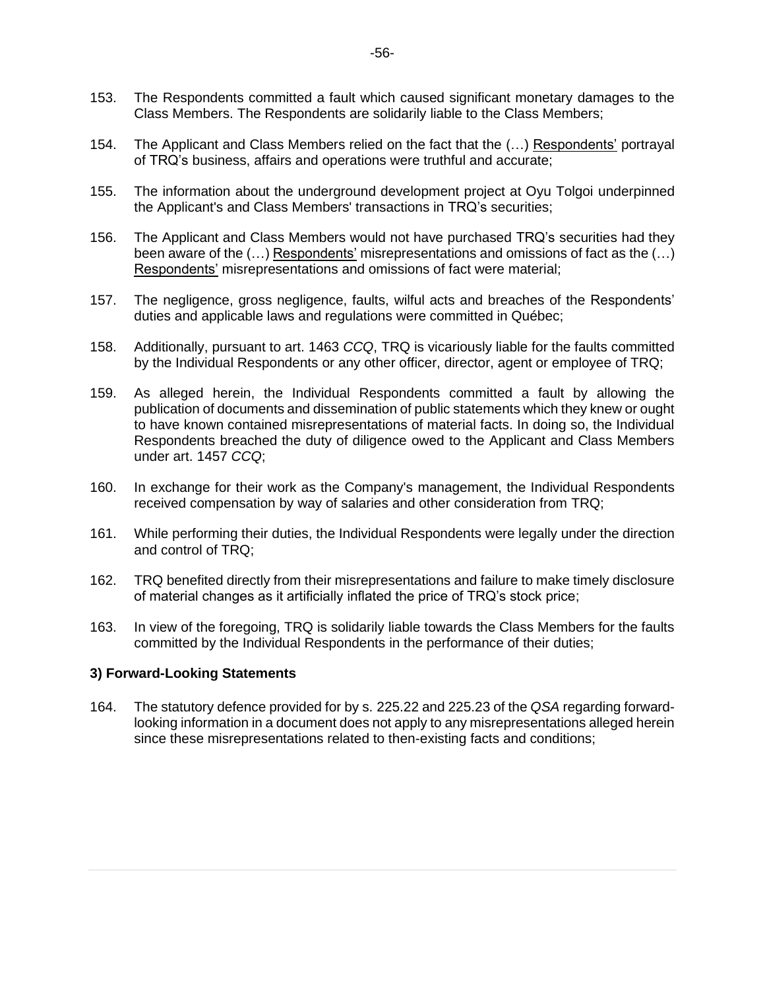- 153. The Respondents committed a fault which caused significant monetary damages to the Class Members. The Respondents are solidarily liable to the Class Members;
- 154. The Applicant and Class Members relied on the fact that the (…) Respondents' portrayal of TRQ's business, affairs and operations were truthful and accurate;
- 155. The information about the underground development project at Oyu Tolgoi underpinned the Applicant's and Class Members' transactions in TRQ's securities;
- 156. The Applicant and Class Members would not have purchased TRQ's securities had they been aware of the  $(...)$  Respondents' misrepresentations and omissions of fact as the  $(...)$ Respondents' misrepresentations and omissions of fact were material;
- 157. The negligence, gross negligence, faults, wilful acts and breaches of the Respondents' duties and applicable laws and regulations were committed in Québec;
- 158. Additionally, pursuant to art. 1463 *CCQ*, TRQ is vicariously liable for the faults committed by the Individual Respondents or any other officer, director, agent or employee of TRQ;
- 159. As alleged herein, the Individual Respondents committed a fault by allowing the publication of documents and dissemination of public statements which they knew or ought to have known contained misrepresentations of material facts. In doing so, the Individual Respondents breached the duty of diligence owed to the Applicant and Class Members under art. 1457 *CCQ*;
- 160. In exchange for their work as the Company's management, the Individual Respondents received compensation by way of salaries and other consideration from TRQ;
- 161. While performing their duties, the Individual Respondents were legally under the direction and control of TRQ;
- 162. TRQ benefited directly from their misrepresentations and failure to make timely disclosure of material changes as it artificially inflated the price of TRQ's stock price;
- 163. In view of the foregoing, TRQ is solidarily liable towards the Class Members for the faults committed by the Individual Respondents in the performance of their duties;

#### **3) Forward-Looking Statements**

164. The statutory defence provided for by s. 225.22 and 225.23 of the *QSA* regarding forwardlooking information in a document does not apply to any misrepresentations alleged herein since these misrepresentations related to then-existing facts and conditions;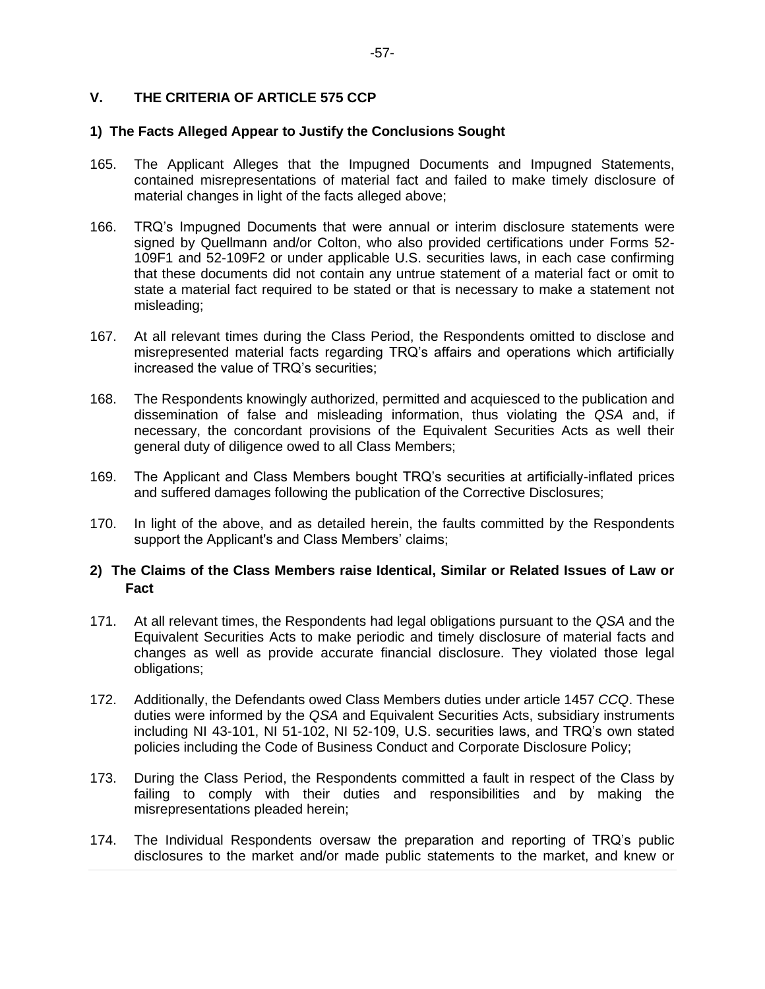# **V. THE CRITERIA OF ARTICLE 575 CCP**

#### **1) The Facts Alleged Appear to Justify the Conclusions Sought**

- 165. The Applicant Alleges that the Impugned Documents and Impugned Statements, contained misrepresentations of material fact and failed to make timely disclosure of material changes in light of the facts alleged above;
- 166. TRQ's Impugned Documents that were annual or interim disclosure statements were signed by Quellmann and/or Colton, who also provided certifications under Forms 52- 109F1 and 52-109F2 or under applicable U.S. securities laws, in each case confirming that these documents did not contain any untrue statement of a material fact or omit to state a material fact required to be stated or that is necessary to make a statement not misleading;
- 167. At all relevant times during the Class Period, the Respondents omitted to disclose and misrepresented material facts regarding TRQ's affairs and operations which artificially increased the value of TRQ's securities;
- 168. The Respondents knowingly authorized, permitted and acquiesced to the publication and dissemination of false and misleading information, thus violating the *QSA* and, if necessary, the concordant provisions of the Equivalent Securities Acts as well their general duty of diligence owed to all Class Members;
- 169. The Applicant and Class Members bought TRQ's securities at artificially-inflated prices and suffered damages following the publication of the Corrective Disclosures;
- 170. In light of the above, and as detailed herein, the faults committed by the Respondents support the Applicant's and Class Members' claims;

#### **2) The Claims of the Class Members raise Identical, Similar or Related Issues of Law or Fact**

- 171. At all relevant times, the Respondents had legal obligations pursuant to the *QSA* and the Equivalent Securities Acts to make periodic and timely disclosure of material facts and changes as well as provide accurate financial disclosure. They violated those legal obligations;
- 172. Additionally, the Defendants owed Class Members duties under article 1457 *CCQ*. These duties were informed by the *QSA* and Equivalent Securities Acts, subsidiary instruments including NI 43-101, NI 51-102, NI 52-109, U.S. securities laws, and TRQ's own stated policies including the Code of Business Conduct and Corporate Disclosure Policy;
- 173. During the Class Period, the Respondents committed a fault in respect of the Class by failing to comply with their duties and responsibilities and by making the misrepresentations pleaded herein;
- 174. The Individual Respondents oversaw the preparation and reporting of TRQ's public disclosures to the market and/or made public statements to the market, and knew or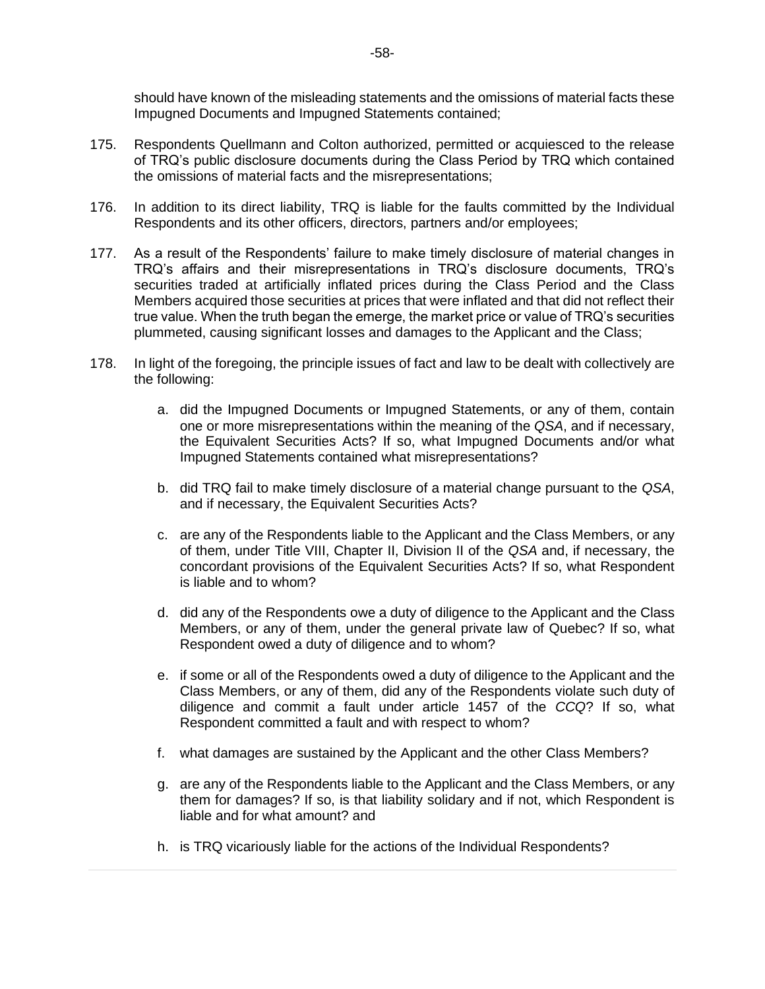should have known of the misleading statements and the omissions of material facts these Impugned Documents and Impugned Statements contained;

- 175. Respondents Quellmann and Colton authorized, permitted or acquiesced to the release of TRQ's public disclosure documents during the Class Period by TRQ which contained the omissions of material facts and the misrepresentations;
- 176. In addition to its direct liability, TRQ is liable for the faults committed by the Individual Respondents and its other officers, directors, partners and/or employees;
- 177. As a result of the Respondents' failure to make timely disclosure of material changes in TRQ's affairs and their misrepresentations in TRQ's disclosure documents, TRQ's securities traded at artificially inflated prices during the Class Period and the Class Members acquired those securities at prices that were inflated and that did not reflect their true value. When the truth began the emerge, the market price or value of TRQ's securities plummeted, causing significant losses and damages to the Applicant and the Class;
- 178. In light of the foregoing, the principle issues of fact and law to be dealt with collectively are the following:
	- a. did the Impugned Documents or Impugned Statements, or any of them, contain one or more misrepresentations within the meaning of the *QSA*, and if necessary, the Equivalent Securities Acts? If so, what Impugned Documents and/or what Impugned Statements contained what misrepresentations?
	- b. did TRQ fail to make timely disclosure of a material change pursuant to the *QSA*, and if necessary, the Equivalent Securities Acts?
	- c. are any of the Respondents liable to the Applicant and the Class Members, or any of them, under Title VIII, Chapter II, Division II of the *QSA* and, if necessary, the concordant provisions of the Equivalent Securities Acts? If so, what Respondent is liable and to whom?
	- d. did any of the Respondents owe a duty of diligence to the Applicant and the Class Members, or any of them, under the general private law of Quebec? If so, what Respondent owed a duty of diligence and to whom?
	- e. if some or all of the Respondents owed a duty of diligence to the Applicant and the Class Members, or any of them, did any of the Respondents violate such duty of diligence and commit a fault under article 1457 of the *CCQ*? If so, what Respondent committed a fault and with respect to whom?
	- f. what damages are sustained by the Applicant and the other Class Members?
	- g. are any of the Respondents liable to the Applicant and the Class Members, or any them for damages? If so, is that liability solidary and if not, which Respondent is liable and for what amount? and
	- h. is TRQ vicariously liable for the actions of the Individual Respondents?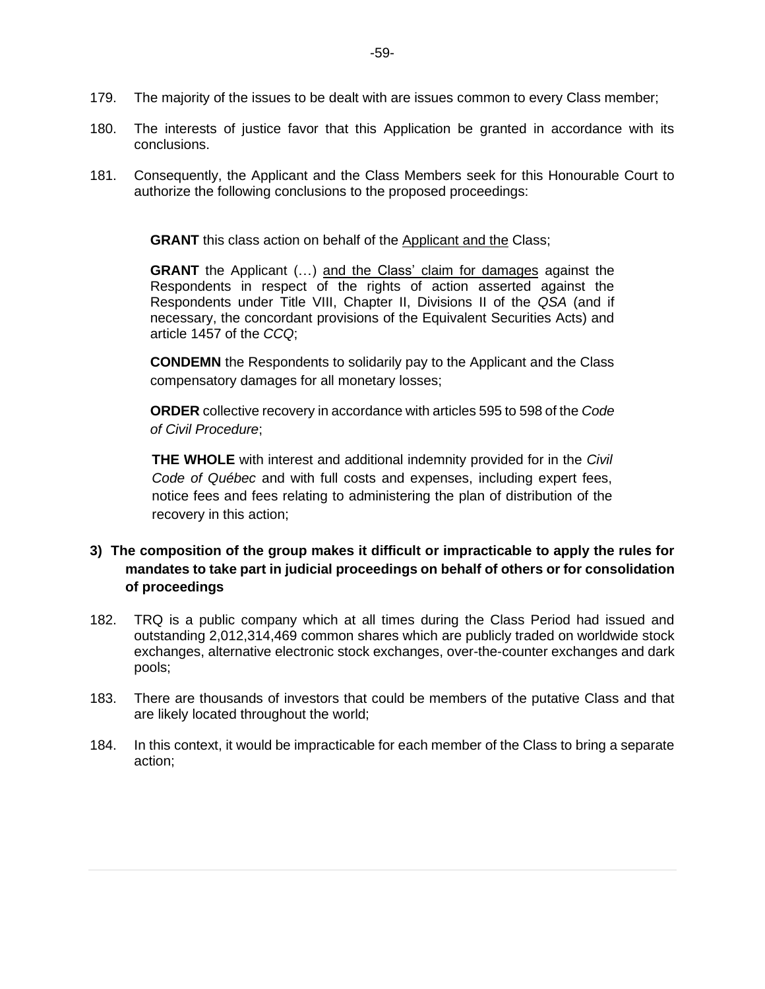- 179. The majority of the issues to be dealt with are issues common to every Class member;
- 180. The interests of justice favor that this Application be granted in accordance with its conclusions.
- 181. Consequently, the Applicant and the Class Members seek for this Honourable Court to authorize the following conclusions to the proposed proceedings:

**GRANT** this class action on behalf of the Applicant and the Class;

**GRANT** the Applicant (...) and the Class' claim for damages against the Respondents in respect of the rights of action asserted against the Respondents under Title VIII, Chapter II, Divisions II of the *QSA* (and if necessary, the concordant provisions of the Equivalent Securities Acts) and article 1457 of the *CCQ*;

**CONDEMN** the Respondents to solidarily pay to the Applicant and the Class compensatory damages for all monetary losses;

**ORDER** collective recovery in accordance with articles 595 to 598 of the *Code of Civil Procedure*;

**THE WHOLE** with interest and additional indemnity provided for in the *Civil Code of Québec* and with full costs and expenses, including expert fees, notice fees and fees relating to administering the plan of distribution of the recovery in this action;

# **3) The composition of the group makes it difficult or impracticable to apply the rules for mandates to take part in judicial proceedings on behalf of others or for consolidation of proceedings**

- 182. TRQ is a public company which at all times during the Class Period had issued and outstanding 2,012,314,469 common shares which are publicly traded on worldwide stock exchanges, alternative electronic stock exchanges, over-the-counter exchanges and dark pools;
- 183. There are thousands of investors that could be members of the putative Class and that are likely located throughout the world;
- 184. In this context, it would be impracticable for each member of the Class to bring a separate action;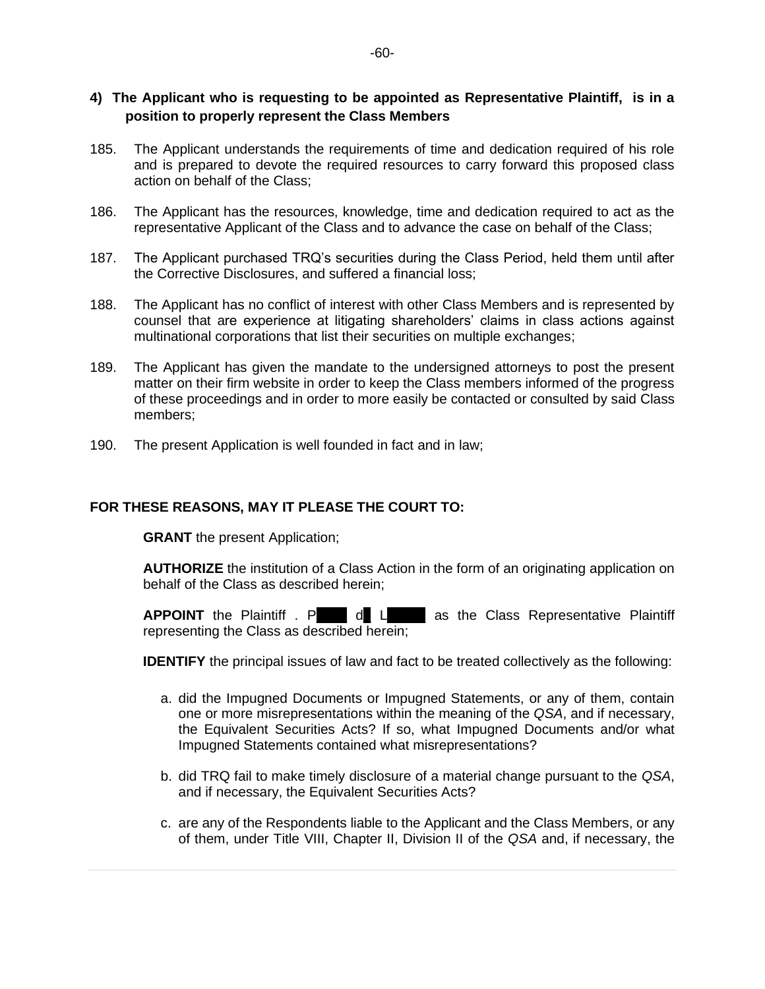# **4) The Applicant who is requesting to be appointed as Representative Plaintiff, is in a position to properly represent the Class Members**

- 185. The Applicant understands the requirements of time and dedication required of his role and is prepared to devote the required resources to carry forward this proposed class action on behalf of the Class;
- 186. The Applicant has the resources, knowledge, time and dedication required to act as the representative Applicant of the Class and to advance the case on behalf of the Class;
- 187. The Applicant purchased TRQ's securities during the Class Period, held them until after the Corrective Disclosures, and suffered a financial loss;
- 188. The Applicant has no conflict of interest with other Class Members and is represented by counsel that are experience at litigating shareholders' claims in class actions against multinational corporations that list their securities on multiple exchanges;
- 189. The Applicant has given the mandate to the undersigned attorneys to post the present matter on their firm website in order to keep the Class members informed of the progress of these proceedings and in order to more easily be contacted or consulted by said Class members;
- 190. The present Application is well founded in fact and in law;

#### **FOR THESE REASONS, MAY IT PLEASE THE COURT TO:**

**GRANT** the present Application;

**AUTHORIZE** the institution of a Class Action in the form of an originating application on behalf of the Class as described herein;

**APPOINT** the Plaintiff . P d L as the Class Representative Plaintiff representing the Class as described herein;

**IDENTIFY** the principal issues of law and fact to be treated collectively as the following:

- a. did the Impugned Documents or Impugned Statements, or any of them, contain one or more misrepresentations within the meaning of the *QSA*, and if necessary, the Equivalent Securities Acts? If so, what Impugned Documents and/or what Impugned Statements contained what misrepresentations?
- b. did TRQ fail to make timely disclosure of a material change pursuant to the *QSA*, and if necessary, the Equivalent Securities Acts?
- c. are any of the Respondents liable to the Applicant and the Class Members, or any of them, under Title VIII, Chapter II, Division II of the *QSA* and, if necessary, the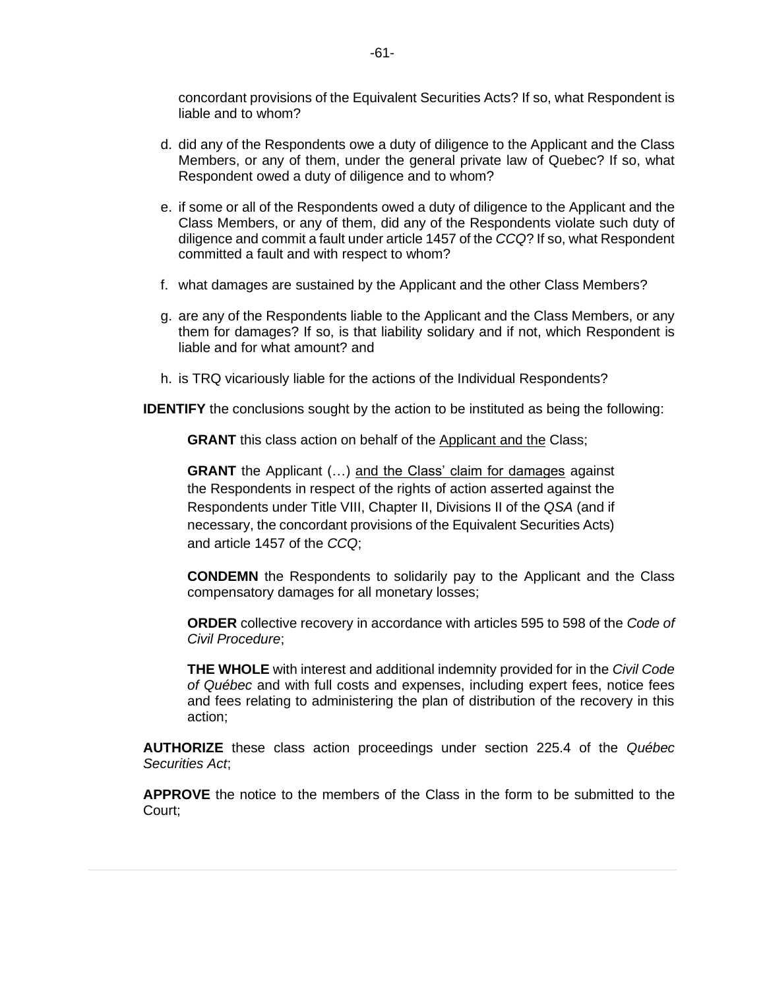concordant provisions of the Equivalent Securities Acts? If so, what Respondent is liable and to whom?

- d. did any of the Respondents owe a duty of diligence to the Applicant and the Class Members, or any of them, under the general private law of Quebec? If so, what Respondent owed a duty of diligence and to whom?
- e. if some or all of the Respondents owed a duty of diligence to the Applicant and the Class Members, or any of them, did any of the Respondents violate such duty of diligence and commit a fault under article 1457 of the *CCQ*? If so, what Respondent committed a fault and with respect to whom?
- f. what damages are sustained by the Applicant and the other Class Members?
- g. are any of the Respondents liable to the Applicant and the Class Members, or any them for damages? If so, is that liability solidary and if not, which Respondent is liable and for what amount? and
- h. is TRQ vicariously liable for the actions of the Individual Respondents?

**IDENTIFY** the conclusions sought by the action to be instituted as being the following:

**GRANT** this class action on behalf of the Applicant and the Class;

GRANT the Applicant (...) and the Class' claim for damages against the Respondents in respect of the rights of action asserted against the Respondents under Title VIII, Chapter II, Divisions II of the *QSA* (and if necessary, the concordant provisions of the Equivalent Securities Acts) and article 1457 of the *CCQ*;

**CONDEMN** the Respondents to solidarily pay to the Applicant and the Class compensatory damages for all monetary losses;

**ORDER** collective recovery in accordance with articles 595 to 598 of the *Code of Civil Procedure*;

**THE WHOLE** with interest and additional indemnity provided for in the *Civil Code of Québec* and with full costs and expenses, including expert fees, notice fees and fees relating to administering the plan of distribution of the recovery in this action;

**AUTHORIZE** these class action proceedings under section 225.4 of the *Québec Securities Act*;

**APPROVE** the notice to the members of the Class in the form to be submitted to the Court;